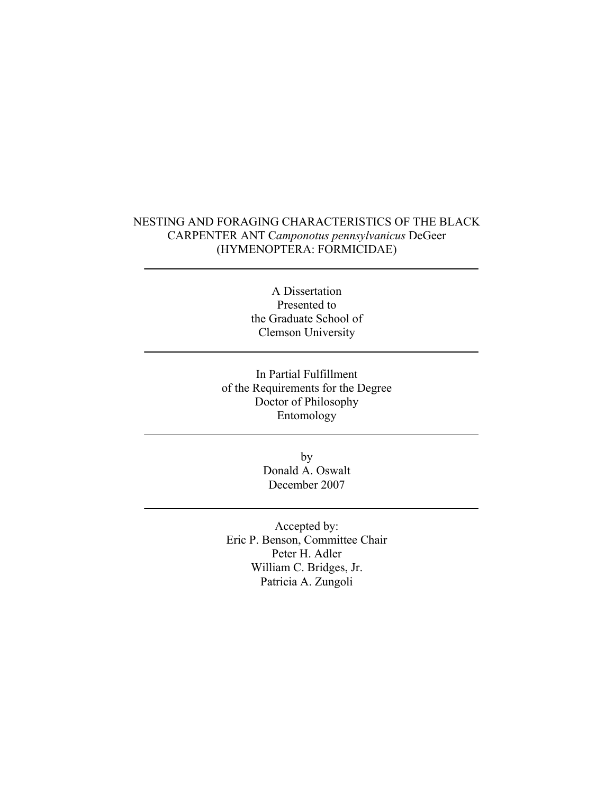## NESTING AND FORAGING CHARACTERISTICS OF THE BLACK CARPENTER ANT C*amponotus pennsylvanicus* DeGeer (HYMENOPTERA: FORMICIDAE)

A Dissertation Presented to the Graduate School of Clemson University

In Partial Fulfillment of the Requirements for the Degree Doctor of Philosophy Entomology

> by Donald A. Oswalt December 2007

Accepted by: Eric P. Benson, Committee Chair Peter H. Adler William C. Bridges, Jr. Patricia A. Zungoli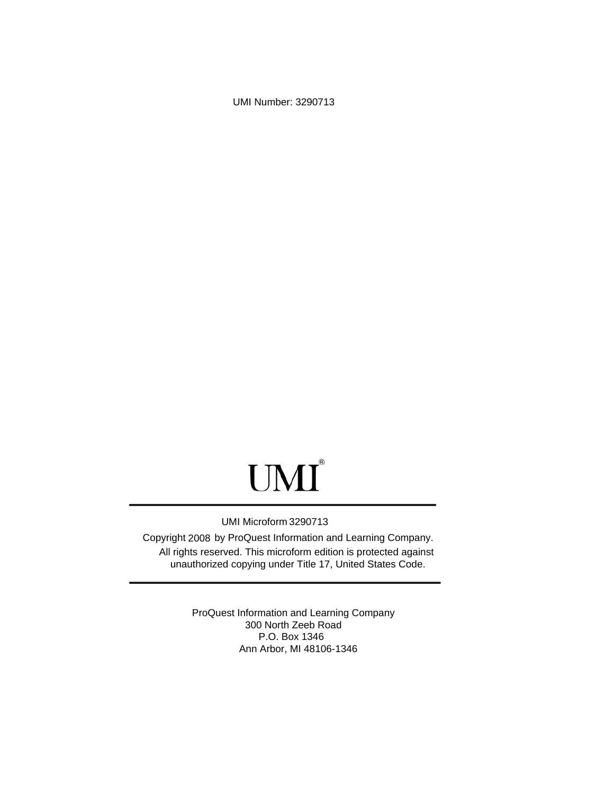UMI Number: 3290713

# UMI<sup>®</sup>

## UMI Microform 3290713

Copyright 2008 by ProQuest Information and Learning Company. All rights reserved. This microform edition is protected against unauthorized copying under Title 17, United States Code.

> ProQuest Information and Learning Company 300 North Zeeb Road P.O. Box 1346 Ann Arbor, MI 48106-1346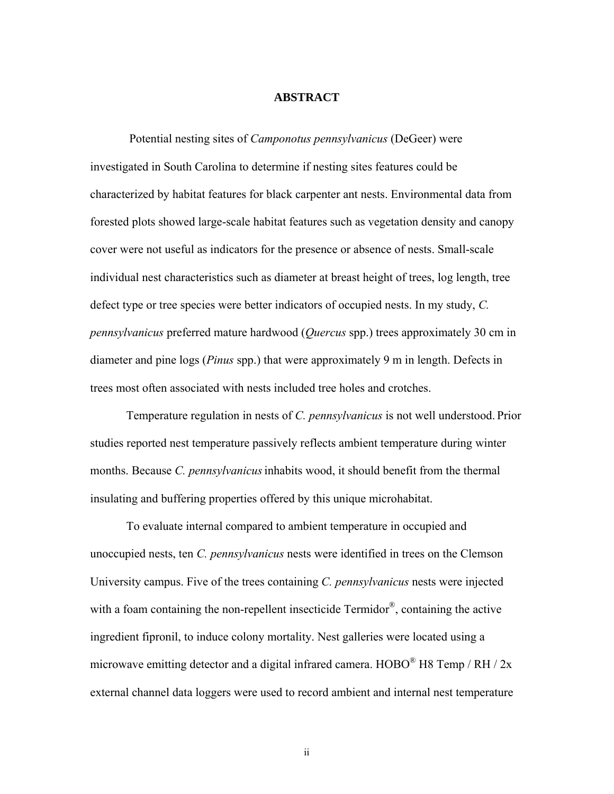### **ABSTRACT**

Potential nesting sites of *Camponotus pennsylvanicus* (DeGeer) were investigated in South Carolina to determine if nesting sites features could be characterized by habitat features for black carpenter ant nests. Environmental data from forested plots showed large-scale habitat features such as vegetation density and canopy cover were not useful as indicators for the presence or absence of nests. Small-scale individual nest characteristics such as diameter at breast height of trees, log length, tree defect type or tree species were better indicators of occupied nests. In my study, *C. pennsylvanicus* preferred mature hardwood (*Quercus* spp.) trees approximately 30 cm in diameter and pine logs (*Pinus* spp.) that were approximately 9 m in length. Defects in trees most often associated with nests included tree holes and crotches.

Temperature regulation in nests of *C. pennsylvanicus* is not well understood. Prior studies reported nest temperature passively reflects ambient temperature during winter months. Because *C. pennsylvanicus*inhabits wood, it should benefit from the thermal insulating and buffering properties offered by this unique microhabitat.

To evaluate internal compared to ambient temperature in occupied and unoccupied nests, ten *C. pennsylvanicus* nests were identified in trees on the Clemson University campus. Five of the trees containing *C. pennsylvanicus* nests were injected with a foam containing the non-repellent insecticide Termidor®, containing the active ingredient fipronil, to induce colony mortality. Nest galleries were located using a microwave emitting detector and a digital infrared camera.  $H O BO^{\circledR} H8$  Temp / RH / 2x external channel data loggers were used to record ambient and internal nest temperature

ii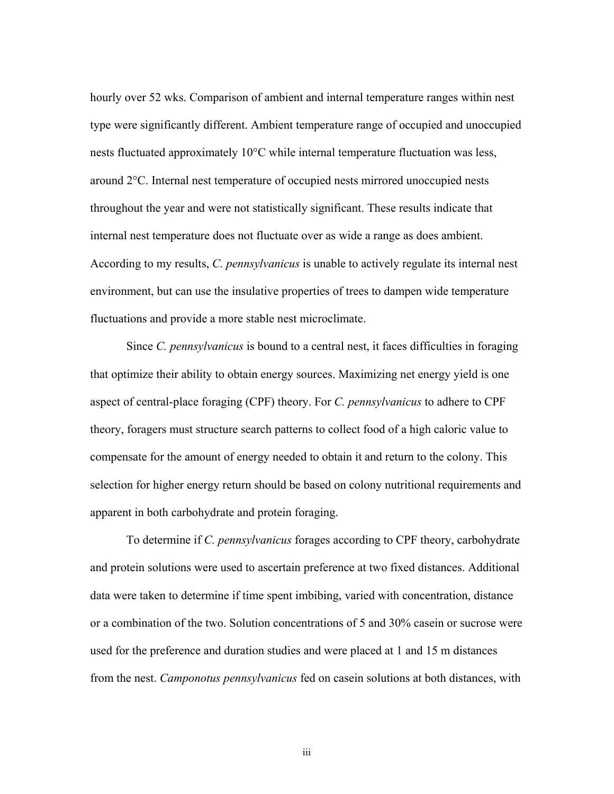hourly over 52 wks. Comparison of ambient and internal temperature ranges within nest type were significantly different. Ambient temperature range of occupied and unoccupied nests fluctuated approximately 10°C while internal temperature fluctuation was less, around 2°C. Internal nest temperature of occupied nests mirrored unoccupied nests throughout the year and were not statistically significant. These results indicate that internal nest temperature does not fluctuate over as wide a range as does ambient. According to my results, *C. pennsylvanicus* is unable to actively regulate its internal nest environment, but can use the insulative properties of trees to dampen wide temperature fluctuations and provide a more stable nest microclimate.

Since *C. pennsylvanicus* is bound to a central nest, it faces difficulties in foraging that optimize their ability to obtain energy sources. Maximizing net energy yield is one aspect of central-place foraging (CPF) theory. For *C. pennsylvanicus* to adhere to CPF theory, foragers must structure search patterns to collect food of a high caloric value to compensate for the amount of energy needed to obtain it and return to the colony. This selection for higher energy return should be based on colony nutritional requirements and apparent in both carbohydrate and protein foraging.

To determine if *C. pennsylvanicus* forages according to CPF theory, carbohydrate and protein solutions were used to ascertain preference at two fixed distances. Additional data were taken to determine if time spent imbibing, varied with concentration, distance or a combination of the two. Solution concentrations of 5 and 30% casein or sucrose were used for the preference and duration studies and were placed at 1 and 15 m distances from the nest. *Camponotus pennsylvanicus* fed on casein solutions at both distances, with

iii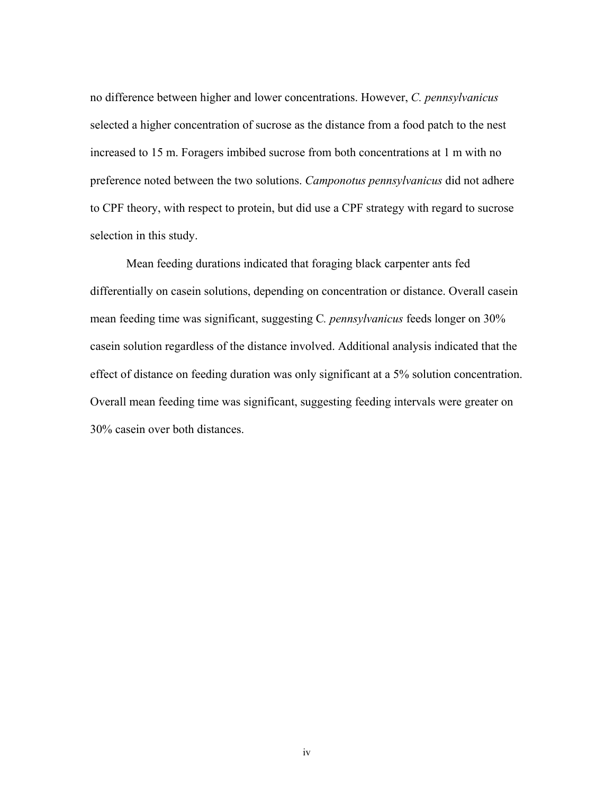no difference between higher and lower concentrations. However, *C. pennsylvanicus* selected a higher concentration of sucrose as the distance from a food patch to the nest increased to 15 m. Foragers imbibed sucrose from both concentrations at 1 m with no preference noted between the two solutions. *Camponotus pennsylvanicus* did not adhere to CPF theory, with respect to protein, but did use a CPF strategy with regard to sucrose selection in this study.

Mean feeding durations indicated that foraging black carpenter ants fed differentially on casein solutions, depending on concentration or distance. Overall casein mean feeding time was significant, suggesting C*. pennsylvanicus* feeds longer on 30% casein solution regardless of the distance involved. Additional analysis indicated that the effect of distance on feeding duration was only significant at a 5% solution concentration. Overall mean feeding time was significant, suggesting feeding intervals were greater on 30% casein over both distances.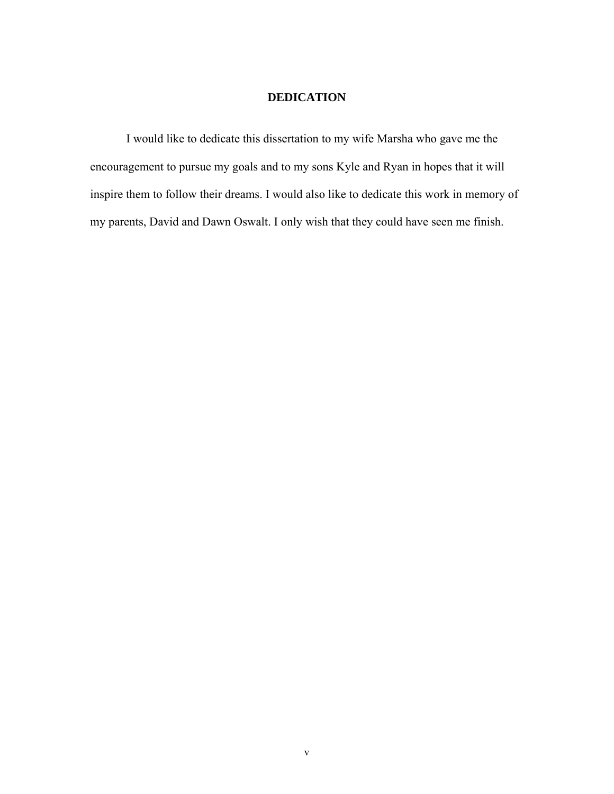## **DEDICATION**

I would like to dedicate this dissertation to my wife Marsha who gave me the encouragement to pursue my goals and to my sons Kyle and Ryan in hopes that it will inspire them to follow their dreams. I would also like to dedicate this work in memory of my parents, David and Dawn Oswalt. I only wish that they could have seen me finish.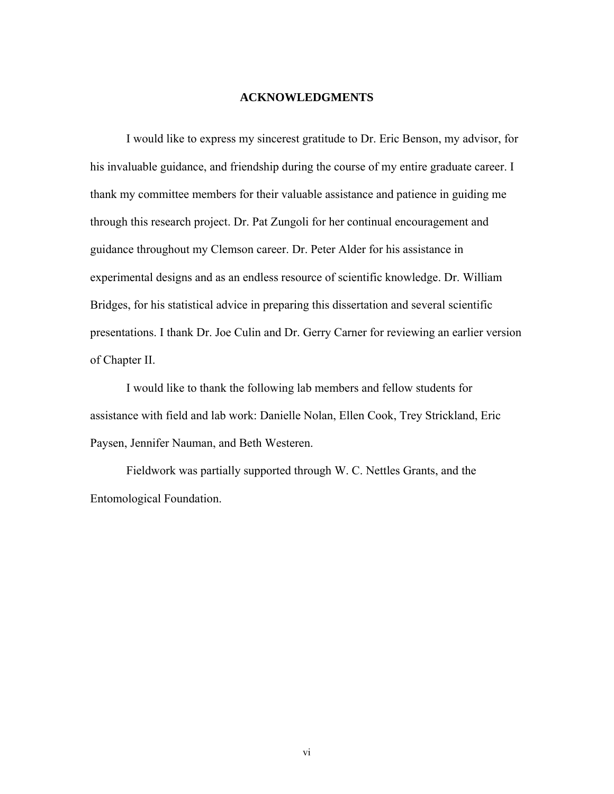## **ACKNOWLEDGMENTS**

I would like to express my sincerest gratitude to Dr. Eric Benson, my advisor, for his invaluable guidance, and friendship during the course of my entire graduate career. I thank my committee members for their valuable assistance and patience in guiding me through this research project. Dr. Pat Zungoli for her continual encouragement and guidance throughout my Clemson career. Dr. Peter Alder for his assistance in experimental designs and as an endless resource of scientific knowledge. Dr. William Bridges, for his statistical advice in preparing this dissertation and several scientific presentations. I thank Dr. Joe Culin and Dr. Gerry Carner for reviewing an earlier version of Chapter II.

I would like to thank the following lab members and fellow students for assistance with field and lab work: Danielle Nolan, Ellen Cook, Trey Strickland, Eric Paysen, Jennifer Nauman, and Beth Westeren.

Fieldwork was partially supported through W. C. Nettles Grants, and the Entomological Foundation.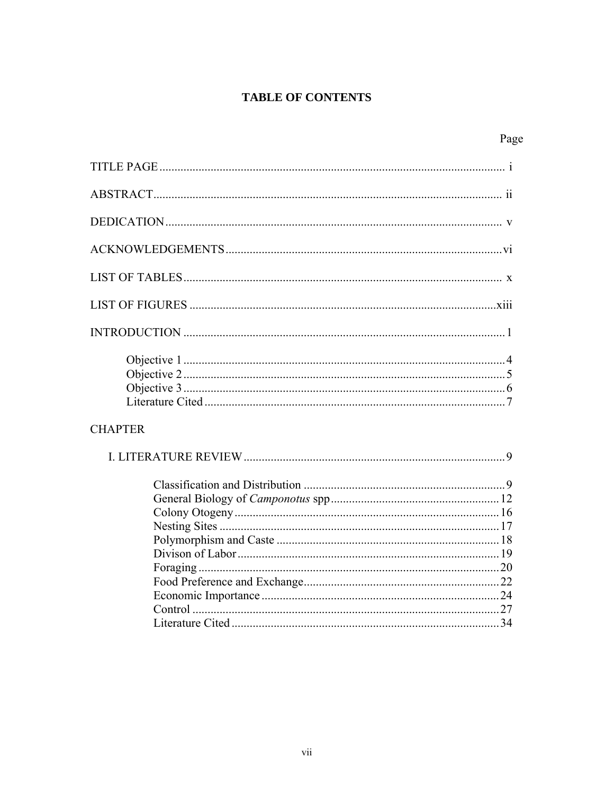## **TABLE OF CONTENTS**

|--|

| <b>CHAPTER</b> |  |
|----------------|--|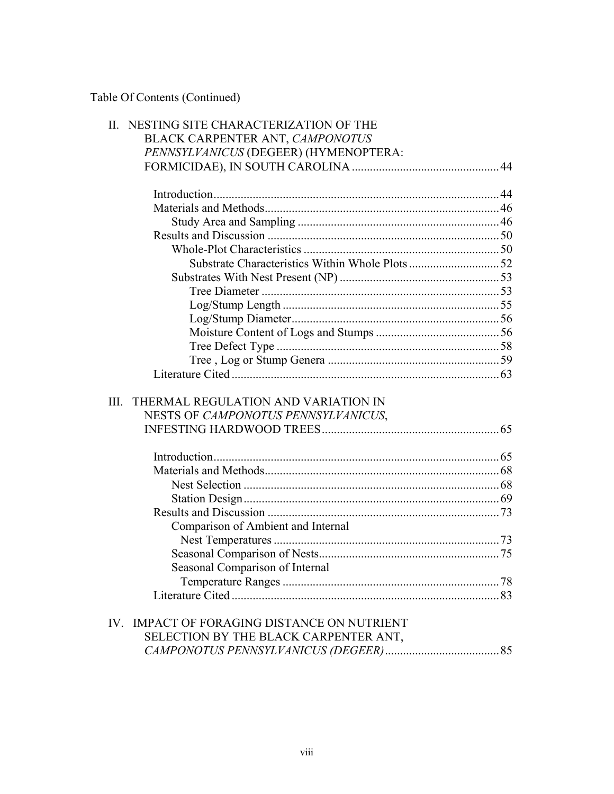Table Of Contents (Continued)

| $\Pi$ . | NESTING SITE CHARACTERIZATION OF THE        |  |
|---------|---------------------------------------------|--|
|         | BLACK CARPENTER ANT, CAMPONOTUS             |  |
|         | PENNSYLVANICUS (DEGEER) (HYMENOPTERA:       |  |
|         |                                             |  |
|         |                                             |  |
|         |                                             |  |
|         |                                             |  |
|         |                                             |  |
|         |                                             |  |
|         |                                             |  |
|         |                                             |  |
|         |                                             |  |
|         |                                             |  |
|         |                                             |  |
|         |                                             |  |
|         |                                             |  |
|         |                                             |  |
|         |                                             |  |
|         |                                             |  |
|         |                                             |  |
| III.    | THERMAL REGULATION AND VARIATION IN         |  |
|         | NESTS OF CAMPONOTUS PENNSYLVANICUS,         |  |
|         |                                             |  |
|         |                                             |  |
|         |                                             |  |
|         |                                             |  |
|         |                                             |  |
|         |                                             |  |
|         |                                             |  |
|         | Comparison of Ambient and Internal          |  |
|         |                                             |  |
|         |                                             |  |
|         | Seasonal Comparison of Internal             |  |
|         |                                             |  |
|         |                                             |  |
|         |                                             |  |
|         | IV. IMPACT OF FORAGING DISTANCE ON NUTRIENT |  |
|         | SELECTION BY THE BLACK CARPENTER ANT,       |  |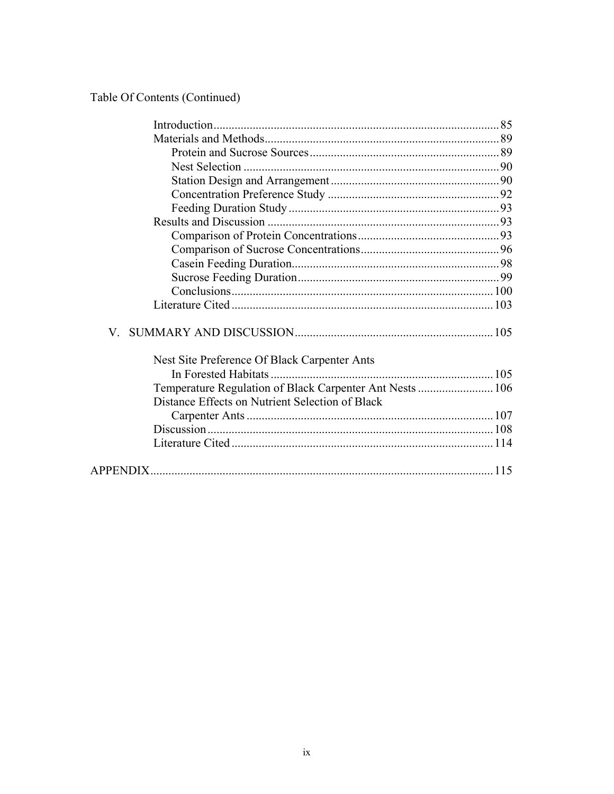# Table Of Contents (Continued)

| V.                                                       |  |
|----------------------------------------------------------|--|
| Nest Site Preference Of Black Carpenter Ants             |  |
|                                                          |  |
| Temperature Regulation of Black Carpenter Ant Nests  106 |  |
| Distance Effects on Nutrient Selection of Black          |  |
|                                                          |  |
|                                                          |  |
|                                                          |  |
|                                                          |  |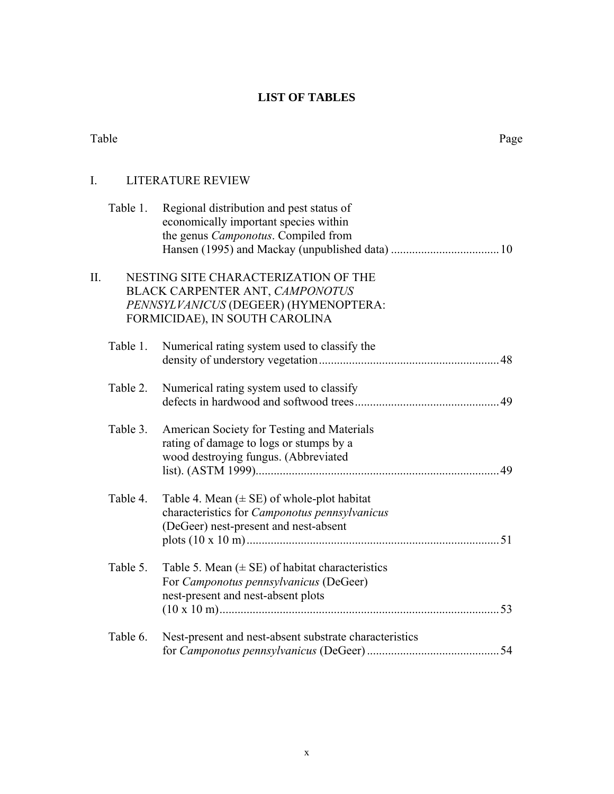## **LIST OF TABLES**

| Table |          |                                                                                                                                                    | Page |
|-------|----------|----------------------------------------------------------------------------------------------------------------------------------------------------|------|
| I.    |          | <b>LITERATURE REVIEW</b>                                                                                                                           |      |
|       | Table 1. | Regional distribution and pest status of<br>economically important species within<br>the genus Camponotus. Compiled from                           |      |
| Π.    |          | NESTING SITE CHARACTERIZATION OF THE<br>BLACK CARPENTER ANT, CAMPONOTUS<br>PENNSYLVANICUS (DEGEER) (HYMENOPTERA:<br>FORMICIDAE), IN SOUTH CAROLINA |      |
|       | Table 1. | Numerical rating system used to classify the                                                                                                       |      |
|       | Table 2. | Numerical rating system used to classify                                                                                                           |      |
|       | Table 3. | American Society for Testing and Materials<br>rating of damage to logs or stumps by a<br>wood destroying fungus. (Abbreviated                      |      |
|       | Table 4. | Table 4. Mean $(\pm \text{ SE})$ of whole-plot habitat<br>characteristics for Camponotus pennsylvanicus<br>(DeGeer) nest-present and nest-absent   |      |
|       | Table 5. | Table 5. Mean $(\pm \text{ SE})$ of habitat characteristics<br>For Camponotus pennsylvanicus (DeGeer)<br>nest-present and nest-absent plots        |      |
|       | Table 6. | Nest-present and nest-absent substrate characteristics                                                                                             |      |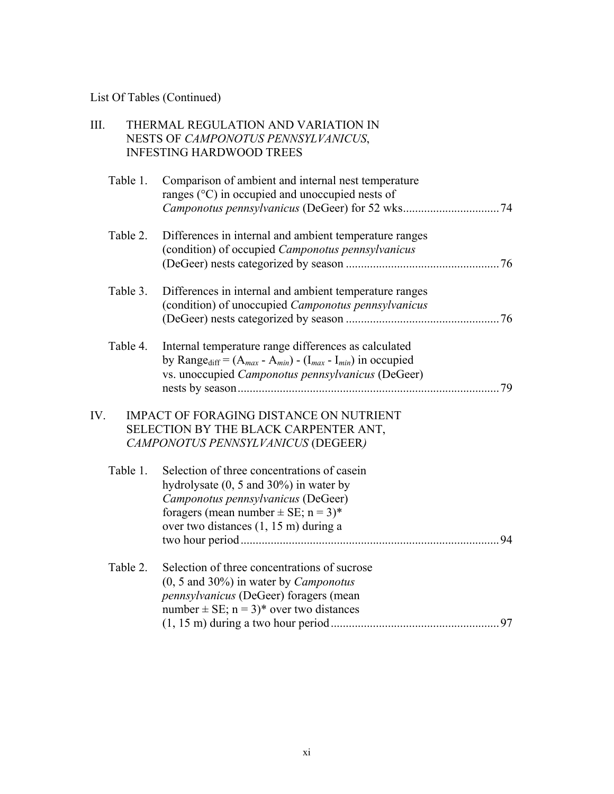## List Of Tables (Continued)

| III. |          | THERMAL REGULATION AND VARIATION IN<br>NESTS OF CAMPONOTUS PENNSYLVANICUS,<br><b>INFESTING HARDWOOD TREES</b>                                                                                                               |    |
|------|----------|-----------------------------------------------------------------------------------------------------------------------------------------------------------------------------------------------------------------------------|----|
|      | Table 1. | Comparison of ambient and internal nest temperature<br>ranges $(^{\circ}C)$ in occupied and unoccupied nests of                                                                                                             |    |
|      | Table 2. | Differences in internal and ambient temperature ranges<br>(condition) of occupied Camponotus pennsylvanicus                                                                                                                 |    |
|      | Table 3. | Differences in internal and ambient temperature ranges<br>(condition) of unoccupied Camponotus pennsylvanicus                                                                                                               |    |
|      | Table 4. | Internal temperature range differences as calculated<br>by Range <sub>diff</sub> = $(A_{max} - A_{min}) - (I_{max} - I_{min})$ in occupied<br>vs. unoccupied Camponotus pennsylvanicus (DeGeer)                             | 79 |
| IV.  |          | <b>IMPACT OF FORAGING DISTANCE ON NUTRIENT</b><br>SELECTION BY THE BLACK CARPENTER ANT,<br>CAMPONOTUS PENNSYLVANICUS (DEGEER)                                                                                               |    |
|      | Table 1. | Selection of three concentrations of casein<br>hydrolysate $(0, 5 \text{ and } 30\%)$ in water by<br>Camponotus pennsylvanicus (DeGeer)<br>foragers (mean number $\pm$ SE; n = 3)*<br>over two distances (1, 15 m) during a | 94 |
|      | Table 2. | Selection of three concentrations of sucrose<br>$(0, 5 \text{ and } 30\%)$ in water by <i>Camponotus</i><br>pennsylvanicus (DeGeer) foragers (mean<br>number $\pm$ SE; n = 3)* over two distances                           |    |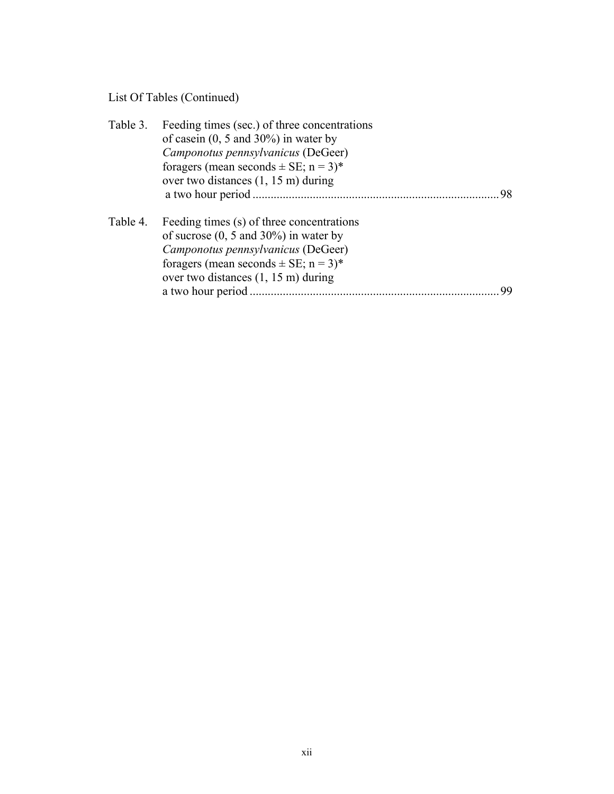# List Of Tables (Continued)

| Table 3. | Feeding times (sec.) of three concentrations      |    |
|----------|---------------------------------------------------|----|
|          | of case in $(0, 5 \text{ and } 30\%)$ in water by |    |
|          | Camponotus pennsylvanicus (DeGeer)                |    |
|          | foragers (mean seconds $\pm$ SE; n = 3)*          |    |
|          | over two distances $(1, 15 \text{ m})$ during     |    |
|          |                                                   | 98 |
| Table 4. | Feeding times (s) of three concentrations         |    |
|          | of sucrose $(0, 5 \text{ and } 30\%)$ in water by |    |
|          | Camponotus pennsylvanicus (DeGeer)                |    |
|          | foragers (mean seconds $\pm$ SE; n = 3)*          |    |
|          | over two distances $(1, 15 \text{ m})$ during     |    |
|          | a two hour period.                                |    |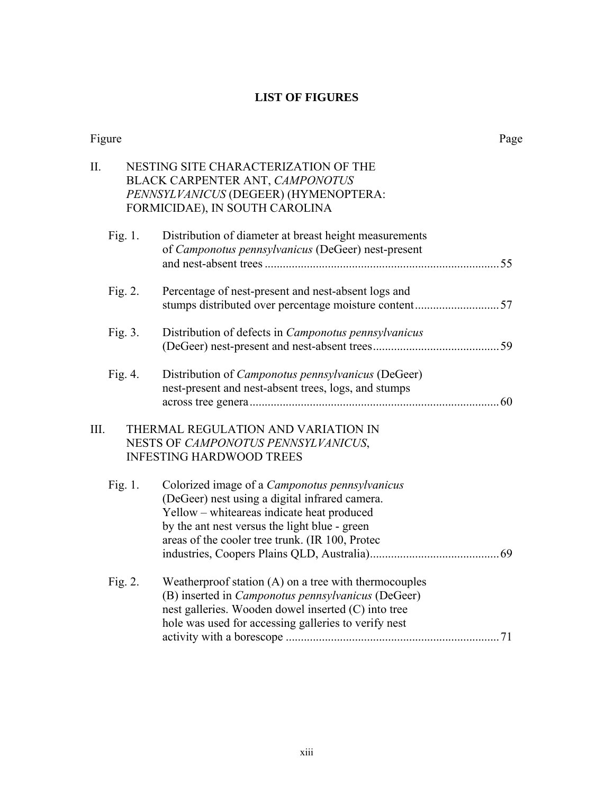## **LIST OF FIGURES**

| Figure     |                                                                                                                                                                                                                                                           | Page |
|------------|-----------------------------------------------------------------------------------------------------------------------------------------------------------------------------------------------------------------------------------------------------------|------|
| II.        | NESTING SITE CHARACTERIZATION OF THE<br>BLACK CARPENTER ANT, CAMPONOTUS<br>PENNSYLVANICUS (DEGEER) (HYMENOPTERA:<br>FORMICIDAE), IN SOUTH CAROLINA                                                                                                        |      |
| Fig. 1.    | Distribution of diameter at breast height measurements<br>of Camponotus pennsylvanicus (DeGeer) nest-present                                                                                                                                              |      |
| Fig. 2.    | Percentage of nest-present and nest-absent logs and                                                                                                                                                                                                       |      |
| Fig. 3.    | Distribution of defects in <i>Camponotus pennsylvanicus</i>                                                                                                                                                                                               |      |
| Fig. $4$ . | Distribution of <i>Camponotus pennsylvanicus</i> (DeGeer)<br>nest-present and nest-absent trees, logs, and stumps                                                                                                                                         |      |
| III.       | THERMAL REGULATION AND VARIATION IN<br>NESTS OF CAMPONOTUS PENNSYLVANICUS,<br><b>INFESTING HARDWOOD TREES</b>                                                                                                                                             |      |
| Fig. 1.    | Colorized image of a <i>Camponotus pennsylvanicus</i><br>(DeGeer) nest using a digital infrared camera.<br>Yellow - whiteareas indicate heat produced<br>by the ant nest versus the light blue - green<br>areas of the cooler tree trunk. (IR 100, Protec |      |
| Fig. 2.    | Weatherproof station (A) on a tree with thermocouples<br>(B) inserted in <i>Camponotus pennsylvanicus</i> (DeGeer)<br>nest galleries. Wooden dowel inserted (C) into tree<br>hole was used for accessing galleries to verify nest                         |      |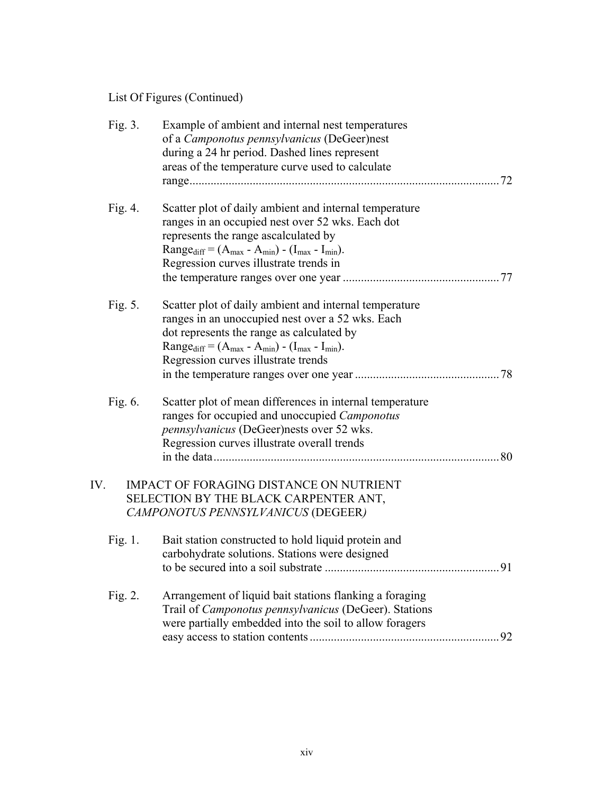List Of Figures (Continued)

| Fig. 3.    | Example of ambient and internal nest temperatures<br>of a Camponotus pennsylvanicus (DeGeer)nest<br>during a 24 hr period. Dashed lines represent<br>areas of the temperature curve used to calculate                                                                  |    |
|------------|------------------------------------------------------------------------------------------------------------------------------------------------------------------------------------------------------------------------------------------------------------------------|----|
| Fig. 4.    | Scatter plot of daily ambient and internal temperature<br>ranges in an occupied nest over 52 wks. Each dot<br>represents the range ascalculated by<br>Range <sub>diff</sub> = $(A_{max} - A_{min}) - (I_{max} - I_{min}).$<br>Regression curves illustrate trends in   |    |
| Fig. 5.    | Scatter plot of daily ambient and internal temperature<br>ranges in an unoccupied nest over a 52 wks. Each<br>dot represents the range as calculated by<br>Range <sub>diff</sub> = $(A_{max} - A_{min}) - (I_{max} - I_{min}).$<br>Regression curves illustrate trends | 78 |
| Fig. 6.    | Scatter plot of mean differences in internal temperature<br>ranges for occupied and unoccupied Camponotus<br>pennsylvanicus (DeGeer)nests over 52 wks.<br>Regression curves illustrate overall trends                                                                  | 80 |
| IV.        | <b>IMPACT OF FORAGING DISTANCE ON NUTRIENT</b><br>SELECTION BY THE BLACK CARPENTER ANT,<br>CAMPONOTUS PENNSYLVANICUS (DEGEER)                                                                                                                                          |    |
| Fig. 1.    | Bait station constructed to hold liquid protein and<br>carbohydrate solutions. Stations were designed                                                                                                                                                                  | 91 |
| Fig. $2$ . | Arrangement of liquid bait stations flanking a foraging<br>Trail of <i>Camponotus pennsylvanicus</i> (DeGeer). Stations<br>were partially embedded into the soil to allow foragers                                                                                     |    |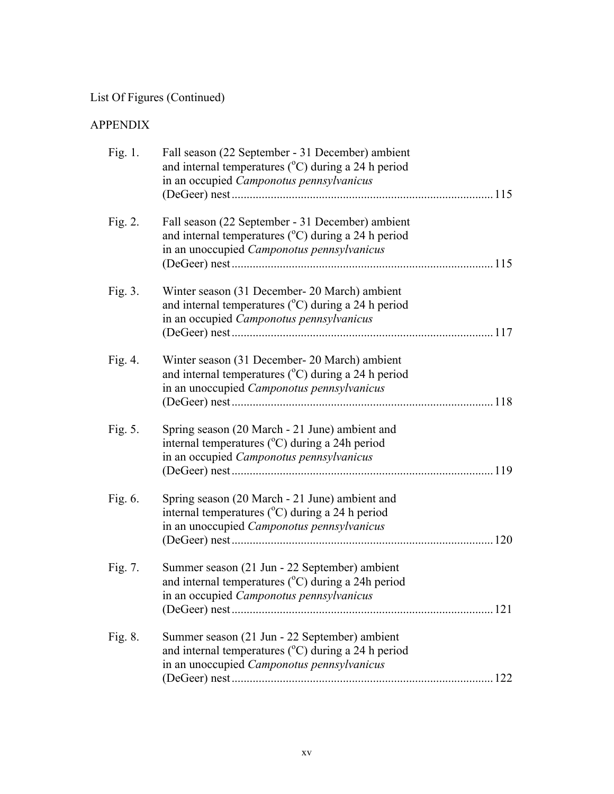# List Of Figures (Continued)

## APPENDIX

| Fig. $1$ . | Fall season (22 September - 31 December) ambient<br>and internal temperatures ( $^{\circ}$ C) during a 24 h period<br>in an occupied Camponotus pennsylvanicus   | 115  |
|------------|------------------------------------------------------------------------------------------------------------------------------------------------------------------|------|
| Fig. $2$ . | Fall season (22 September - 31 December) ambient<br>and internal temperatures ( $^{\circ}$ C) during a 24 h period<br>in an unoccupied Camponotus pennsylvanicus | 115  |
| Fig. 3.    | Winter season (31 December - 20 March) ambient<br>and internal temperatures (°C) during a 24 h period<br>in an occupied Camponotus pennsylvanicus                |      |
| Fig. 4.    | Winter season (31 December- 20 March) ambient<br>and internal temperatures $({}^{\circ}C)$ during a 24 h period<br>in an unoccupied Camponotus pennsylvanicus    |      |
| Fig. 5.    | Spring season (20 March - 21 June) ambient and<br>internal temperatures ( $^{\circ}$ C) during a 24h period<br>in an occupied Camponotus pennsylvanicus          | 119  |
| Fig. 6.    | Spring season (20 March - 21 June) ambient and<br>internal temperatures (°C) during a 24 h period<br>in an unoccupied Camponotus pennsylvanicus                  | 120  |
| Fig. 7.    | Summer season (21 Jun - 22 September) ambient<br>and internal temperatures $({}^{\circ}C)$ during a 24h period<br>in an occupied Camponotus pennsylvanicus       | .121 |
| Fig. 8.    | Summer season (21 Jun - 22 September) ambient<br>and internal temperatures ( $^{\circ}$ C) during a 24 h period<br>in an unoccupied Camponotus pennsylvanicus    |      |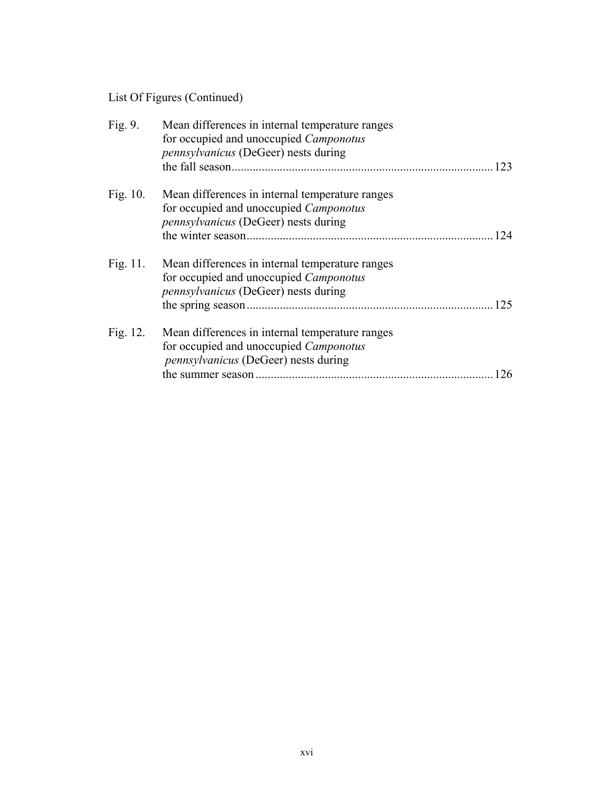# List Of Figures (Continued)

| Fig. 9.     | Mean differences in internal temperature ranges<br>for occupied and unoccupied <i>Camponotus</i><br>pennsylvanicus (DeGeer) nests during        | 123 |
|-------------|-------------------------------------------------------------------------------------------------------------------------------------------------|-----|
| Fig. $10$ . | Mean differences in internal temperature ranges<br>for occupied and unoccupied <i>Camponotus</i><br><i>pennsylvanicus</i> (DeGeer) nests during | 124 |
| Fig. $11$ . | Mean differences in internal temperature ranges<br>for occupied and unoccupied <i>Camponotus</i><br><i>pennsylvanicus</i> (DeGeer) nests during | 125 |
| Fig. 12.    | Mean differences in internal temperature ranges<br>for occupied and unoccupied <i>Camponotus</i><br><i>pennsylvanicus</i> (DeGeer) nests during | 26  |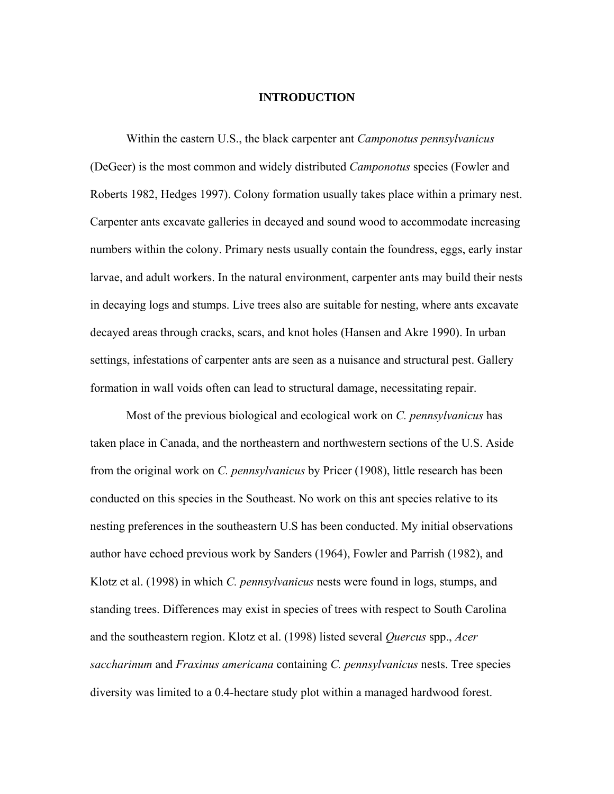### **INTRODUCTION**

 Within the eastern U.S., the black carpenter ant *Camponotus pennsylvanicus* (DeGeer) is the most common and widely distributed *Camponotus* species (Fowler and Roberts 1982, Hedges 1997). Colony formation usually takes place within a primary nest. Carpenter ants excavate galleries in decayed and sound wood to accommodate increasing numbers within the colony. Primary nests usually contain the foundress, eggs, early instar larvae, and adult workers. In the natural environment, carpenter ants may build their nests in decaying logs and stumps. Live trees also are suitable for nesting, where ants excavate decayed areas through cracks, scars, and knot holes (Hansen and Akre 1990). In urban settings, infestations of carpenter ants are seen as a nuisance and structural pest. Gallery formation in wall voids often can lead to structural damage, necessitating repair.

Most of the previous biological and ecological work on *C. pennsylvanicus* has taken place in Canada, and the northeastern and northwestern sections of the U.S. Aside from the original work on *C. pennsylvanicus* by Pricer (1908), little research has been conducted on this species in the Southeast. No work on this ant species relative to its nesting preferences in the southeastern U.S has been conducted. My initial observations author have echoed previous work by Sanders (1964), Fowler and Parrish (1982), and Klotz et al. (1998) in which *C. pennsylvanicus* nests were found in logs, stumps, and standing trees. Differences may exist in species of trees with respect to South Carolina and the southeastern region. Klotz et al. (1998) listed several *Quercus* spp., *Acer saccharinum* and *Fraxinus americana* containing *C. pennsylvanicus* nests. Tree species diversity was limited to a 0.4-hectare study plot within a managed hardwood forest.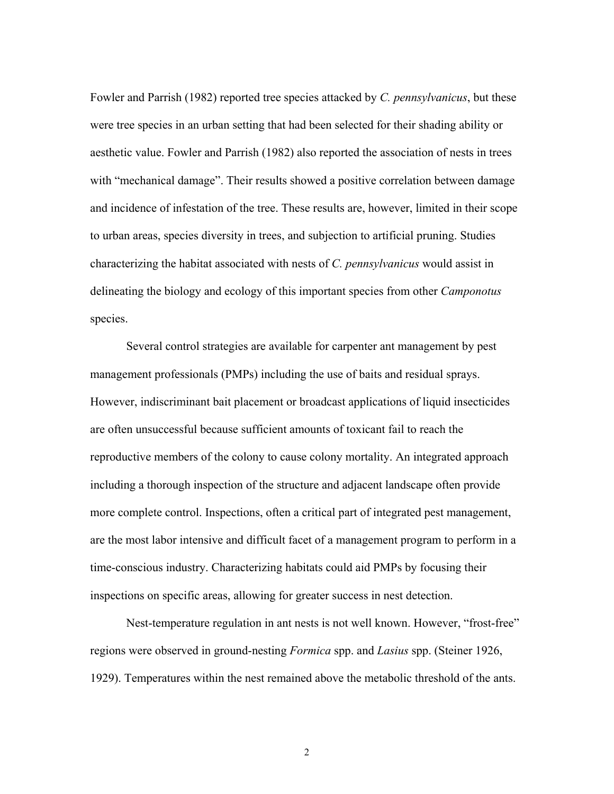Fowler and Parrish (1982) reported tree species attacked by *C. pennsylvanicus*, but these were tree species in an urban setting that had been selected for their shading ability or aesthetic value. Fowler and Parrish (1982) also reported the association of nests in trees with "mechanical damage". Their results showed a positive correlation between damage and incidence of infestation of the tree. These results are, however, limited in their scope to urban areas, species diversity in trees, and subjection to artificial pruning. Studies characterizing the habitat associated with nests of *C. pennsylvanicus* would assist in delineating the biology and ecology of this important species from other *Camponotus* species.

Several control strategies are available for carpenter ant management by pest management professionals (PMPs) including the use of baits and residual sprays. However, indiscriminant bait placement or broadcast applications of liquid insecticides are often unsuccessful because sufficient amounts of toxicant fail to reach the reproductive members of the colony to cause colony mortality. An integrated approach including a thorough inspection of the structure and adjacent landscape often provide more complete control. Inspections, often a critical part of integrated pest management, are the most labor intensive and difficult facet of a management program to perform in a time-conscious industry. Characterizing habitats could aid PMPs by focusing their inspections on specific areas, allowing for greater success in nest detection.

 Nest-temperature regulation in ant nests is not well known. However, "frost-free" regions were observed in ground-nesting *Formica* spp. and *Lasius* spp. (Steiner 1926, 1929). Temperatures within the nest remained above the metabolic threshold of the ants.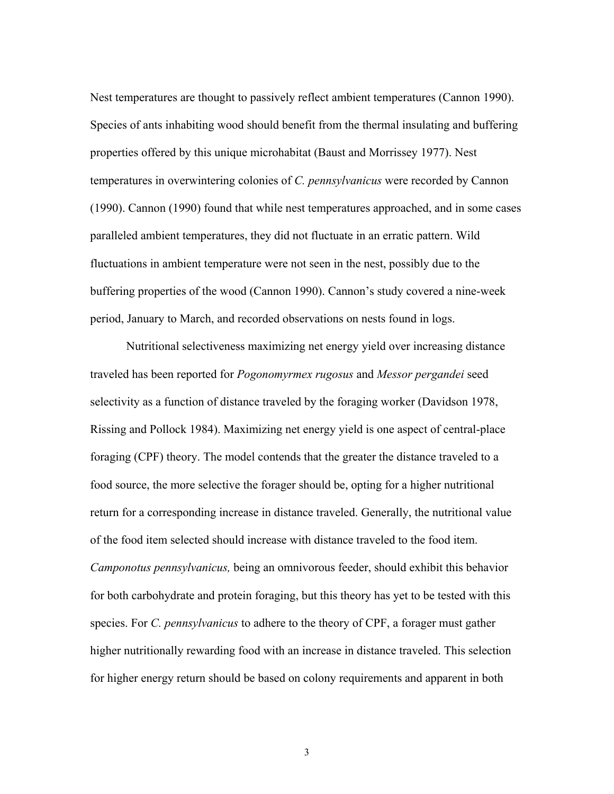Nest temperatures are thought to passively reflect ambient temperatures (Cannon 1990). Species of ants inhabiting wood should benefit from the thermal insulating and buffering properties offered by this unique microhabitat (Baust and Morrissey 1977). Nest temperatures in overwintering colonies of *C. pennsylvanicus* were recorded by Cannon (1990). Cannon (1990) found that while nest temperatures approached, and in some cases paralleled ambient temperatures, they did not fluctuate in an erratic pattern. Wild fluctuations in ambient temperature were not seen in the nest, possibly due to the buffering properties of the wood (Cannon 1990). Cannon's study covered a nine-week period, January to March, and recorded observations on nests found in logs.

Nutritional selectiveness maximizing net energy yield over increasing distance traveled has been reported for *Pogonomyrmex rugosus* and *Messor pergandei* seed selectivity as a function of distance traveled by the foraging worker (Davidson 1978, Rissing and Pollock 1984). Maximizing net energy yield is one aspect of central-place foraging (CPF) theory. The model contends that the greater the distance traveled to a food source, the more selective the forager should be, opting for a higher nutritional return for a corresponding increase in distance traveled. Generally, the nutritional value of the food item selected should increase with distance traveled to the food item. *Camponotus pennsylvanicus,* being an omnivorous feeder, should exhibit this behavior for both carbohydrate and protein foraging, but this theory has yet to be tested with this species. For *C. pennsylvanicus* to adhere to the theory of CPF, a forager must gather higher nutritionally rewarding food with an increase in distance traveled. This selection for higher energy return should be based on colony requirements and apparent in both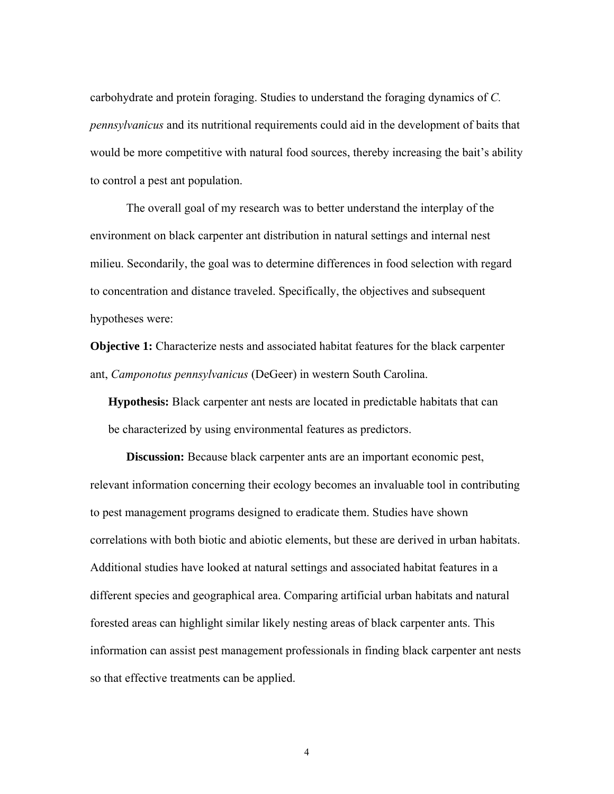carbohydrate and protein foraging. Studies to understand the foraging dynamics of *C. pennsylvanicus* and its nutritional requirements could aid in the development of baits that would be more competitive with natural food sources, thereby increasing the bait's ability to control a pest ant population.

The overall goal of my research was to better understand the interplay of the environment on black carpenter ant distribution in natural settings and internal nest milieu. Secondarily, the goal was to determine differences in food selection with regard to concentration and distance traveled. Specifically, the objectives and subsequent hypotheses were:

**Objective 1:** Characterize nests and associated habitat features for the black carpenter ant, *Camponotus pennsylvanicus* (DeGeer) in western South Carolina.

**Hypothesis:** Black carpenter ant nests are located in predictable habitats that can be characterized by using environmental features as predictors.

**Discussion:** Because black carpenter ants are an important economic pest, relevant information concerning their ecology becomes an invaluable tool in contributing to pest management programs designed to eradicate them. Studies have shown correlations with both biotic and abiotic elements, but these are derived in urban habitats. Additional studies have looked at natural settings and associated habitat features in a different species and geographical area. Comparing artificial urban habitats and natural forested areas can highlight similar likely nesting areas of black carpenter ants. This information can assist pest management professionals in finding black carpenter ant nests so that effective treatments can be applied.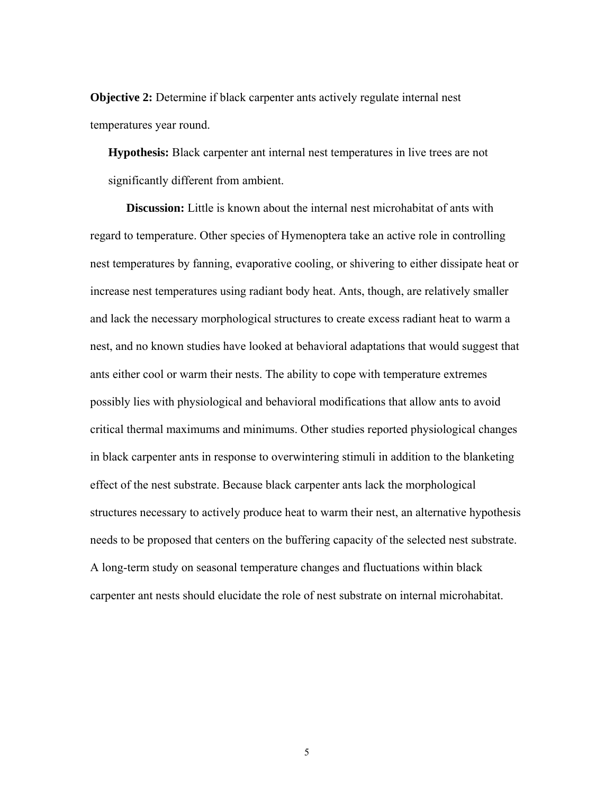**Objective 2:** Determine if black carpenter ants actively regulate internal nest temperatures year round.

**Hypothesis:** Black carpenter ant internal nest temperatures in live trees are not significantly different from ambient.

 **Discussion:** Little is known about the internal nest microhabitat of ants with regard to temperature. Other species of Hymenoptera take an active role in controlling nest temperatures by fanning, evaporative cooling, or shivering to either dissipate heat or increase nest temperatures using radiant body heat. Ants, though, are relatively smaller and lack the necessary morphological structures to create excess radiant heat to warm a nest, and no known studies have looked at behavioral adaptations that would suggest that ants either cool or warm their nests. The ability to cope with temperature extremes possibly lies with physiological and behavioral modifications that allow ants to avoid critical thermal maximums and minimums. Other studies reported physiological changes in black carpenter ants in response to overwintering stimuli in addition to the blanketing effect of the nest substrate. Because black carpenter ants lack the morphological structures necessary to actively produce heat to warm their nest, an alternative hypothesis needs to be proposed that centers on the buffering capacity of the selected nest substrate. A long-term study on seasonal temperature changes and fluctuations within black carpenter ant nests should elucidate the role of nest substrate on internal microhabitat.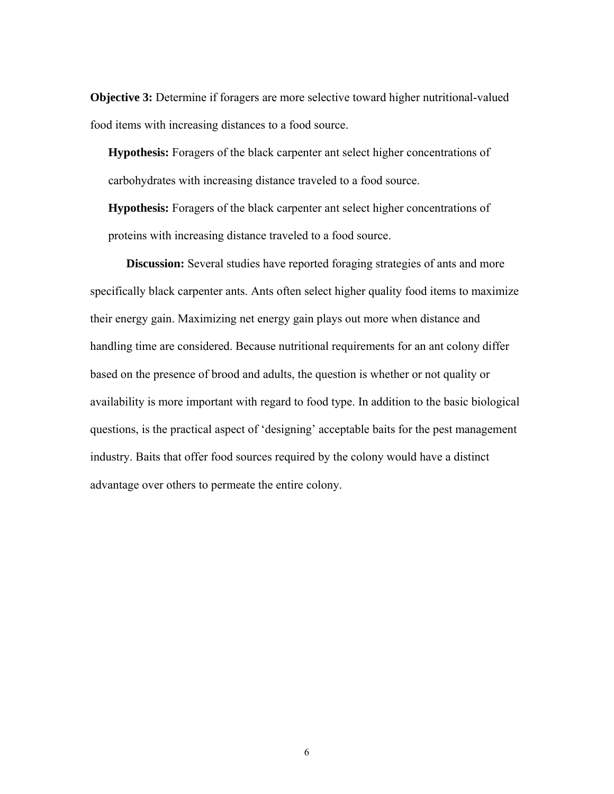**Objective 3:** Determine if foragers are more selective toward higher nutritional-valued food items with increasing distances to a food source.

**Hypothesis:** Foragers of the black carpenter ant select higher concentrations of carbohydrates with increasing distance traveled to a food source.

**Hypothesis:** Foragers of the black carpenter ant select higher concentrations of proteins with increasing distance traveled to a food source.

**Discussion:** Several studies have reported foraging strategies of ants and more specifically black carpenter ants. Ants often select higher quality food items to maximize their energy gain. Maximizing net energy gain plays out more when distance and handling time are considered. Because nutritional requirements for an ant colony differ based on the presence of brood and adults, the question is whether or not quality or availability is more important with regard to food type. In addition to the basic biological questions, is the practical aspect of 'designing' acceptable baits for the pest management industry. Baits that offer food sources required by the colony would have a distinct advantage over others to permeate the entire colony.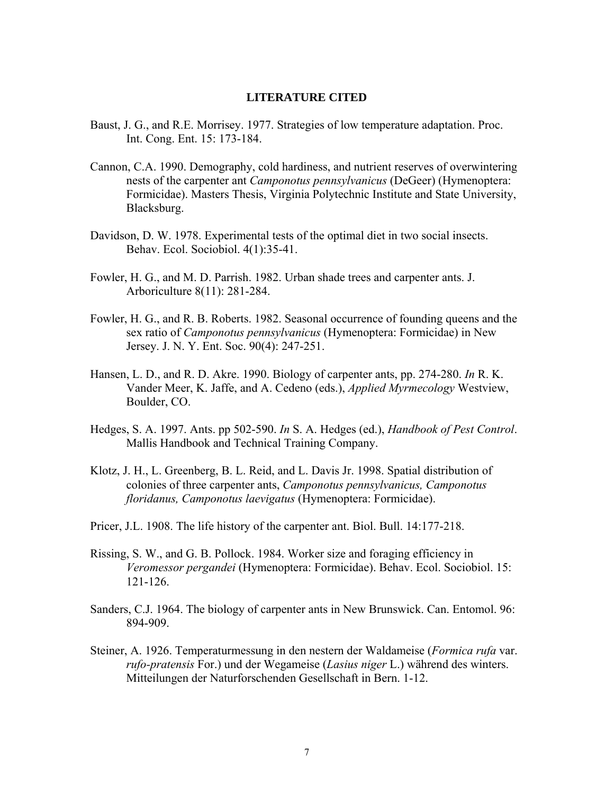#### **LITERATURE CITED**

- Baust, J. G., and R.E. Morrisey. 1977. Strategies of low temperature adaptation. Proc. Int. Cong. Ent. 15: 173-184.
- Cannon, C.A. 1990. Demography, cold hardiness, and nutrient reserves of overwintering nests of the carpenter ant *Camponotus pennsylvanicus* (DeGeer) (Hymenoptera: Formicidae). Masters Thesis, Virginia Polytechnic Institute and State University, Blacksburg.
- Davidson, D. W. 1978. Experimental tests of the optimal diet in two social insects. Behav. Ecol. Sociobiol. 4(1):35-41.
- Fowler, H. G., and M. D. Parrish. 1982. Urban shade trees and carpenter ants. J. Arboriculture 8(11): 281-284.
- Fowler, H. G., and R. B. Roberts. 1982. Seasonal occurrence of founding queens and the sex ratio of *Camponotus pennsylvanicus* (Hymenoptera: Formicidae) in New Jersey. J. N. Y. Ent. Soc. 90(4): 247-251.
- Hansen, L. D., and R. D. Akre. 1990. Biology of carpenter ants, pp. 274-280. *In* R. K. Vander Meer, K. Jaffe, and A. Cedeno (eds.), *Applied Myrmecology* Westview, Boulder, CO.
- Hedges, S. A. 1997. Ants. pp 502-590. *In* S. A. Hedges (ed.), *Handbook of Pest Control*. Mallis Handbook and Technical Training Company.
- Klotz, J. H., L. Greenberg, B. L. Reid, and L. Davis Jr. 1998. Spatial distribution of colonies of three carpenter ants, *Camponotus pennsylvanicus, Camponotus floridanus, Camponotus laevigatus* (Hymenoptera: Formicidae).
- Pricer, J.L. 1908. The life history of the carpenter ant. Biol. Bull. 14:177-218.
- Rissing, S. W., and G. B. Pollock. 1984. Worker size and foraging efficiency in *Veromessor pergandei* (Hymenoptera: Formicidae). Behav. Ecol. Sociobiol. 15: 121-126.
- Sanders, C.J. 1964. The biology of carpenter ants in New Brunswick. Can. Entomol. 96: 894-909.
- Steiner, A. 1926. Temperaturmessung in den nestern der Waldameise (*Formica rufa* var. *rufo-pratensis* For.) und der Wegameise (*Lasius niger* L.) während des winters. Mitteilungen der Naturforschenden Gesellschaft in Bern. 1-12.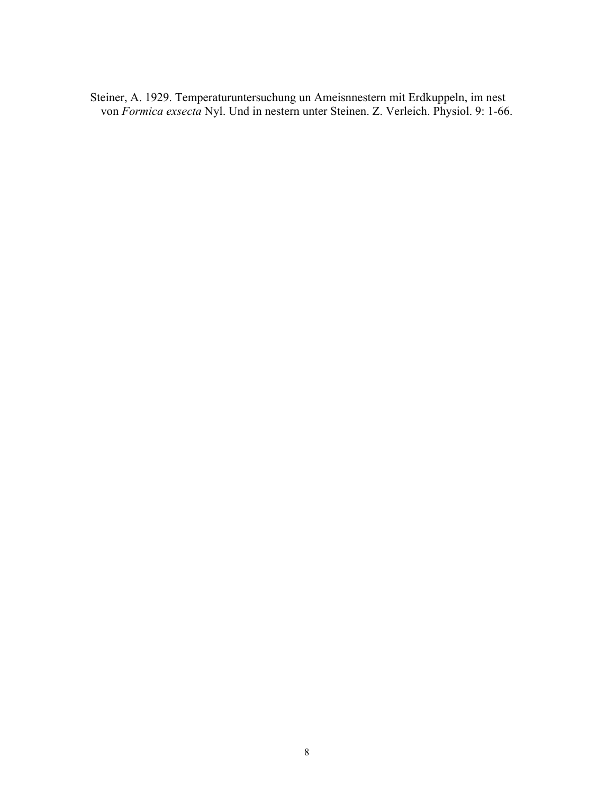Steiner, A. 1929. Temperaturuntersuchung un Ameisnnestern mit Erdkuppeln, im nest von *Formica exsecta* Nyl. Und in nestern unter Steinen. Z. Verleich. Physiol. 9: 1-66.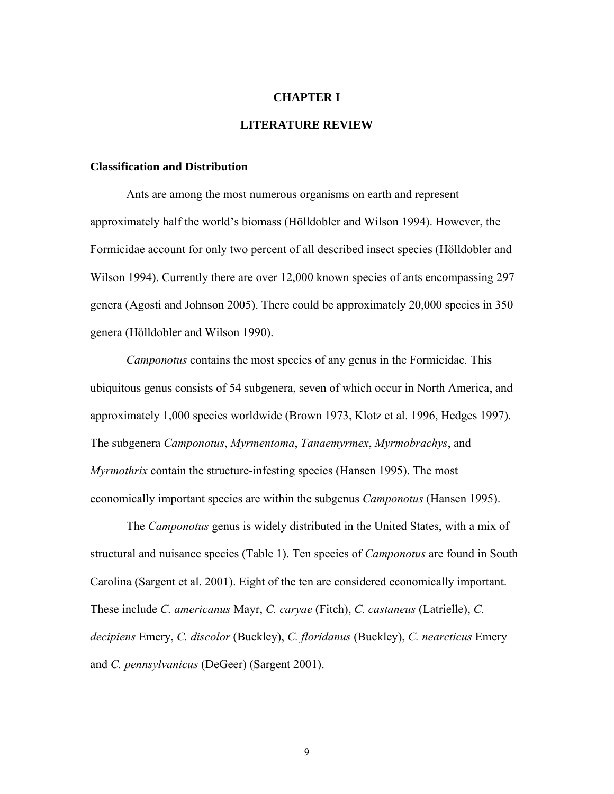#### **CHAPTER I**

## **LITERATURE REVIEW**

#### **Classification and Distribution**

Ants are among the most numerous organisms on earth and represent approximately half the world's biomass (Hölldobler and Wilson 1994). However, the Formicidae account for only two percent of all described insect species (Hölldobler and Wilson 1994). Currently there are over 12,000 known species of ants encompassing 297 genera (Agosti and Johnson 2005). There could be approximately 20,000 species in 350 genera (Hölldobler and Wilson 1990).

*Camponotus* contains the most species of any genus in the Formicidae*.* This ubiquitous genus consists of 54 subgenera, seven of which occur in North America, and approximately 1,000 species worldwide (Brown 1973, Klotz et al. 1996, Hedges 1997). The subgenera *Camponotus*, *Myrmentoma*, *Tanaemyrmex*, *Myrmobrachys*, and *Myrmothrix* contain the structure-infesting species (Hansen 1995). The most economically important species are within the subgenus *Camponotus* (Hansen 1995).

 The *Camponotus* genus is widely distributed in the United States, with a mix of structural and nuisance species (Table 1). Ten species of *Camponotus* are found in South Carolina (Sargent et al. 2001). Eight of the ten are considered economically important. These include *C. americanus* Mayr, *C. caryae* (Fitch), *C. castaneus* (Latrielle), *C. decipiens* Emery, *C. discolor* (Buckley), *C. floridanus* (Buckley), *C. nearcticus* Emery and *C. pennsylvanicus* (DeGeer) (Sargent 2001).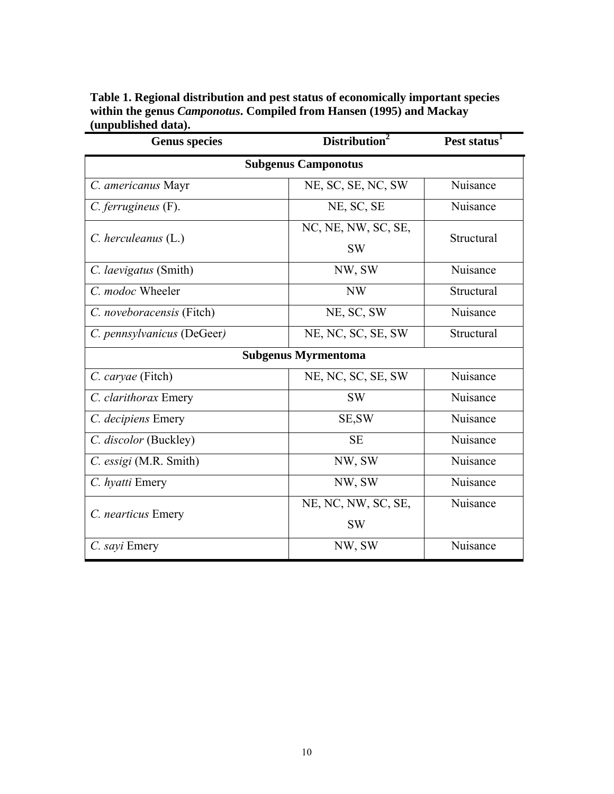| Table 1. Regional distribution and pest status of economically important species |
|----------------------------------------------------------------------------------|
| within the genus <i>Camponotus</i> . Compiled from Hansen (1995) and Mackay      |
| (unpublished data).                                                              |

| <b>Genus species</b>       | Distribution <sup>2</sup>        | Pest status <sup>1</sup> |  |
|----------------------------|----------------------------------|--------------------------|--|
| <b>Subgenus Camponotus</b> |                                  |                          |  |
| C. americanus Mayr         | NE, SC, SE, NC, SW               | Nuisance                 |  |
| $C.$ ferrugineus $(F).$    | NE, SC, SE                       | Nuisance                 |  |
| $C.$ herculeanus $(L.)$    | NC, NE, NW, SC, SE,<br><b>SW</b> | Structural               |  |
| C. laevigatus (Smith)      | NW, SW                           | Nuisance                 |  |
| C. modoc Wheeler           | NW                               | Structural               |  |
| C. noveboracensis (Fitch)  | NE, SC, SW                       | Nuisance                 |  |
| C. pennsylvanicus (DeGeer) | NE, NC, SC, SE, SW               | Structural               |  |
|                            | <b>Subgenus Myrmentoma</b>       |                          |  |
| C. caryae (Fitch)          | NE, NC, SC, SE, SW               | Nuisance                 |  |
| C. clarithorax Emery       | <b>SW</b>                        | Nuisance                 |  |
| C. decipiens Emery         | SE, SW                           | Nuisance                 |  |
| C. discolor (Buckley)      | <b>SE</b>                        | Nuisance                 |  |
| C. essigi (M.R. Smith)     | NW, SW                           | Nuisance                 |  |
| C. hyatti Emery            | NW, SW                           | Nuisance                 |  |
| C. nearticus Emery         | NE, NC, NW, SC, SE,<br><b>SW</b> | Nuisance                 |  |
| C. sayi Emery              | NW, SW                           | Nuisance                 |  |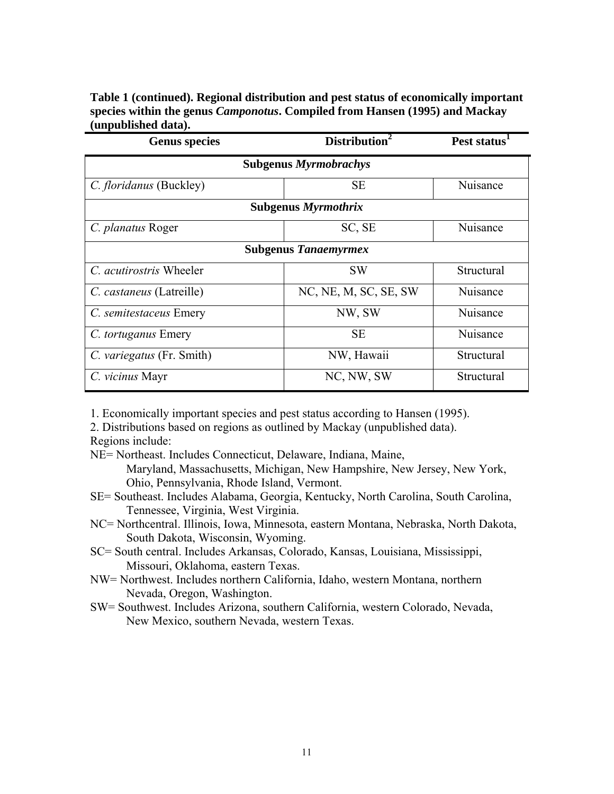**Table 1 (continued). Regional distribution and pest status of economically important species within the genus** *Camponotus***. Compiled from Hansen (1995) and Mackay (unpublished data).** 

| <b>Genus species</b>           | Distribution <sup>2</sup> | Pest status <sup>1</sup> |  |
|--------------------------------|---------------------------|--------------------------|--|
| <b>Subgenus Myrmobrachys</b>   |                           |                          |  |
| C. floridanus (Buckley)        | <b>SE</b>                 | Nuisance                 |  |
| <b>Subgenus Myrmothrix</b>     |                           |                          |  |
| C. planatus Roger              | SC, SE                    | Nuisance                 |  |
| <b>Subgenus Tanaemyrmex</b>    |                           |                          |  |
| C. <i>acutirostris</i> Wheeler | <b>SW</b>                 | Structural               |  |
| C. castaneus (Latreille)       | NC, NE, M, SC, SE, SW     | Nuisance                 |  |
| C. semitestaceus Emery         | NW, SW                    | Nuisance                 |  |
| C. tortuganus Emery            | <b>SE</b>                 | Nuisance                 |  |
| C. variegatus (Fr. Smith)      | NW, Hawaii                | Structural               |  |
| C. vicinus Mayr                | NC, NW, SW                | Structural               |  |

1. Economically important species and pest status according to Hansen (1995).

2. Distributions based on regions as outlined by Mackay (unpublished data). Regions include:

NE= Northeast. Includes Connecticut, Delaware, Indiana, Maine,

Maryland, Massachusetts, Michigan, New Hampshire, New Jersey, New York, Ohio, Pennsylvania, Rhode Island, Vermont.

- SE= Southeast. Includes Alabama, Georgia, Kentucky, North Carolina, South Carolina, Tennessee, Virginia, West Virginia.
- NC= Northcentral. Illinois, Iowa, Minnesota, eastern Montana, Nebraska, North Dakota, South Dakota, Wisconsin, Wyoming.
- SC= South central. Includes Arkansas, Colorado, Kansas, Louisiana, Mississippi, Missouri, Oklahoma, eastern Texas.
- NW= Northwest. Includes northern California, Idaho, western Montana, northern Nevada, Oregon, Washington.
- SW= Southwest. Includes Arizona, southern California, western Colorado, Nevada, New Mexico, southern Nevada, western Texas.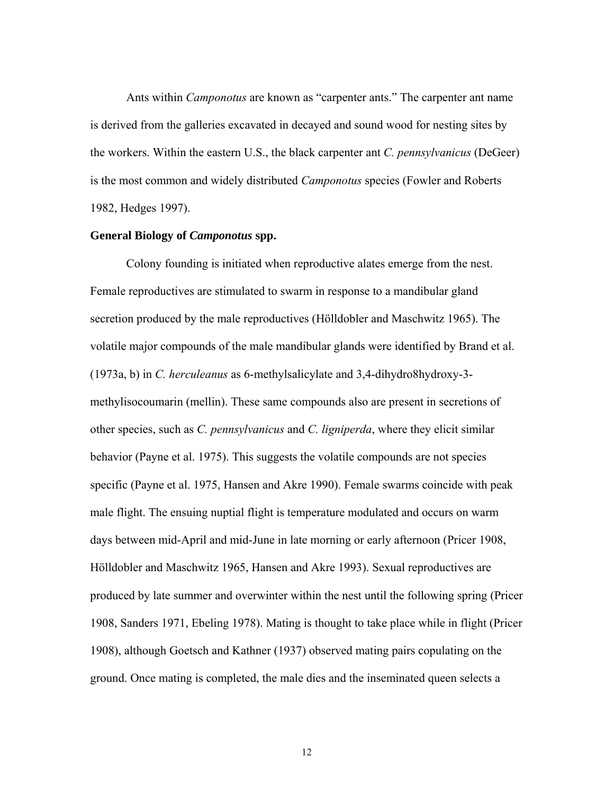Ants within *Camponotus* are known as "carpenter ants." The carpenter ant name is derived from the galleries excavated in decayed and sound wood for nesting sites by the workers. Within the eastern U.S., the black carpenter ant *C. pennsylvanicus* (DeGeer) is the most common and widely distributed *Camponotus* species (Fowler and Roberts 1982, Hedges 1997).

#### **General Biology of** *Camponotus* **spp.**

Colony founding is initiated when reproductive alates emerge from the nest. Female reproductives are stimulated to swarm in response to a mandibular gland secretion produced by the male reproductives (Hölldobler and Maschwitz 1965). The volatile major compounds of the male mandibular glands were identified by Brand et al. (1973a, b) in *C. herculeanus* as 6-methylsalicylate and 3,4-dihydro8hydroxy-3 methylisocoumarin (mellin). These same compounds also are present in secretions of other species, such as *C. pennsylvanicus* and *C. ligniperda*, where they elicit similar behavior (Payne et al. 1975). This suggests the volatile compounds are not species specific (Payne et al. 1975, Hansen and Akre 1990). Female swarms coincide with peak male flight. The ensuing nuptial flight is temperature modulated and occurs on warm days between mid-April and mid-June in late morning or early afternoon (Pricer 1908, Hölldobler and Maschwitz 1965, Hansen and Akre 1993). Sexual reproductives are produced by late summer and overwinter within the nest until the following spring (Pricer 1908, Sanders 1971, Ebeling 1978). Mating is thought to take place while in flight (Pricer 1908), although Goetsch and Kathner (1937) observed mating pairs copulating on the ground. Once mating is completed, the male dies and the inseminated queen selects a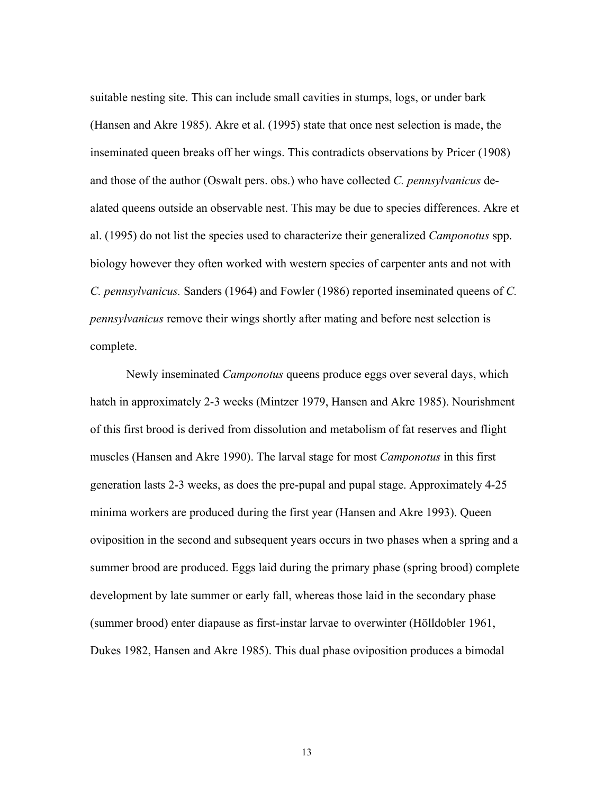suitable nesting site. This can include small cavities in stumps, logs, or under bark (Hansen and Akre 1985). Akre et al. (1995) state that once nest selection is made, the inseminated queen breaks off her wings. This contradicts observations by Pricer (1908) and those of the author (Oswalt pers. obs.) who have collected *C. pennsylvanicus* dealated queens outside an observable nest. This may be due to species differences. Akre et al. (1995) do not list the species used to characterize their generalized *Camponotus* spp. biology however they often worked with western species of carpenter ants and not with *C. pennsylvanicus.* Sanders (1964) and Fowler (1986) reported inseminated queens of *C. pennsylvanicus* remove their wings shortly after mating and before nest selection is complete.

 Newly inseminated *Camponotus* queens produce eggs over several days, which hatch in approximately 2-3 weeks (Mintzer 1979, Hansen and Akre 1985). Nourishment of this first brood is derived from dissolution and metabolism of fat reserves and flight muscles (Hansen and Akre 1990). The larval stage for most *Camponotus* in this first generation lasts 2-3 weeks, as does the pre-pupal and pupal stage. Approximately 4-25 minima workers are produced during the first year (Hansen and Akre 1993). Queen oviposition in the second and subsequent years occurs in two phases when a spring and a summer brood are produced. Eggs laid during the primary phase (spring brood) complete development by late summer or early fall, whereas those laid in the secondary phase (summer brood) enter diapause as first-instar larvae to overwinter (Hölldobler 1961, Dukes 1982, Hansen and Akre 1985). This dual phase oviposition produces a bimodal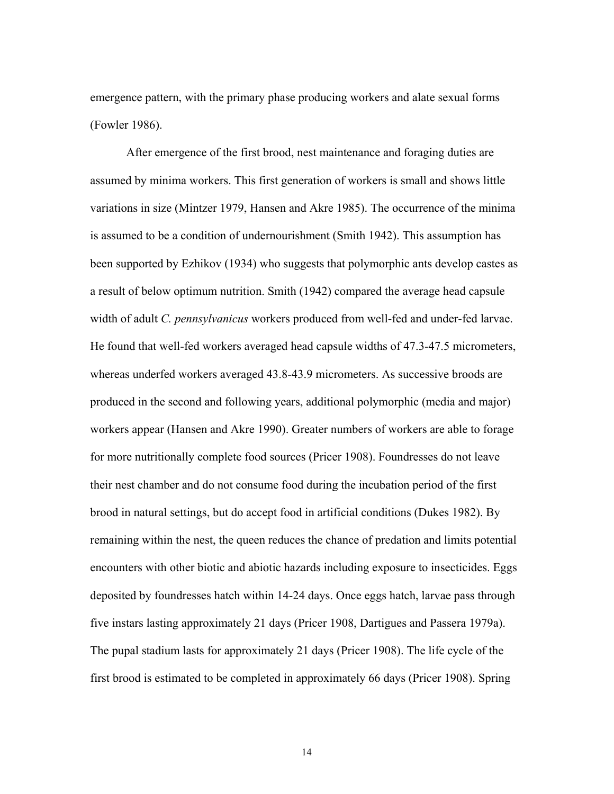emergence pattern, with the primary phase producing workers and alate sexual forms (Fowler 1986).

 After emergence of the first brood, nest maintenance and foraging duties are assumed by minima workers. This first generation of workers is small and shows little variations in size (Mintzer 1979, Hansen and Akre 1985). The occurrence of the minima is assumed to be a condition of undernourishment (Smith 1942). This assumption has been supported by Ezhikov (1934) who suggests that polymorphic ants develop castes as a result of below optimum nutrition. Smith (1942) compared the average head capsule width of adult *C. pennsylvanicus* workers produced from well-fed and under-fed larvae. He found that well-fed workers averaged head capsule widths of 47.3-47.5 micrometers, whereas underfed workers averaged 43.8-43.9 micrometers. As successive broods are produced in the second and following years, additional polymorphic (media and major) workers appear (Hansen and Akre 1990). Greater numbers of workers are able to forage for more nutritionally complete food sources (Pricer 1908). Foundresses do not leave their nest chamber and do not consume food during the incubation period of the first brood in natural settings, but do accept food in artificial conditions (Dukes 1982). By remaining within the nest, the queen reduces the chance of predation and limits potential encounters with other biotic and abiotic hazards including exposure to insecticides. Eggs deposited by foundresses hatch within 14-24 days. Once eggs hatch, larvae pass through five instars lasting approximately 21 days (Pricer 1908, Dartigues and Passera 1979a). The pupal stadium lasts for approximately 21 days (Pricer 1908). The life cycle of the first brood is estimated to be completed in approximately 66 days (Pricer 1908). Spring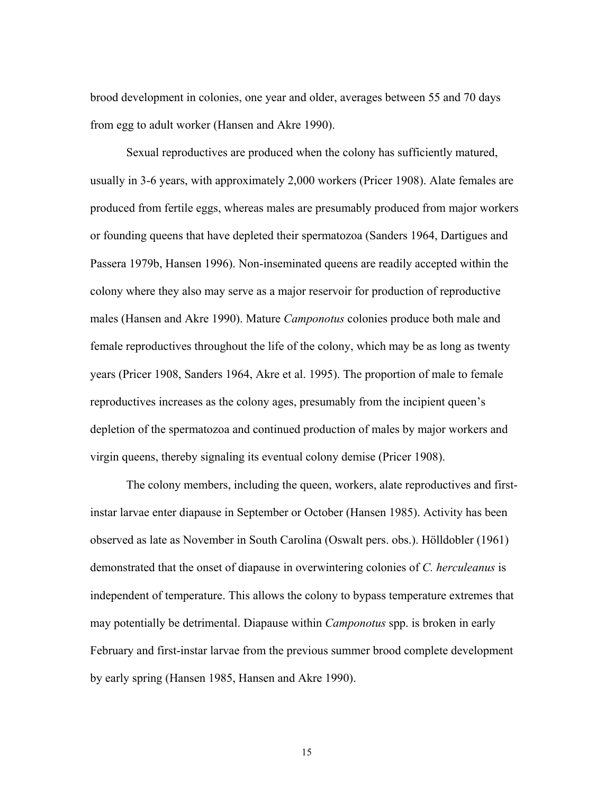brood development in colonies, one year and older, averages between 55 and 70 days from egg to adult worker (Hansen and Akre 1990).

 Sexual reproductives are produced when the colony has sufficiently matured, usually in 3-6 years, with approximately 2,000 workers (Pricer 1908). Alate females are produced from fertile eggs, whereas males are presumably produced from major workers or founding queens that have depleted their spermatozoa (Sanders 1964, Dartigues and Passera 1979b, Hansen 1996). Non-inseminated queens are readily accepted within the colony where they also may serve as a major reservoir for production of reproductive males (Hansen and Akre 1990). Mature *Camponotus* colonies produce both male and female reproductives throughout the life of the colony, which may be as long as twenty years (Pricer 1908, Sanders 1964, Akre et al. 1995). The proportion of male to female reproductives increases as the colony ages, presumably from the incipient queen's depletion of the spermatozoa and continued production of males by major workers and virgin queens, thereby signaling its eventual colony demise (Pricer 1908).

 The colony members, including the queen, workers, alate reproductives and firstinstar larvae enter diapause in September or October (Hansen 1985). Activity has been observed as late as November in South Carolina (Oswalt pers. obs.). Hölldobler (1961) demonstrated that the onset of diapause in overwintering colonies of *C. herculeanus* is independent of temperature. This allows the colony to bypass temperature extremes that may potentially be detrimental. Diapause within *Camponotus* spp. is broken in early February and first-instar larvae from the previous summer brood complete development by early spring (Hansen 1985, Hansen and Akre 1990).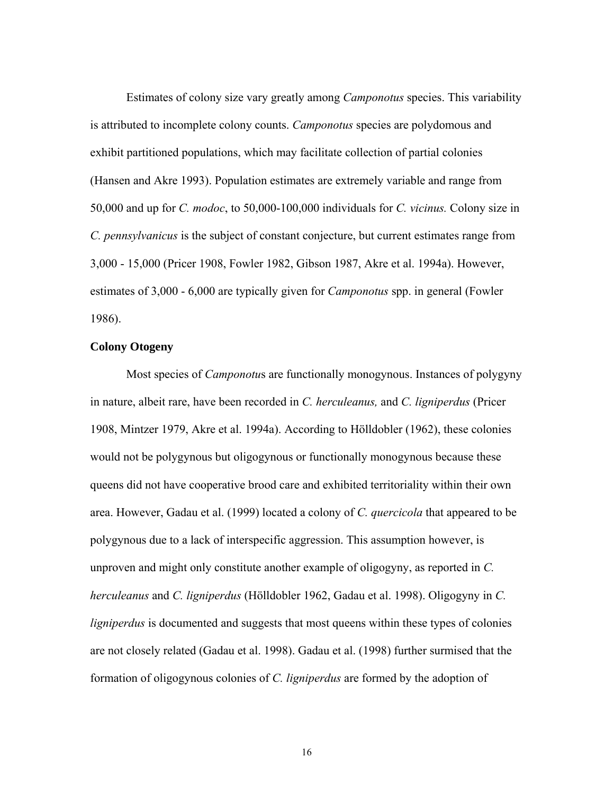Estimates of colony size vary greatly among *Camponotus* species. This variability is attributed to incomplete colony counts. *Camponotus* species are polydomous and exhibit partitioned populations, which may facilitate collection of partial colonies (Hansen and Akre 1993). Population estimates are extremely variable and range from 50,000 and up for *C. modoc*, to 50,000-100,000 individuals for *C. vicinus.* Colony size in *C. pennsylvanicus* is the subject of constant conjecture, but current estimates range from 3,000 - 15,000 (Pricer 1908, Fowler 1982, Gibson 1987, Akre et al. 1994a). However, estimates of 3,000 - 6,000 are typically given for *Camponotus* spp. in general (Fowler 1986).

## **Colony Otogeny**

 Most species of *Camponotu*s are functionally monogynous. Instances of polygyny in nature, albeit rare, have been recorded in *C. herculeanus,* and *C. ligniperdus* (Pricer 1908, Mintzer 1979, Akre et al. 1994a). According to Hölldobler (1962), these colonies would not be polygynous but oligogynous or functionally monogynous because these queens did not have cooperative brood care and exhibited territoriality within their own area. However, Gadau et al. (1999) located a colony of *C. quercicola* that appeared to be polygynous due to a lack of interspecific aggression. This assumption however, is unproven and might only constitute another example of oligogyny, as reported in *C. herculeanus* and *C. ligniperdus* (Hölldobler 1962, Gadau et al. 1998). Oligogyny in *C. ligniperdus* is documented and suggests that most queens within these types of colonies are not closely related (Gadau et al. 1998). Gadau et al. (1998) further surmised that the formation of oligogynous colonies of *C. ligniperdus* are formed by the adoption of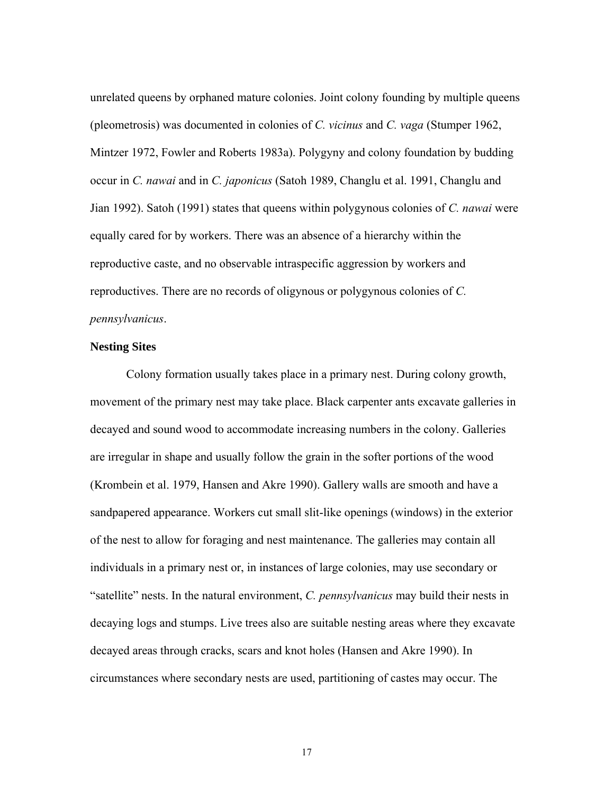unrelated queens by orphaned mature colonies. Joint colony founding by multiple queens (pleometrosis) was documented in colonies of *C. vicinus* and *C. vaga* (Stumper 1962, Mintzer 1972, Fowler and Roberts 1983a). Polygyny and colony foundation by budding occur in *C. nawai* and in *C. japonicus* (Satoh 1989, Changlu et al. 1991, Changlu and Jian 1992). Satoh (1991) states that queens within polygynous colonies of *C. nawai* were equally cared for by workers. There was an absence of a hierarchy within the reproductive caste, and no observable intraspecific aggression by workers and reproductives. There are no records of oligynous or polygynous colonies of *C. pennsylvanicus*.

## **Nesting Sites**

 Colony formation usually takes place in a primary nest. During colony growth, movement of the primary nest may take place. Black carpenter ants excavate galleries in decayed and sound wood to accommodate increasing numbers in the colony. Galleries are irregular in shape and usually follow the grain in the softer portions of the wood (Krombein et al. 1979, Hansen and Akre 1990). Gallery walls are smooth and have a sandpapered appearance. Workers cut small slit-like openings (windows) in the exterior of the nest to allow for foraging and nest maintenance. The galleries may contain all individuals in a primary nest or, in instances of large colonies, may use secondary or "satellite" nests. In the natural environment, *C. pennsylvanicus* may build their nests in decaying logs and stumps. Live trees also are suitable nesting areas where they excavate decayed areas through cracks, scars and knot holes (Hansen and Akre 1990). In circumstances where secondary nests are used, partitioning of castes may occur. The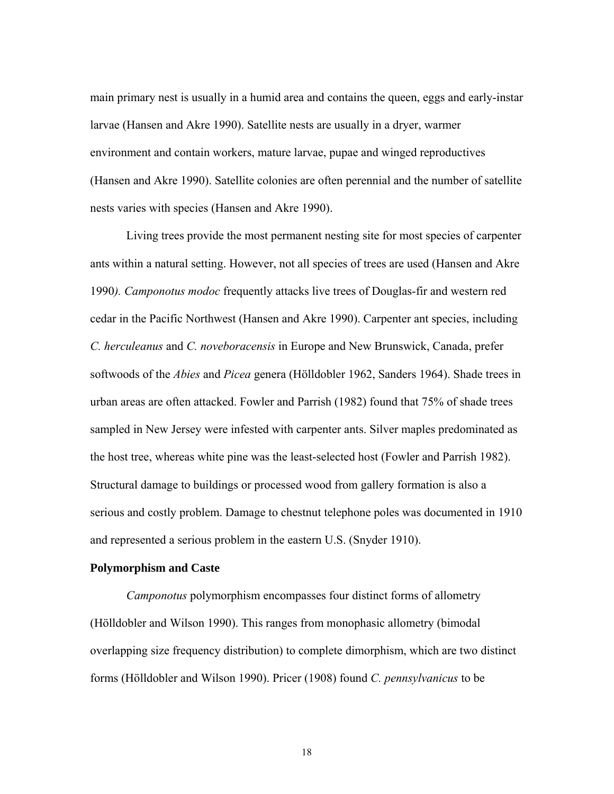main primary nest is usually in a humid area and contains the queen, eggs and early-instar larvae (Hansen and Akre 1990). Satellite nests are usually in a dryer, warmer environment and contain workers, mature larvae, pupae and winged reproductives (Hansen and Akre 1990). Satellite colonies are often perennial and the number of satellite nests varies with species (Hansen and Akre 1990).

 Living trees provide the most permanent nesting site for most species of carpenter ants within a natural setting. However, not all species of trees are used (Hansen and Akre 1990*). Camponotus modoc* frequently attacks live trees of Douglas-fir and western red cedar in the Pacific Northwest (Hansen and Akre 1990). Carpenter ant species, including *C. herculeanus* and *C. noveboracensis* in Europe and New Brunswick, Canada, prefer softwoods of the *Abies* and *Picea* genera (Hölldobler 1962, Sanders 1964). Shade trees in urban areas are often attacked. Fowler and Parrish (1982) found that 75% of shade trees sampled in New Jersey were infested with carpenter ants. Silver maples predominated as the host tree, whereas white pine was the least-selected host (Fowler and Parrish 1982). Structural damage to buildings or processed wood from gallery formation is also a serious and costly problem. Damage to chestnut telephone poles was documented in 1910 and represented a serious problem in the eastern U.S. (Snyder 1910).

## **Polymorphism and Caste**

*Camponotus* polymorphism encompasses four distinct forms of allometry (Hölldobler and Wilson 1990). This ranges from monophasic allometry (bimodal overlapping size frequency distribution) to complete dimorphism, which are two distinct forms (Hölldobler and Wilson 1990). Pricer (1908) found *C. pennsylvanicus* to be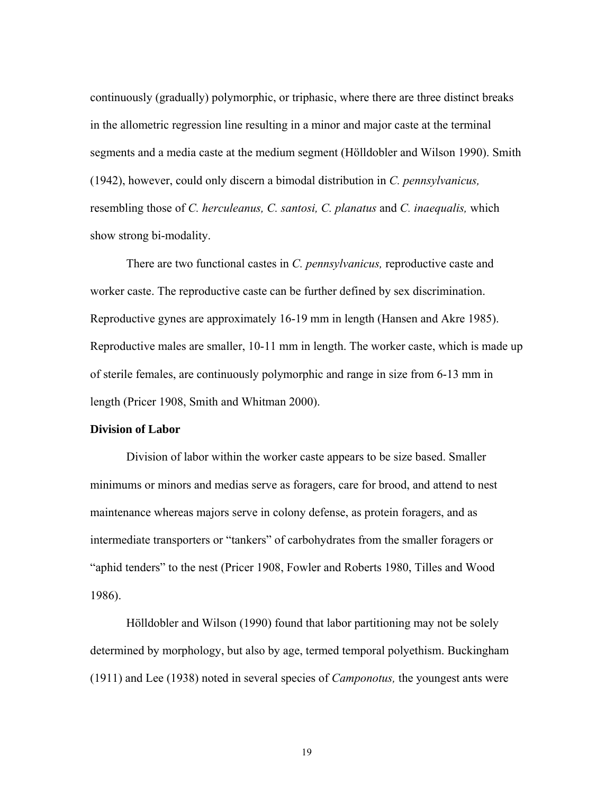continuously (gradually) polymorphic, or triphasic, where there are three distinct breaks in the allometric regression line resulting in a minor and major caste at the terminal segments and a media caste at the medium segment (Hölldobler and Wilson 1990). Smith (1942), however, could only discern a bimodal distribution in *C. pennsylvanicus,* resembling those of *C. herculeanus, C. santosi, C. planatus* and *C. inaequalis,* which show strong bi-modality.

 There are two functional castes in *C. pennsylvanicus,* reproductive caste and worker caste. The reproductive caste can be further defined by sex discrimination. Reproductive gynes are approximately 16-19 mm in length (Hansen and Akre 1985). Reproductive males are smaller, 10-11 mm in length. The worker caste, which is made up of sterile females, are continuously polymorphic and range in size from 6-13 mm in length (Pricer 1908, Smith and Whitman 2000).

## **Division of Labor**

 Division of labor within the worker caste appears to be size based. Smaller minimums or minors and medias serve as foragers, care for brood, and attend to nest maintenance whereas majors serve in colony defense, as protein foragers, and as intermediate transporters or "tankers" of carbohydrates from the smaller foragers or "aphid tenders" to the nest (Pricer 1908, Fowler and Roberts 1980, Tilles and Wood 1986).

 Hölldobler and Wilson (1990) found that labor partitioning may not be solely determined by morphology, but also by age, termed temporal polyethism. Buckingham (1911) and Lee (1938) noted in several species of *Camponotus,* the youngest ants were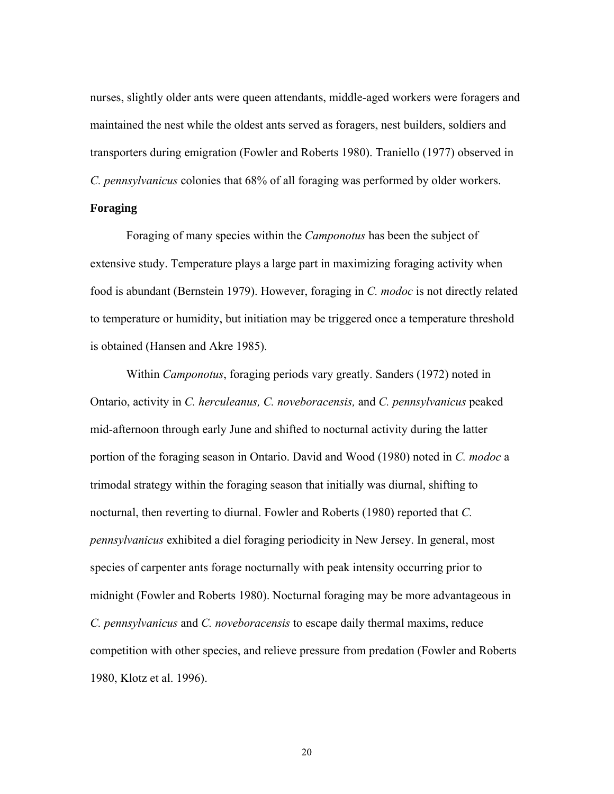nurses, slightly older ants were queen attendants, middle-aged workers were foragers and maintained the nest while the oldest ants served as foragers, nest builders, soldiers and transporters during emigration (Fowler and Roberts 1980). Traniello (1977) observed in *C. pennsylvanicus* colonies that 68% of all foraging was performed by older workers.

## **Foraging**

 Foraging of many species within the *Camponotus* has been the subject of extensive study. Temperature plays a large part in maximizing foraging activity when food is abundant (Bernstein 1979). However, foraging in *C. modoc* is not directly related to temperature or humidity, but initiation may be triggered once a temperature threshold is obtained (Hansen and Akre 1985).

 Within *Camponotus*, foraging periods vary greatly. Sanders (1972) noted in Ontario, activity in *C. herculeanus, C. noveboracensis,* and *C. pennsylvanicus* peaked mid-afternoon through early June and shifted to nocturnal activity during the latter portion of the foraging season in Ontario. David and Wood (1980) noted in *C. modoc* a trimodal strategy within the foraging season that initially was diurnal, shifting to nocturnal, then reverting to diurnal. Fowler and Roberts (1980) reported that *C. pennsylvanicus* exhibited a diel foraging periodicity in New Jersey. In general, most species of carpenter ants forage nocturnally with peak intensity occurring prior to midnight (Fowler and Roberts 1980). Nocturnal foraging may be more advantageous in *C. pennsylvanicus* and *C. noveboracensis* to escape daily thermal maxims, reduce competition with other species, and relieve pressure from predation (Fowler and Roberts 1980, Klotz et al. 1996).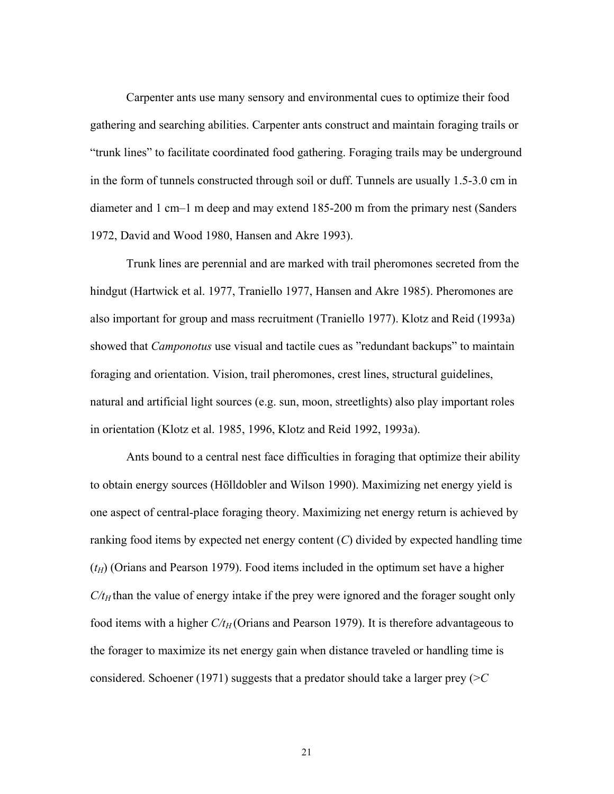Carpenter ants use many sensory and environmental cues to optimize their food gathering and searching abilities. Carpenter ants construct and maintain foraging trails or "trunk lines" to facilitate coordinated food gathering. Foraging trails may be underground in the form of tunnels constructed through soil or duff. Tunnels are usually 1.5-3.0 cm in diameter and 1 cm–1 m deep and may extend 185-200 m from the primary nest (Sanders 1972, David and Wood 1980, Hansen and Akre 1993).

 Trunk lines are perennial and are marked with trail pheromones secreted from the hindgut (Hartwick et al. 1977, Traniello 1977, Hansen and Akre 1985). Pheromones are also important for group and mass recruitment (Traniello 1977). Klotz and Reid (1993a) showed that *Camponotus* use visual and tactile cues as "redundant backups" to maintain foraging and orientation. Vision, trail pheromones, crest lines, structural guidelines, natural and artificial light sources (e.g. sun, moon, streetlights) also play important roles in orientation (Klotz et al. 1985, 1996, Klotz and Reid 1992, 1993a).

Ants bound to a central nest face difficulties in foraging that optimize their ability to obtain energy sources (Hölldobler and Wilson 1990). Maximizing net energy yield is one aspect of central-place foraging theory. Maximizing net energy return is achieved by ranking food items by expected net energy content (*C*) divided by expected handling time  $(t_H)$  (Orians and Pearson 1979). Food items included in the optimum set have a higher  $C/t_H$  than the value of energy intake if the prey were ignored and the forager sought only food items with a higher  $C/t_H$  (Orians and Pearson 1979). It is therefore advantageous to the forager to maximize its net energy gain when distance traveled or handling time is considered. Schoener (1971) suggests that a predator should take a larger prey (>*C*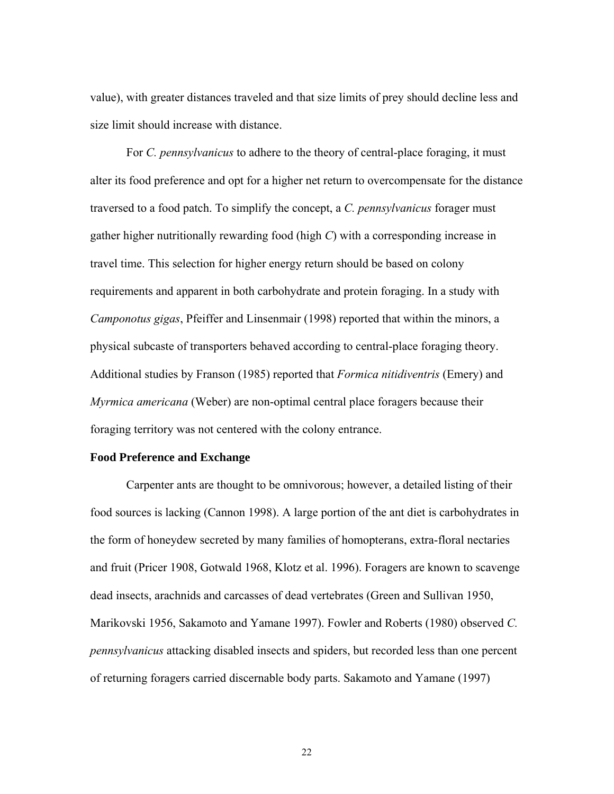value), with greater distances traveled and that size limits of prey should decline less and size limit should increase with distance.

 For *C. pennsylvanicus* to adhere to the theory of central-place foraging, it must alter its food preference and opt for a higher net return to overcompensate for the distance traversed to a food patch. To simplify the concept, a *C. pennsylvanicus* forager must gather higher nutritionally rewarding food (high *C*) with a corresponding increase in travel time. This selection for higher energy return should be based on colony requirements and apparent in both carbohydrate and protein foraging. In a study with *Camponotus gigas*, Pfeiffer and Linsenmair (1998) reported that within the minors, a physical subcaste of transporters behaved according to central-place foraging theory. Additional studies by Franson (1985) reported that *Formica nitidiventris* (Emery) and *Myrmica americana* (Weber) are non-optimal central place foragers because their foraging territory was not centered with the colony entrance.

#### **Food Preference and Exchange**

 Carpenter ants are thought to be omnivorous; however, a detailed listing of their food sources is lacking (Cannon 1998). A large portion of the ant diet is carbohydrates in the form of honeydew secreted by many families of homopterans, extra-floral nectaries and fruit (Pricer 1908, Gotwald 1968, Klotz et al. 1996). Foragers are known to scavenge dead insects, arachnids and carcasses of dead vertebrates (Green and Sullivan 1950, Marikovski 1956, Sakamoto and Yamane 1997). Fowler and Roberts (1980) observed *C. pennsylvanicus* attacking disabled insects and spiders, but recorded less than one percent of returning foragers carried discernable body parts. Sakamoto and Yamane (1997)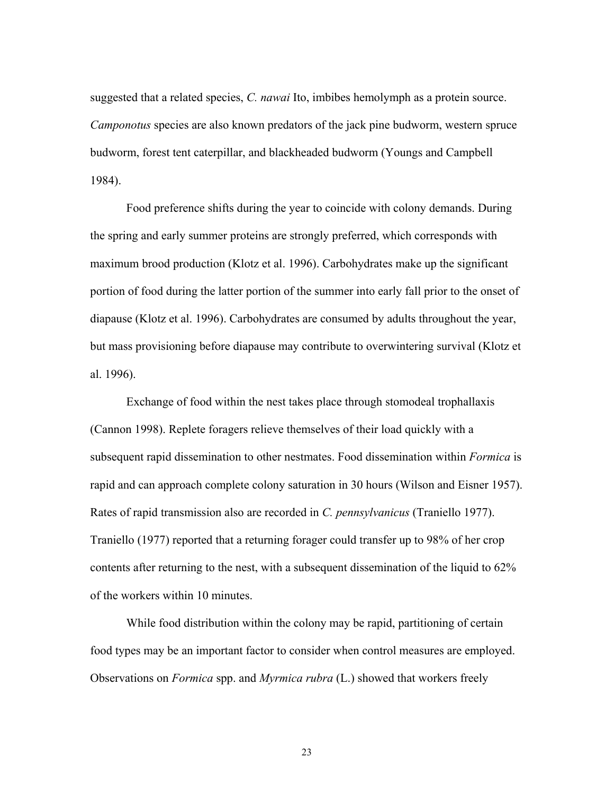suggested that a related species, *C. nawai* Ito, imbibes hemolymph as a protein source. *Camponotus* species are also known predators of the jack pine budworm, western spruce budworm, forest tent caterpillar, and blackheaded budworm (Youngs and Campbell 1984).

 Food preference shifts during the year to coincide with colony demands. During the spring and early summer proteins are strongly preferred, which corresponds with maximum brood production (Klotz et al. 1996). Carbohydrates make up the significant portion of food during the latter portion of the summer into early fall prior to the onset of diapause (Klotz et al. 1996). Carbohydrates are consumed by adults throughout the year, but mass provisioning before diapause may contribute to overwintering survival (Klotz et al. 1996).

 Exchange of food within the nest takes place through stomodeal trophallaxis (Cannon 1998). Replete foragers relieve themselves of their load quickly with a subsequent rapid dissemination to other nestmates. Food dissemination within *Formica* is rapid and can approach complete colony saturation in 30 hours (Wilson and Eisner 1957). Rates of rapid transmission also are recorded in *C. pennsylvanicus* (Traniello 1977). Traniello (1977) reported that a returning forager could transfer up to 98% of her crop contents after returning to the nest, with a subsequent dissemination of the liquid to 62% of the workers within 10 minutes.

 While food distribution within the colony may be rapid, partitioning of certain food types may be an important factor to consider when control measures are employed. Observations on *Formica* spp. and *Myrmica rubra* (L.) showed that workers freely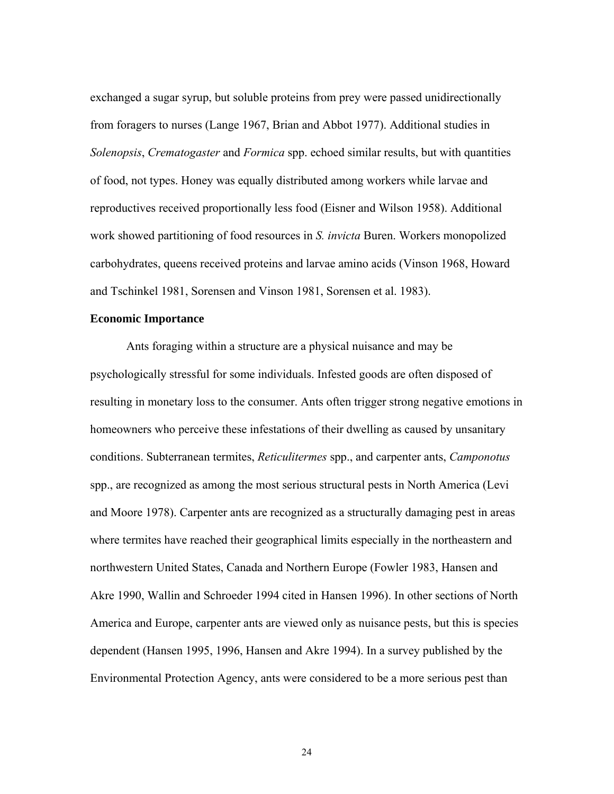exchanged a sugar syrup, but soluble proteins from prey were passed unidirectionally from foragers to nurses (Lange 1967, Brian and Abbot 1977). Additional studies in *Solenopsis*, *Crematogaster* and *Formica* spp. echoed similar results, but with quantities of food, not types. Honey was equally distributed among workers while larvae and reproductives received proportionally less food (Eisner and Wilson 1958). Additional work showed partitioning of food resources in *S. invicta* Buren. Workers monopolized carbohydrates, queens received proteins and larvae amino acids (Vinson 1968, Howard and Tschinkel 1981, Sorensen and Vinson 1981, Sorensen et al. 1983).

#### **Economic Importance**

 Ants foraging within a structure are a physical nuisance and may be psychologically stressful for some individuals. Infested goods are often disposed of resulting in monetary loss to the consumer. Ants often trigger strong negative emotions in homeowners who perceive these infestations of their dwelling as caused by unsanitary conditions. Subterranean termites, *Reticulitermes* spp., and carpenter ants, *Camponotus*  spp., are recognized as among the most serious structural pests in North America (Levi and Moore 1978). Carpenter ants are recognized as a structurally damaging pest in areas where termites have reached their geographical limits especially in the northeastern and northwestern United States, Canada and Northern Europe (Fowler 1983, Hansen and Akre 1990, Wallin and Schroeder 1994 cited in Hansen 1996). In other sections of North America and Europe, carpenter ants are viewed only as nuisance pests, but this is species dependent (Hansen 1995, 1996, Hansen and Akre 1994). In a survey published by the Environmental Protection Agency, ants were considered to be a more serious pest than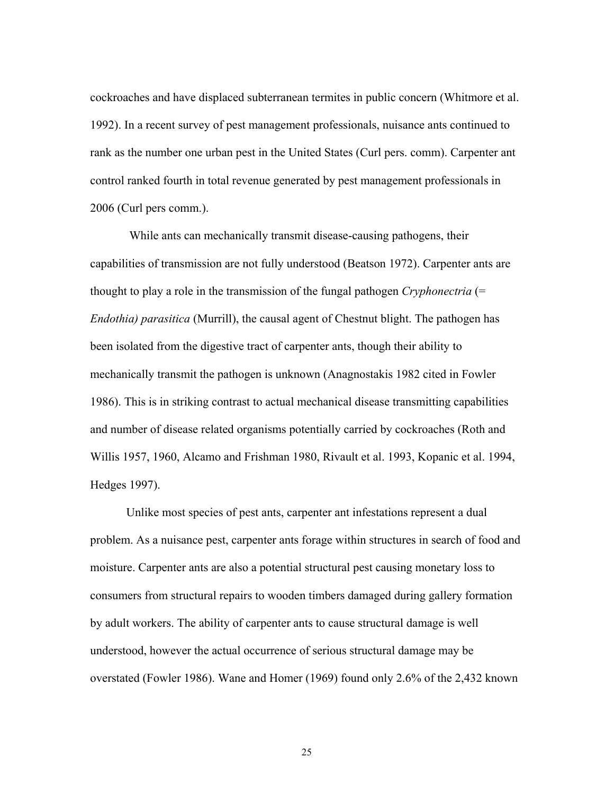cockroaches and have displaced subterranean termites in public concern (Whitmore et al. 1992). In a recent survey of pest management professionals, nuisance ants continued to rank as the number one urban pest in the United States (Curl pers. comm). Carpenter ant control ranked fourth in total revenue generated by pest management professionals in 2006 (Curl pers comm.).

 While ants can mechanically transmit disease-causing pathogens, their capabilities of transmission are not fully understood (Beatson 1972). Carpenter ants are thought to play a role in the transmission of the fungal pathogen *Cryphonectria* (= *Endothia) parasitica* (Murrill), the causal agent of Chestnut blight. The pathogen has been isolated from the digestive tract of carpenter ants, though their ability to mechanically transmit the pathogen is unknown (Anagnostakis 1982 cited in Fowler 1986). This is in striking contrast to actual mechanical disease transmitting capabilities and number of disease related organisms potentially carried by cockroaches (Roth and Willis 1957, 1960, Alcamo and Frishman 1980, Rivault et al. 1993, Kopanic et al. 1994, Hedges 1997).

 Unlike most species of pest ants, carpenter ant infestations represent a dual problem. As a nuisance pest, carpenter ants forage within structures in search of food and moisture. Carpenter ants are also a potential structural pest causing monetary loss to consumers from structural repairs to wooden timbers damaged during gallery formation by adult workers. The ability of carpenter ants to cause structural damage is well understood, however the actual occurrence of serious structural damage may be overstated (Fowler 1986). Wane and Homer (1969) found only 2.6% of the 2,432 known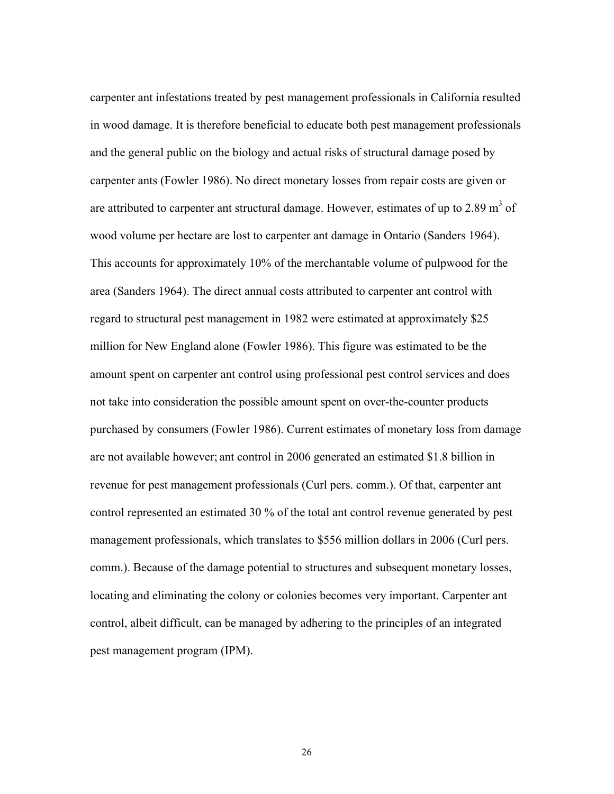carpenter ant infestations treated by pest management professionals in California resulted in wood damage. It is therefore beneficial to educate both pest management professionals and the general public on the biology and actual risks of structural damage posed by carpenter ants (Fowler 1986). No direct monetary losses from repair costs are given or are attributed to carpenter ant structural damage. However, estimates of up to 2.89  $m<sup>3</sup>$  of wood volume per hectare are lost to carpenter ant damage in Ontario (Sanders 1964). This accounts for approximately 10% of the merchantable volume of pulpwood for the area (Sanders 1964). The direct annual costs attributed to carpenter ant control with regard to structural pest management in 1982 were estimated at approximately \$25 million for New England alone (Fowler 1986). This figure was estimated to be the amount spent on carpenter ant control using professional pest control services and does not take into consideration the possible amount spent on over-the-counter products purchased by consumers (Fowler 1986). Current estimates of monetary loss from damage are not available however; ant control in 2006 generated an estimated \$1.8 billion in revenue for pest management professionals (Curl pers. comm.). Of that, carpenter ant control represented an estimated 30 % of the total ant control revenue generated by pest management professionals, which translates to \$556 million dollars in 2006 (Curl pers. comm.). Because of the damage potential to structures and subsequent monetary losses, locating and eliminating the colony or colonies becomes very important. Carpenter ant control, albeit difficult, can be managed by adhering to the principles of an integrated pest management program (IPM).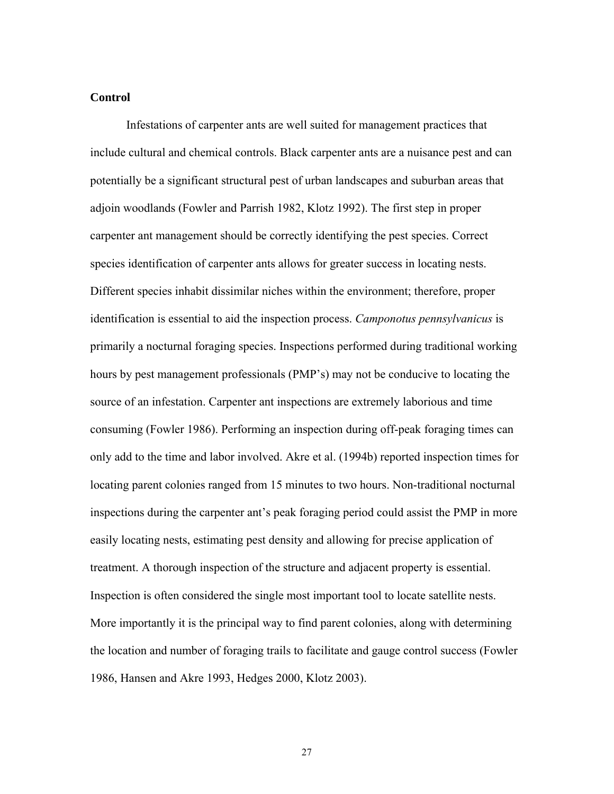### **Control**

 Infestations of carpenter ants are well suited for management practices that include cultural and chemical controls. Black carpenter ants are a nuisance pest and can potentially be a significant structural pest of urban landscapes and suburban areas that adjoin woodlands (Fowler and Parrish 1982, Klotz 1992). The first step in proper carpenter ant management should be correctly identifying the pest species. Correct species identification of carpenter ants allows for greater success in locating nests. Different species inhabit dissimilar niches within the environment; therefore, proper identification is essential to aid the inspection process. *Camponotus pennsylvanicus* is primarily a nocturnal foraging species. Inspections performed during traditional working hours by pest management professionals (PMP's) may not be conducive to locating the source of an infestation. Carpenter ant inspections are extremely laborious and time consuming (Fowler 1986). Performing an inspection during off-peak foraging times can only add to the time and labor involved. Akre et al. (1994b) reported inspection times for locating parent colonies ranged from 15 minutes to two hours. Non-traditional nocturnal inspections during the carpenter ant's peak foraging period could assist the PMP in more easily locating nests, estimating pest density and allowing for precise application of treatment. A thorough inspection of the structure and adjacent property is essential. Inspection is often considered the single most important tool to locate satellite nests. More importantly it is the principal way to find parent colonies, along with determining the location and number of foraging trails to facilitate and gauge control success (Fowler 1986, Hansen and Akre 1993, Hedges 2000, Klotz 2003).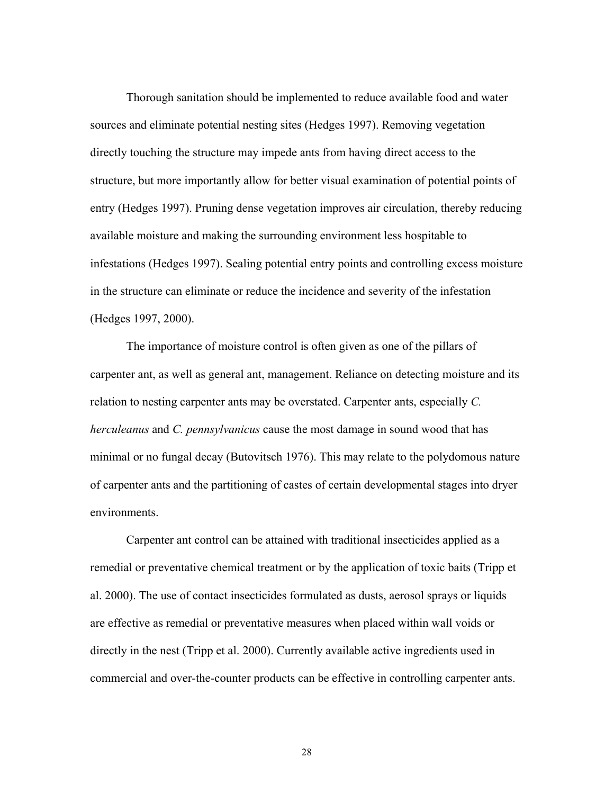Thorough sanitation should be implemented to reduce available food and water sources and eliminate potential nesting sites (Hedges 1997). Removing vegetation directly touching the structure may impede ants from having direct access to the structure, but more importantly allow for better visual examination of potential points of entry (Hedges 1997). Pruning dense vegetation improves air circulation, thereby reducing available moisture and making the surrounding environment less hospitable to infestations (Hedges 1997). Sealing potential entry points and controlling excess moisture in the structure can eliminate or reduce the incidence and severity of the infestation (Hedges 1997, 2000).

 The importance of moisture control is often given as one of the pillars of carpenter ant, as well as general ant, management. Reliance on detecting moisture and its relation to nesting carpenter ants may be overstated. Carpenter ants, especially *C. herculeanus* and *C. pennsylvanicus* cause the most damage in sound wood that has minimal or no fungal decay (Butovitsch 1976). This may relate to the polydomous nature of carpenter ants and the partitioning of castes of certain developmental stages into dryer environments.

 Carpenter ant control can be attained with traditional insecticides applied as a remedial or preventative chemical treatment or by the application of toxic baits (Tripp et al. 2000). The use of contact insecticides formulated as dusts, aerosol sprays or liquids are effective as remedial or preventative measures when placed within wall voids or directly in the nest (Tripp et al. 2000). Currently available active ingredients used in commercial and over-the-counter products can be effective in controlling carpenter ants.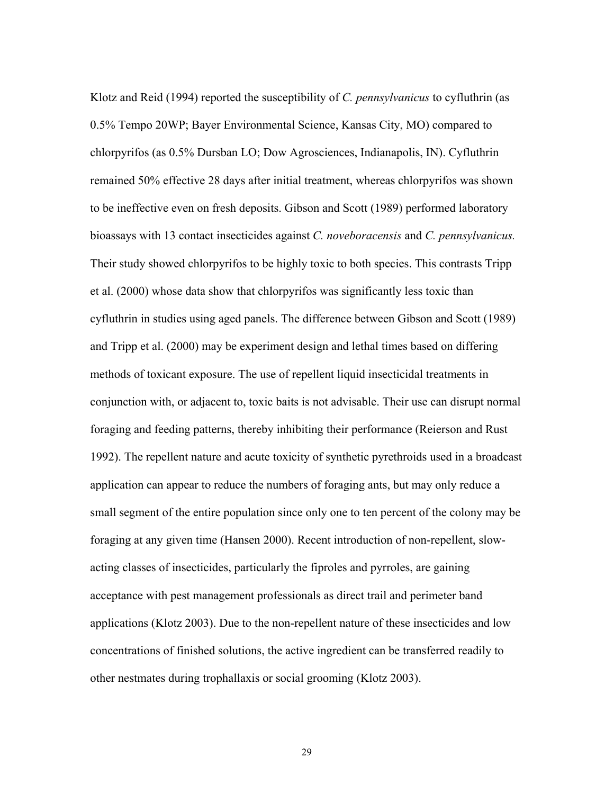Klotz and Reid (1994) reported the susceptibility of *C. pennsylvanicus* to cyfluthrin (as 0.5% Tempo 20WP; Bayer Environmental Science, Kansas City, MO) compared to chlorpyrifos (as 0.5% Dursban LO; Dow Agrosciences, Indianapolis, IN). Cyfluthrin remained 50% effective 28 days after initial treatment, whereas chlorpyrifos was shown to be ineffective even on fresh deposits. Gibson and Scott (1989) performed laboratory bioassays with 13 contact insecticides against *C. noveboracensis* and *C. pennsylvanicus.* Their study showed chlorpyrifos to be highly toxic to both species. This contrasts Tripp et al. (2000) whose data show that chlorpyrifos was significantly less toxic than cyfluthrin in studies using aged panels. The difference between Gibson and Scott (1989) and Tripp et al. (2000) may be experiment design and lethal times based on differing methods of toxicant exposure. The use of repellent liquid insecticidal treatments in conjunction with, or adjacent to, toxic baits is not advisable. Their use can disrupt normal foraging and feeding patterns, thereby inhibiting their performance (Reierson and Rust 1992). The repellent nature and acute toxicity of synthetic pyrethroids used in a broadcast application can appear to reduce the numbers of foraging ants, but may only reduce a small segment of the entire population since only one to ten percent of the colony may be foraging at any given time (Hansen 2000). Recent introduction of non-repellent, slowacting classes of insecticides, particularly the fiproles and pyrroles, are gaining acceptance with pest management professionals as direct trail and perimeter band applications (Klotz 2003). Due to the non-repellent nature of these insecticides and low concentrations of finished solutions, the active ingredient can be transferred readily to other nestmates during trophallaxis or social grooming (Klotz 2003).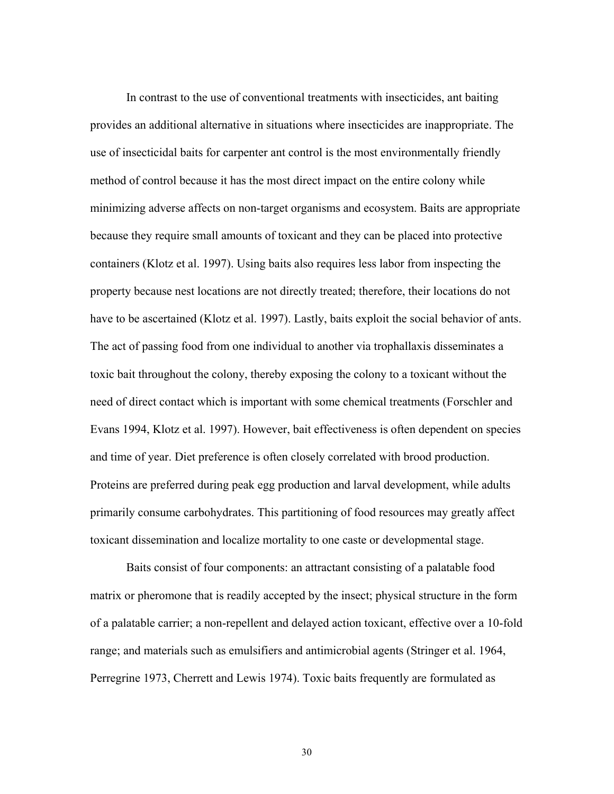In contrast to the use of conventional treatments with insecticides, ant baiting provides an additional alternative in situations where insecticides are inappropriate. The use of insecticidal baits for carpenter ant control is the most environmentally friendly method of control because it has the most direct impact on the entire colony while minimizing adverse affects on non-target organisms and ecosystem. Baits are appropriate because they require small amounts of toxicant and they can be placed into protective containers (Klotz et al. 1997). Using baits also requires less labor from inspecting the property because nest locations are not directly treated; therefore, their locations do not have to be ascertained (Klotz et al. 1997). Lastly, baits exploit the social behavior of ants. The act of passing food from one individual to another via trophallaxis disseminates a toxic bait throughout the colony, thereby exposing the colony to a toxicant without the need of direct contact which is important with some chemical treatments (Forschler and Evans 1994, Klotz et al. 1997). However, bait effectiveness is often dependent on species and time of year. Diet preference is often closely correlated with brood production. Proteins are preferred during peak egg production and larval development, while adults primarily consume carbohydrates. This partitioning of food resources may greatly affect toxicant dissemination and localize mortality to one caste or developmental stage.

 Baits consist of four components: an attractant consisting of a palatable food matrix or pheromone that is readily accepted by the insect; physical structure in the form of a palatable carrier; a non-repellent and delayed action toxicant, effective over a 10-fold range; and materials such as emulsifiers and antimicrobial agents (Stringer et al. 1964, Perregrine 1973, Cherrett and Lewis 1974). Toxic baits frequently are formulated as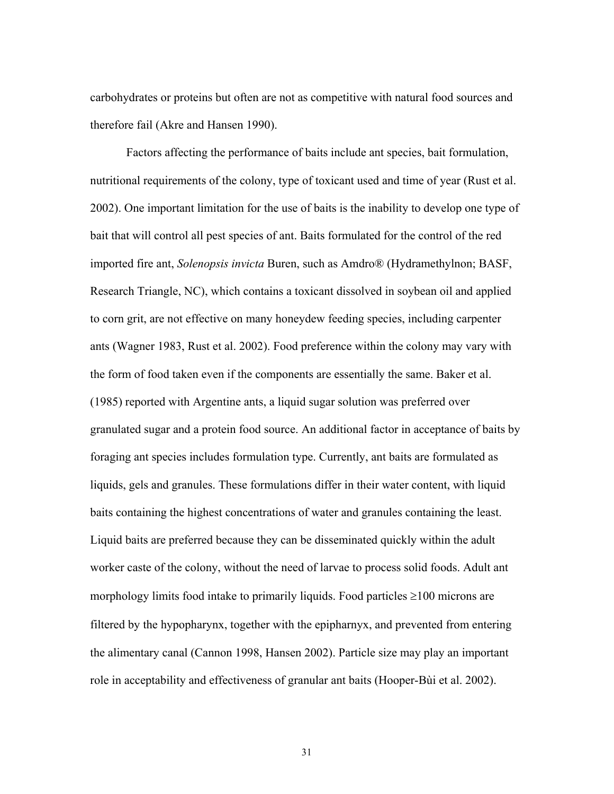carbohydrates or proteins but often are not as competitive with natural food sources and therefore fail (Akre and Hansen 1990).

 Factors affecting the performance of baits include ant species, bait formulation, nutritional requirements of the colony, type of toxicant used and time of year (Rust et al. 2002). One important limitation for the use of baits is the inability to develop one type of bait that will control all pest species of ant. Baits formulated for the control of the red imported fire ant, *Solenopsis invicta* Buren, such as Amdro® (Hydramethylnon; BASF, Research Triangle, NC), which contains a toxicant dissolved in soybean oil and applied to corn grit, are not effective on many honeydew feeding species, including carpenter ants (Wagner 1983, Rust et al. 2002). Food preference within the colony may vary with the form of food taken even if the components are essentially the same. Baker et al. (1985) reported with Argentine ants, a liquid sugar solution was preferred over granulated sugar and a protein food source. An additional factor in acceptance of baits by foraging ant species includes formulation type. Currently, ant baits are formulated as liquids, gels and granules. These formulations differ in their water content, with liquid baits containing the highest concentrations of water and granules containing the least. Liquid baits are preferred because they can be disseminated quickly within the adult worker caste of the colony, without the need of larvae to process solid foods. Adult ant morphology limits food intake to primarily liquids. Food particles ≥100 microns are filtered by the hypopharynx, together with the epipharnyx, and prevented from entering the alimentary canal (Cannon 1998, Hansen 2002). Particle size may play an important role in acceptability and effectiveness of granular ant baits (Hooper-Bùi et al. 2002).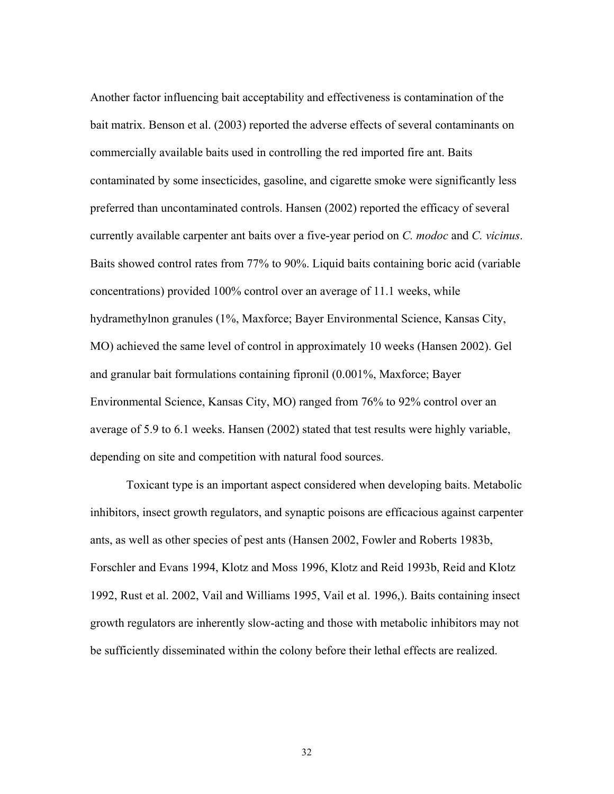Another factor influencing bait acceptability and effectiveness is contamination of the bait matrix. Benson et al. (2003) reported the adverse effects of several contaminants on commercially available baits used in controlling the red imported fire ant. Baits contaminated by some insecticides, gasoline, and cigarette smoke were significantly less preferred than uncontaminated controls. Hansen (2002) reported the efficacy of several currently available carpenter ant baits over a five-year period on *C. modoc* and *C. vicinus*. Baits showed control rates from 77% to 90%. Liquid baits containing boric acid (variable concentrations) provided 100% control over an average of 11.1 weeks, while hydramethylnon granules (1%, Maxforce; Bayer Environmental Science, Kansas City, MO) achieved the same level of control in approximately 10 weeks (Hansen 2002). Gel and granular bait formulations containing fipronil (0.001%, Maxforce; Bayer Environmental Science, Kansas City, MO) ranged from 76% to 92% control over an average of 5.9 to 6.1 weeks. Hansen (2002) stated that test results were highly variable, depending on site and competition with natural food sources.

 Toxicant type is an important aspect considered when developing baits. Metabolic inhibitors, insect growth regulators, and synaptic poisons are efficacious against carpenter ants, as well as other species of pest ants (Hansen 2002, Fowler and Roberts 1983b, Forschler and Evans 1994, Klotz and Moss 1996, Klotz and Reid 1993b, Reid and Klotz 1992, Rust et al. 2002, Vail and Williams 1995, Vail et al. 1996,). Baits containing insect growth regulators are inherently slow-acting and those with metabolic inhibitors may not be sufficiently disseminated within the colony before their lethal effects are realized.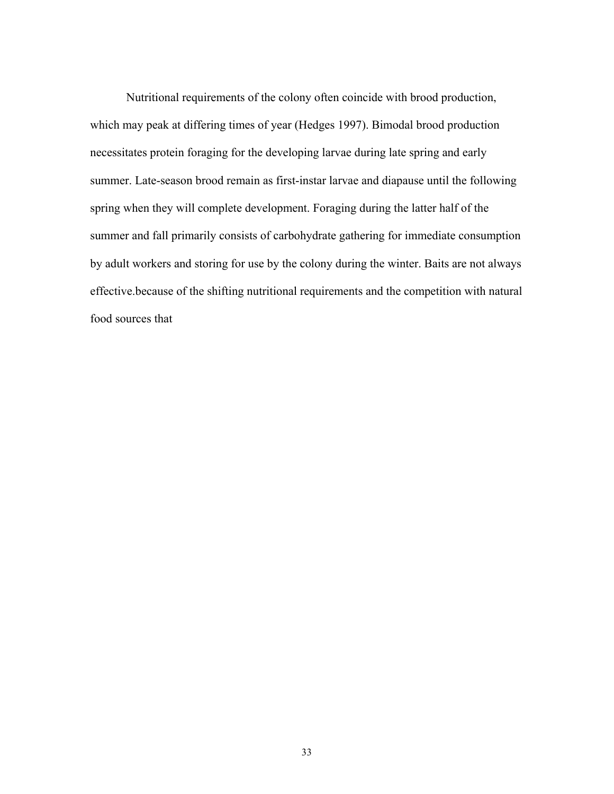Nutritional requirements of the colony often coincide with brood production, which may peak at differing times of year (Hedges 1997). Bimodal brood production necessitates protein foraging for the developing larvae during late spring and early summer. Late-season brood remain as first-instar larvae and diapause until the following spring when they will complete development. Foraging during the latter half of the summer and fall primarily consists of carbohydrate gathering for immediate consumption by adult workers and storing for use by the colony during the winter. Baits are not always effective.because of the shifting nutritional requirements and the competition with natural food sources that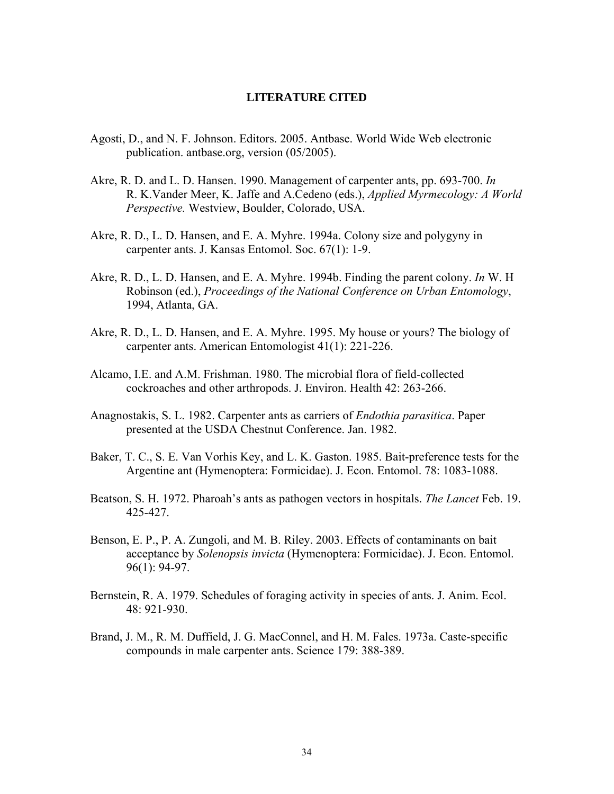### **LITERATURE CITED**

- Agosti, D., and N. F. Johnson. Editors. 2005. Antbase. World Wide Web electronic publication. antbase.org, version (05/2005).
- Akre, R. D. and L. D. Hansen. 1990. Management of carpenter ants, pp. 693-700. *In* R. K.Vander Meer, K. Jaffe and A.Cedeno (eds.), *Applied Myrmecology: A World Perspective.* Westview, Boulder, Colorado, USA.
- Akre, R. D., L. D. Hansen, and E. A. Myhre. 1994a. Colony size and polygyny in carpenter ants. J. Kansas Entomol. Soc. 67(1): 1-9.
- Akre, R. D., L. D. Hansen, and E. A. Myhre. 1994b. Finding the parent colony. *In* W. H Robinson (ed.), *Proceedings of the National Conference on Urban Entomology*, 1994, Atlanta, GA.
- Akre, R. D., L. D. Hansen, and E. A. Myhre. 1995. My house or yours? The biology of carpenter ants. American Entomologist 41(1): 221-226.
- Alcamo, I.E. and A.M. Frishman. 1980. The microbial flora of field-collected cockroaches and other arthropods. J. Environ. Health 42: 263-266.
- Anagnostakis, S. L. 1982. Carpenter ants as carriers of *Endothia parasitica*. Paper presented at the USDA Chestnut Conference. Jan. 1982.
- Baker, T. C., S. E. Van Vorhis Key, and L. K. Gaston. 1985. Bait-preference tests for the Argentine ant (Hymenoptera: Formicidae). J. Econ. Entomol. 78: 1083-1088.
- Beatson, S. H. 1972. Pharoah's ants as pathogen vectors in hospitals. *The Lancet* Feb. 19. 425-427.
- Benson, E. P., P. A. Zungoli, and M. B. Riley. 2003. Effects of contaminants on bait acceptance by *Solenopsis invicta* (Hymenoptera: Formicidae). J. Econ. Entomol. 96(1): 94-97.
- Bernstein, R. A. 1979. Schedules of foraging activity in species of ants. J. Anim. Ecol. 48: 921-930.
- Brand, J. M., R. M. Duffield, J. G. MacConnel, and H. M. Fales. 1973a. Caste-specific compounds in male carpenter ants. Science 179: 388-389.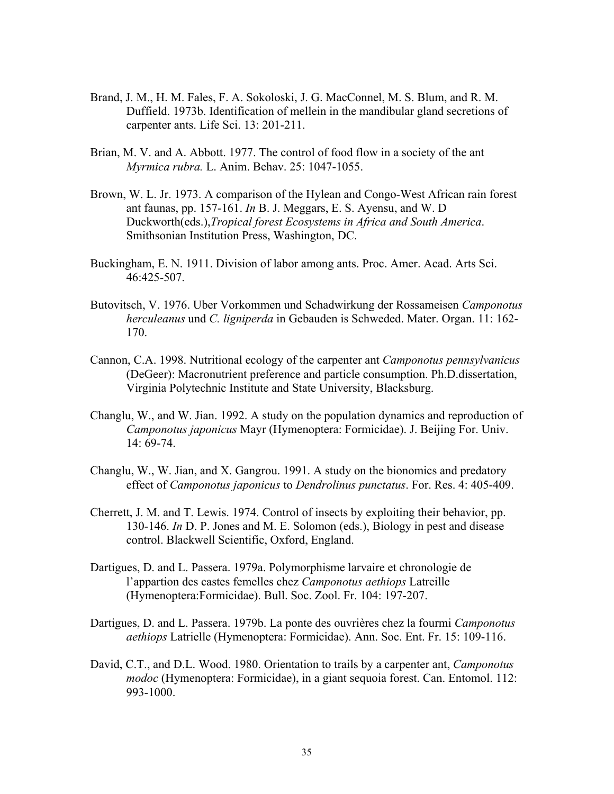- Brand, J. M., H. M. Fales, F. A. Sokoloski, J. G. MacConnel, M. S. Blum, and R. M. Duffield. 1973b. Identification of mellein in the mandibular gland secretions of carpenter ants. Life Sci. 13: 201-211.
- Brian, M. V. and A. Abbott. 1977. The control of food flow in a society of the ant *Myrmica rubra.* L. Anim. Behav. 25: 1047-1055.
- Brown, W. L. Jr. 1973. A comparison of the Hylean and Congo-West African rain forest ant faunas, pp. 157-161. *In* B. J. Meggars, E. S. Ayensu, and W. D Duckworth(eds.),*Tropical forest Ecosystems in Africa and South America*. Smithsonian Institution Press, Washington, DC.
- Buckingham, E. N. 1911. Division of labor among ants. Proc. Amer. Acad. Arts Sci. 46:425-507.
- Butovitsch, V. 1976. Uber Vorkommen und Schadwirkung der Rossameisen *Camponotus herculeanus* und *C. ligniperda* in Gebauden is Schweded. Mater. Organ. 11: 162- 170.
- Cannon, C.A. 1998. Nutritional ecology of the carpenter ant *Camponotus pennsylvanicus*  (DeGeer): Macronutrient preference and particle consumption. Ph.D.dissertation, Virginia Polytechnic Institute and State University, Blacksburg.
- Changlu, W., and W. Jian. 1992. A study on the population dynamics and reproduction of *Camponotus japonicus* Mayr (Hymenoptera: Formicidae). J. Beijing For. Univ. 14: 69-74.
- Changlu, W., W. Jian, and X. Gangrou. 1991. A study on the bionomics and predatory effect of *Camponotus japonicus* to *Dendrolinus punctatus*. For. Res. 4: 405-409.
- Cherrett, J. M. and T. Lewis. 1974. Control of insects by exploiting their behavior, pp. 130-146. *In* D. P. Jones and M. E. Solomon (eds.), Biology in pest and disease control. Blackwell Scientific, Oxford, England.
- Dartigues, D. and L. Passera. 1979a. Polymorphisme larvaire et chronologie de l'appartion des castes femelles chez *Camponotus aethiops* Latreille (Hymenoptera:Formicidae). Bull. Soc. Zool. Fr. 104: 197-207.
- Dartigues, D. and L. Passera. 1979b. La ponte des ouvrières chez la fourmi *Camponotus aethiops* Latrielle (Hymenoptera: Formicidae). Ann. Soc. Ent. Fr. 15: 109-116.
- David, C.T., and D.L. Wood. 1980. Orientation to trails by a carpenter ant, *Camponotus modoc* (Hymenoptera: Formicidae), in a giant sequoia forest. Can. Entomol. 112: 993-1000.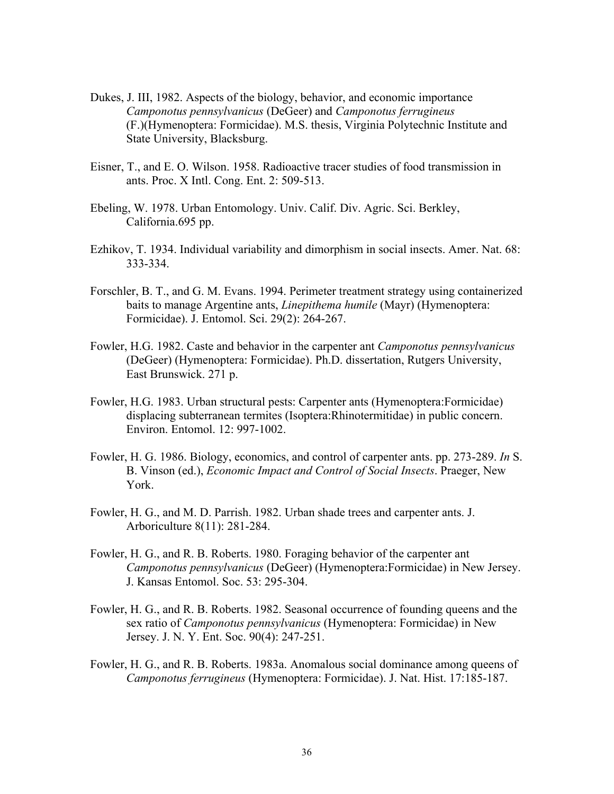- Dukes, J. III, 1982. Aspects of the biology, behavior, and economic importance *Camponotus pennsylvanicus* (DeGeer) and *Camponotus ferrugineus* (F.)(Hymenoptera: Formicidae). M.S. thesis, Virginia Polytechnic Institute and State University, Blacksburg.
- Eisner, T., and E. O. Wilson. 1958. Radioactive tracer studies of food transmission in ants. Proc. X Intl. Cong. Ent. 2: 509-513.
- Ebeling, W. 1978. Urban Entomology. Univ. Calif. Div. Agric. Sci. Berkley, California.695 pp.
- Ezhikov, T. 1934. Individual variability and dimorphism in social insects. Amer. Nat. 68: 333-334.
- Forschler, B. T., and G. M. Evans. 1994. Perimeter treatment strategy using containerized baits to manage Argentine ants, *Linepithema humile* (Mayr) (Hymenoptera: Formicidae). J. Entomol. Sci. 29(2): 264-267.
- Fowler, H.G. 1982. Caste and behavior in the carpenter ant *Camponotus pennsylvanicus*  (DeGeer) (Hymenoptera: Formicidae). Ph.D. dissertation, Rutgers University, East Brunswick. 271 p.
- Fowler, H.G. 1983. Urban structural pests: Carpenter ants (Hymenoptera:Formicidae) displacing subterranean termites (Isoptera:Rhinotermitidae) in public concern. Environ. Entomol. 12: 997-1002.
- Fowler, H. G. 1986. Biology, economics, and control of carpenter ants. pp. 273-289. *In* S. B. Vinson (ed.), *Economic Impact and Control of Social Insects*. Praeger, New York.
- Fowler, H. G., and M. D. Parrish. 1982. Urban shade trees and carpenter ants. J. Arboriculture 8(11): 281-284.
- Fowler, H. G., and R. B. Roberts. 1980. Foraging behavior of the carpenter ant *Camponotus pennsylvanicus* (DeGeer) (Hymenoptera:Formicidae) in New Jersey. J. Kansas Entomol. Soc. 53: 295-304.
- Fowler, H. G., and R. B. Roberts. 1982. Seasonal occurrence of founding queens and the sex ratio of *Camponotus pennsylvanicus* (Hymenoptera: Formicidae) in New Jersey. J. N. Y. Ent. Soc. 90(4): 247-251.
- Fowler, H. G., and R. B. Roberts. 1983a. Anomalous social dominance among queens of *Camponotus ferrugineus* (Hymenoptera: Formicidae). J. Nat. Hist. 17:185-187.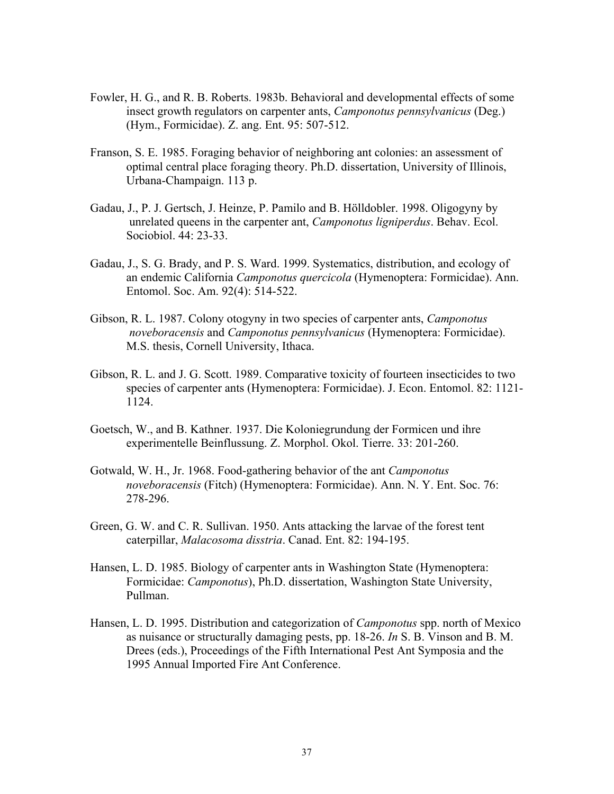- Fowler, H. G., and R. B. Roberts. 1983b. Behavioral and developmental effects of some insect growth regulators on carpenter ants, *Camponotus pennsylvanicus* (Deg.) (Hym., Formicidae). Z. ang. Ent. 95: 507-512.
- Franson, S. E. 1985. Foraging behavior of neighboring ant colonies: an assessment of optimal central place foraging theory. Ph.D. dissertation, University of Illinois, Urbana-Champaign. 113 p.
- Gadau, J., P. J. Gertsch, J. Heinze, P. Pamilo and B. Hölldobler. 1998. Oligogyny by unrelated queens in the carpenter ant, *Camponotus ligniperdus*. Behav. Ecol. Sociobiol. 44: 23-33.
- Gadau, J., S. G. Brady, and P. S. Ward. 1999. Systematics, distribution, and ecology of an endemic California *Camponotus quercicola* (Hymenoptera: Formicidae). Ann. Entomol. Soc. Am. 92(4): 514-522.
- Gibson, R. L. 1987. Colony otogyny in two species of carpenter ants, *Camponotus noveboracensis* and *Camponotus pennsylvanicus* (Hymenoptera: Formicidae). M.S. thesis, Cornell University, Ithaca.
- Gibson, R. L. and J. G. Scott. 1989. Comparative toxicity of fourteen insecticides to two species of carpenter ants (Hymenoptera: Formicidae). J. Econ. Entomol. 82: 1121- 1124.
- Goetsch, W., and B. Kathner. 1937. Die Koloniegrundung der Formicen und ihre experimentelle Beinflussung. Z. Morphol. Okol. Tierre. 33: 201-260.
- Gotwald, W. H., Jr. 1968. Food-gathering behavior of the ant *Camponotus noveboracensis* (Fitch) (Hymenoptera: Formicidae). Ann. N. Y. Ent. Soc. 76: 278-296.
- Green, G. W. and C. R. Sullivan. 1950. Ants attacking the larvae of the forest tent caterpillar, *Malacosoma disstria*. Canad. Ent. 82: 194-195.
- Hansen, L. D. 1985. Biology of carpenter ants in Washington State (Hymenoptera: Formicidae: *Camponotus*), Ph.D. dissertation, Washington State University, Pullman.
- Hansen, L. D. 1995. Distribution and categorization of *Camponotus* spp. north of Mexico as nuisance or structurally damaging pests, pp. 18-26. *In* S. B. Vinson and B. M. Drees (eds.), Proceedings of the Fifth International Pest Ant Symposia and the 1995 Annual Imported Fire Ant Conference.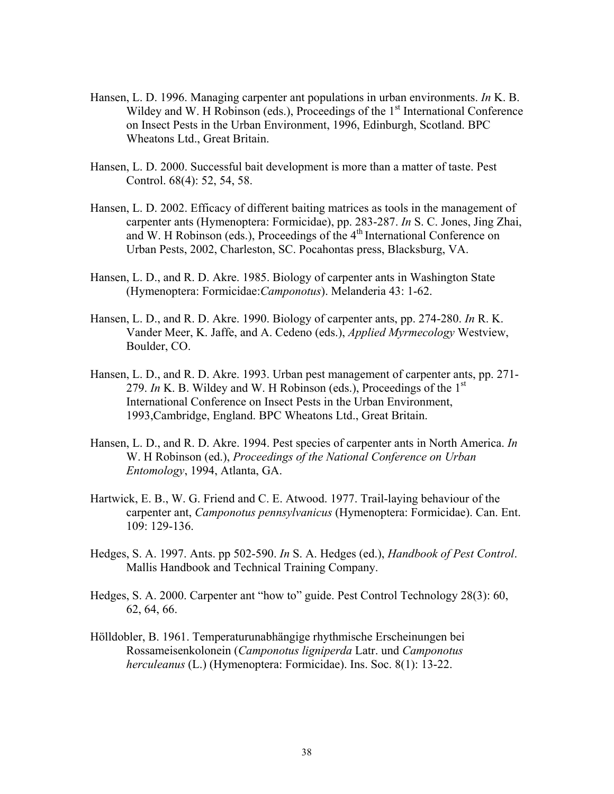- Hansen, L. D. 1996. Managing carpenter ant populations in urban environments. *In* K. B. Wildey and W. H Robinson (eds.), Proceedings of the  $1<sup>st</sup>$  International Conference on Insect Pests in the Urban Environment, 1996, Edinburgh, Scotland. BPC Wheatons Ltd., Great Britain.
- Hansen, L. D. 2000. Successful bait development is more than a matter of taste. Pest Control. 68(4): 52, 54, 58.
- Hansen, L. D. 2002. Efficacy of different baiting matrices as tools in the management of carpenter ants (Hymenoptera: Formicidae), pp. 283-287. *In* S. C. Jones, Jing Zhai, and W. H Robinson (eds.), Proceedings of the 4<sup>th</sup> International Conference on Urban Pests, 2002, Charleston, SC. Pocahontas press, Blacksburg, VA.
- Hansen, L. D., and R. D. Akre. 1985. Biology of carpenter ants in Washington State (Hymenoptera: Formicidae:*Camponotus*). Melanderia 43: 1-62.
- Hansen, L. D., and R. D. Akre. 1990. Biology of carpenter ants, pp. 274-280. *In* R. K. Vander Meer, K. Jaffe, and A. Cedeno (eds.), *Applied Myrmecology* Westview, Boulder, CO.
- Hansen, L. D., and R. D. Akre. 1993. Urban pest management of carpenter ants, pp. 271- 279. *In* K. B. Wildey and W. H Robinson (eds.), Proceedings of the 1st International Conference on Insect Pests in the Urban Environment, 1993,Cambridge, England. BPC Wheatons Ltd., Great Britain.
- Hansen, L. D., and R. D. Akre. 1994. Pest species of carpenter ants in North America. *In*  W. H Robinson (ed.), *Proceedings of the National Conference on Urban Entomology*, 1994, Atlanta, GA.
- Hartwick, E. B., W. G. Friend and C. E. Atwood. 1977. Trail-laying behaviour of the carpenter ant, *Camponotus pennsylvanicus* (Hymenoptera: Formicidae). Can. Ent. 109: 129-136.
- Hedges, S. A. 1997. Ants. pp 502-590. *In* S. A. Hedges (ed.), *Handbook of Pest Control*. Mallis Handbook and Technical Training Company.
- Hedges, S. A. 2000. Carpenter ant "how to" guide. Pest Control Technology 28(3): 60, 62, 64, 66.
- Hölldobler, B. 1961. Temperaturunabhängige rhythmische Erscheinungen bei Rossameisenkolonein (*Camponotus ligniperda* Latr. und *Camponotus herculeanus* (L.) (Hymenoptera: Formicidae). Ins. Soc. 8(1): 13-22.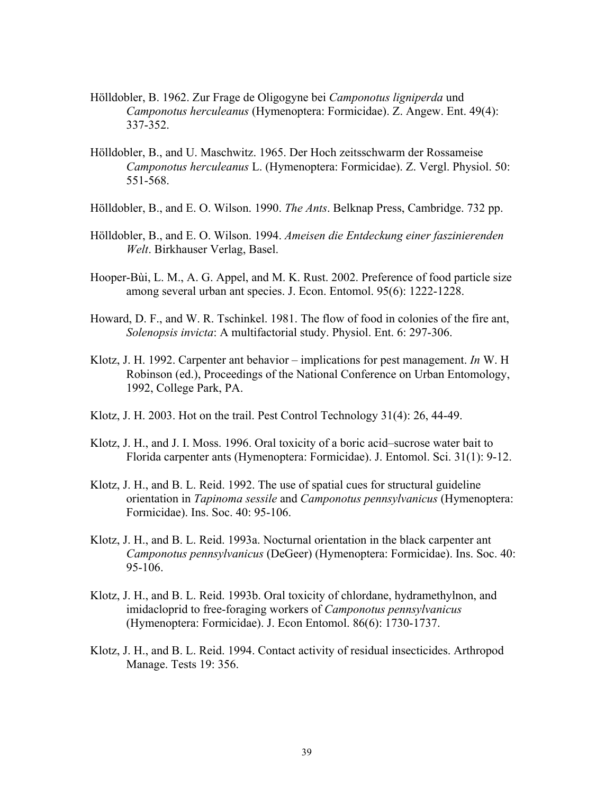- Hölldobler, B. 1962. Zur Frage de Oligogyne bei *Camponotus ligniperda* und *Camponotus herculeanus* (Hymenoptera: Formicidae). Z. Angew. Ent. 49(4): 337-352.
- Hölldobler, B., and U. Maschwitz. 1965. Der Hoch zeitsschwarm der Rossameise *Camponotus herculeanus* L. (Hymenoptera: Formicidae). Z. Vergl. Physiol. 50: 551-568.
- Hölldobler, B., and E. O. Wilson. 1990. *The Ants*. Belknap Press, Cambridge. 732 pp.
- Hölldobler, B., and E. O. Wilson. 1994. *Ameisen die Entdeckung einer faszinierenden Welt*. Birkhauser Verlag, Basel.
- Hooper-Bùi, L. M., A. G. Appel, and M. K. Rust. 2002. Preference of food particle size among several urban ant species. J. Econ. Entomol. 95(6): 1222-1228.
- Howard, D. F., and W. R. Tschinkel. 1981. The flow of food in colonies of the fire ant, *Solenopsis invicta*: A multifactorial study. Physiol. Ent. 6: 297-306.
- Klotz, J. H. 1992. Carpenter ant behavior implications for pest management. *In* W. H Robinson (ed.), Proceedings of the National Conference on Urban Entomology, 1992, College Park, PA.
- Klotz, J. H. 2003. Hot on the trail. Pest Control Technology 31(4): 26, 44-49.
- Klotz, J. H., and J. I. Moss. 1996. Oral toxicity of a boric acid–sucrose water bait to Florida carpenter ants (Hymenoptera: Formicidae). J. Entomol. Sci. 31(1): 9-12.
- Klotz, J. H., and B. L. Reid. 1992. The use of spatial cues for structural guideline orientation in *Tapinoma sessile* and *Camponotus pennsylvanicus* (Hymenoptera: Formicidae). Ins. Soc. 40: 95-106.
- Klotz, J. H., and B. L. Reid. 1993a. Nocturnal orientation in the black carpenter ant *Camponotus pennsylvanicus* (DeGeer) (Hymenoptera: Formicidae). Ins. Soc. 40: 95-106.
- Klotz, J. H., and B. L. Reid. 1993b. Oral toxicity of chlordane, hydramethylnon, and imidacloprid to free-foraging workers of *Camponotus pennsylvanicus*  (Hymenoptera: Formicidae). J. Econ Entomol. 86(6): 1730-1737.
- Klotz, J. H., and B. L. Reid. 1994. Contact activity of residual insecticides. Arthropod Manage. Tests 19: 356.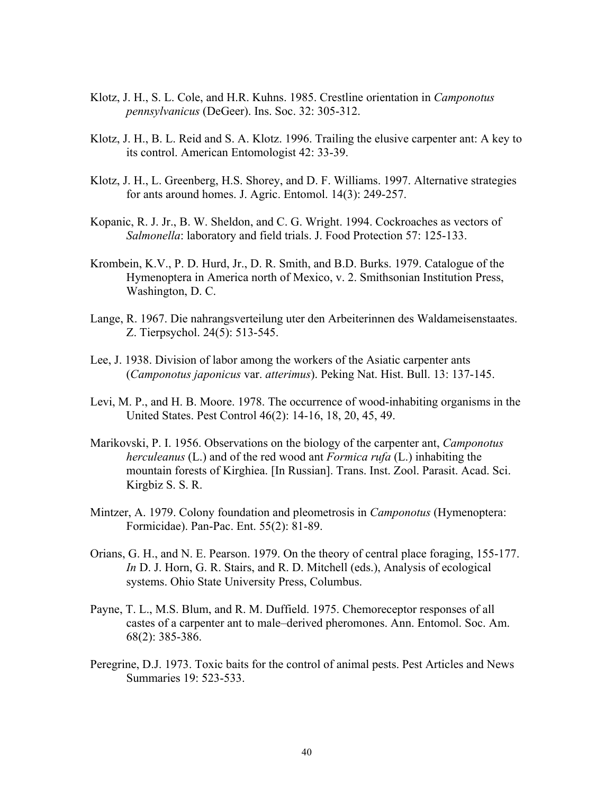- Klotz, J. H., S. L. Cole, and H.R. Kuhns. 1985. Crestline orientation in *Camponotus pennsylvanicus* (DeGeer). Ins. Soc. 32: 305-312.
- Klotz, J. H., B. L. Reid and S. A. Klotz. 1996. Trailing the elusive carpenter ant: A key to its control. American Entomologist 42: 33-39.
- Klotz, J. H., L. Greenberg, H.S. Shorey, and D. F. Williams. 1997. Alternative strategies for ants around homes. J. Agric. Entomol. 14(3): 249-257.
- Kopanic, R. J. Jr., B. W. Sheldon, and C. G. Wright. 1994. Cockroaches as vectors of *Salmonella*: laboratory and field trials. J. Food Protection 57: 125-133.
- Krombein, K.V., P. D. Hurd, Jr., D. R. Smith, and B.D. Burks. 1979. Catalogue of the Hymenoptera in America north of Mexico, v. 2. Smithsonian Institution Press, Washington, D. C.
- Lange, R. 1967. Die nahrangsverteilung uter den Arbeiterinnen des Waldameisenstaates. Z. Tierpsychol. 24(5): 513-545.
- Lee, J. 1938. Division of labor among the workers of the Asiatic carpenter ants (*Camponotus japonicus* var. *atterimus*). Peking Nat. Hist. Bull. 13: 137-145.
- [Levi, M. P., and H](http://webluis.fcla.edu/cgi-bin/cgiwrap/fclwlv3/wlv3/DBFO/DI507303182/DGref/SSKIP%28a%3dLevi%29+and+%28a%3dMoore%29+%26%26+date%3d1978/RO1/RP34/CM30/P2WWP/P1A++=LEVI+M+P). B. [Moore](http://webluis.fcla.edu/cgi-bin/cgiwrap/fclwlv3/wlv3/DBFO/DI507303182/DGref/SSKIP%28a%3dLevi%29+and+%28a%3dMoore%29+%26%26+date%3d1978/RO1/RP34/CM30/P2WWP/P1A++=MOORE+H+B). 1978. The occurrence of wood-inhabiting organisms in the United States. Pest Control 46(2): 14-16, 18, 20, 45, 49.
- Marikovski, P. I. 1956. Observations on the biology of the carpenter ant, *Camponotus herculeanus* (L.) and of the red wood ant *Formica rufa* (L.) inhabiting the mountain forests of Kirghiea. [In Russian]. Trans. Inst. Zool. Parasit. Acad. Sci. Kirgbiz S. S. R.
- Mintzer, A. 1979. Colony foundation and pleometrosis in *Camponotus* (Hymenoptera: Formicidae). Pan-Pac. Ent. 55(2): 81-89.
- Orians, G. H., and N. E. Pearson. 1979. On the theory of central place foraging, 155-177. *In* D. J. Horn, G. R. Stairs, and R. D. Mitchell (eds.), Analysis of ecological systems. Ohio State University Press, Columbus.
- Payne, T. L., M.S. Blum, and R. M. Duffield. 1975. Chemoreceptor responses of all castes of a carpenter ant to male–derived pheromones. Ann. Entomol. Soc. Am. 68(2): 385-386.
- Peregrine, D.J. 1973. Toxic baits for the control of animal pests. Pest Articles and News Summaries 19: 523-533.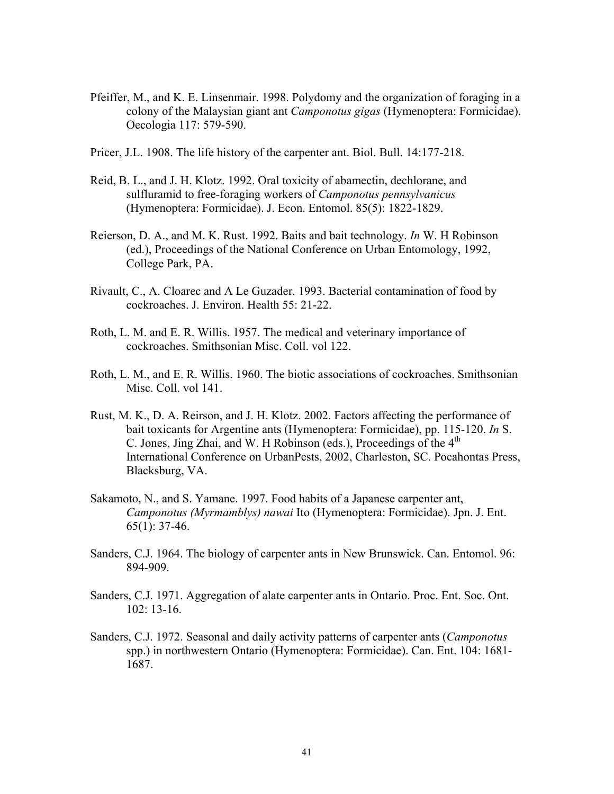- Pfeiffer, M., and K. E. Linsenmair. 1998. Polydomy and the organization of foraging in a colony of the Malaysian giant ant *Camponotus gigas* (Hymenoptera: Formicidae). Oecologia 117: 579-590.
- Pricer, J.L. 1908. The life history of the carpenter ant. Biol. Bull. 14:177-218.
- Reid, B. L., and J. H. Klotz. 1992. Oral toxicity of abamectin, dechlorane, and sulfluramid to free-foraging workers of *Camponotus pennsylvanicus* (Hymenoptera: Formicidae). J. Econ. Entomol. 85(5): 1822-1829.
- Reierson, D. A., and M. K. Rust. 1992. Baits and bait technology. *In* W. H Robinson (ed.), Proceedings of the National Conference on Urban Entomology, 1992, College Park, PA.
- Rivault, C., A. Cloarec and A Le Guzader. 1993. Bacterial contamination of food by cockroaches. J. Environ. Health 55: 21-22.
- Roth, L. M. and E. R. Willis. 1957. The medical and veterinary importance of cockroaches. Smithsonian Misc. Coll. vol 122.
- Roth, L. M., and E. R. Willis. 1960. The biotic associations of cockroaches. Smithsonian Misc. Coll. vol 141.
- Rust, M. K., D. A. Reirson, and J. H. Klotz. 2002. Factors affecting the performance of bait toxicants for Argentine ants (Hymenoptera: Formicidae), pp. 115-120. *In* S. C. Jones, Jing Zhai, and W. H Robinson (eds.), Proceedings of the 4<sup>th</sup> International Conference on UrbanPests, 2002, Charleston, SC. Pocahontas Press, Blacksburg, VA.
- Sakamoto, N., and S. Yamane. 1997. Food habits of a Japanese carpenter ant, *Camponotus (Myrmamblys) nawai* Ito (Hymenoptera: Formicidae). Jpn. J. Ent. 65(1): 37-46.
- Sanders, C.J. 1964. The biology of carpenter ants in New Brunswick. Can. Entomol. 96: 894-909.
- Sanders, C.J. 1971. Aggregation of alate carpenter ants in Ontario. Proc. Ent. Soc. Ont. 102: 13-16.
- Sanders, C.J. 1972. Seasonal and daily activity patterns of carpenter ants (*Camponotus*  spp.) in northwestern Ontario (Hymenoptera: Formicidae). Can. Ent. 104: 1681- 1687.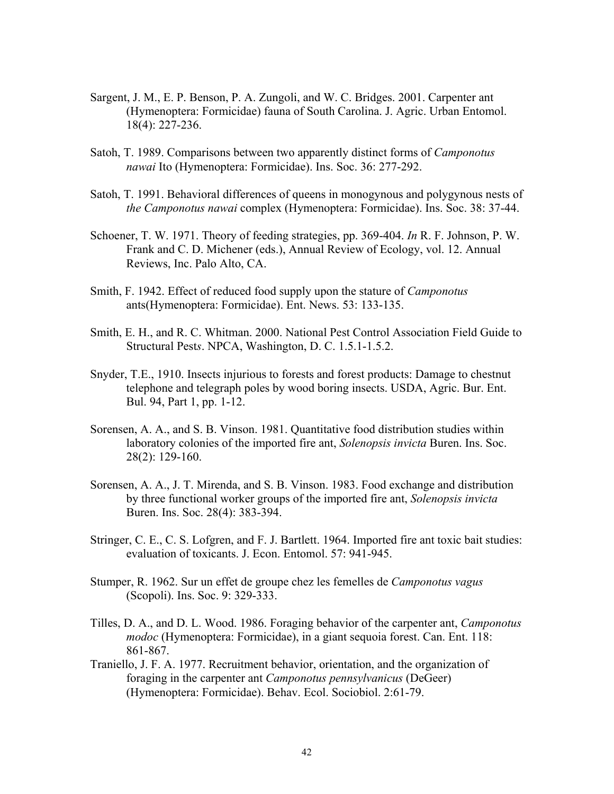- Sargent, J. M., E. P. Benson, P. A. Zungoli, and W. C. Bridges. 2001. Carpenter ant (Hymenoptera: Formicidae) fauna of South Carolina. J. Agric. Urban Entomol. 18(4): 227-236.
- Satoh, T. 1989. Comparisons between two apparently distinct forms of *Camponotus nawai* Ito (Hymenoptera: Formicidae). Ins. Soc. 36: 277-292.
- Satoh, T. 1991. Behavioral differences of queens in monogynous and polygynous nests of *the Camponotus nawai* complex (Hymenoptera: Formicidae). Ins. Soc. 38: 37-44.
- Schoener, T. W. 1971. Theory of feeding strategies, pp. 369-404. *In* R. F. Johnson, P. W. Frank and C. D. Michener (eds.), Annual Review of Ecology, vol. 12. Annual Reviews, Inc. Palo Alto, CA.
- Smith, F. 1942. Effect of reduced food supply upon the stature of *Camponotus* ants(Hymenoptera: Formicidae). Ent. News. 53: 133-135.
- Smith, E. H., and R. C. Whitman. 2000. National Pest Control Association Field Guide to Structural Pest*s*. NPCA, Washington, D. C. 1.5.1-1.5.2.
- Snyder, T.E., 1910. Insects injurious to forests and forest products: Damage to chestnut telephone and telegraph poles by wood boring insects. USDA, Agric. Bur. Ent. Bul. 94, Part 1, pp. 1-12.
- Sorensen, A. A., and S. B. Vinson. 1981. Quantitative food distribution studies within laboratory colonies of the imported fire ant, *Solenopsis invicta* Buren. Ins. Soc. 28(2): 129-160.
- Sorensen, A. A., J. T. Mirenda, and S. B. Vinson. 1983. Food exchange and distribution by three functional worker groups of the imported fire ant, *Solenopsis invicta*  Buren. Ins. Soc. 28(4): 383-394.
- Stringer, C. E., C. S. Lofgren, and F. J. Bartlett. 1964. Imported fire ant toxic bait studies: evaluation of toxicants. J. Econ. Entomol. 57: 941-945.
- [Stumper, R.](http://webluis.fcla.edu/cgi-bin/cgiwrap/fclwlv3/wlv3/DBFO/DI777602288/DGref/SSFIP0000010000010008E2E4C2E5C5D9E2C9D6D540C1D4D6D5C740E3C8C540C1D5E3E240D7C100004040%28a%3dStumper%29+%26%26+date%3d1962/RO1/RP34/CM30/P2WWP/P1A++=STUMPER+R) 1962. Sur un effet de groupe chez les femelles de *Camponotus vagus* (Scopoli). Ins. Soc. 9: 329-333.
- Tilles, D. A., and D. L. Wood. 1986. Foraging behavior of the carpenter ant, *Camponotus modoc* (Hymenoptera: Formicidae), in a giant sequoia forest. Can. Ent. 118: 861-867.
- Traniello, J. F. A. 1977. Recruitment behavior, orientation, and the organization of foraging in the carpenter ant *Camponotus pennsylvanicus* (DeGeer) (Hymenoptera: Formicidae). Behav. Ecol. Sociobiol. 2:61-79.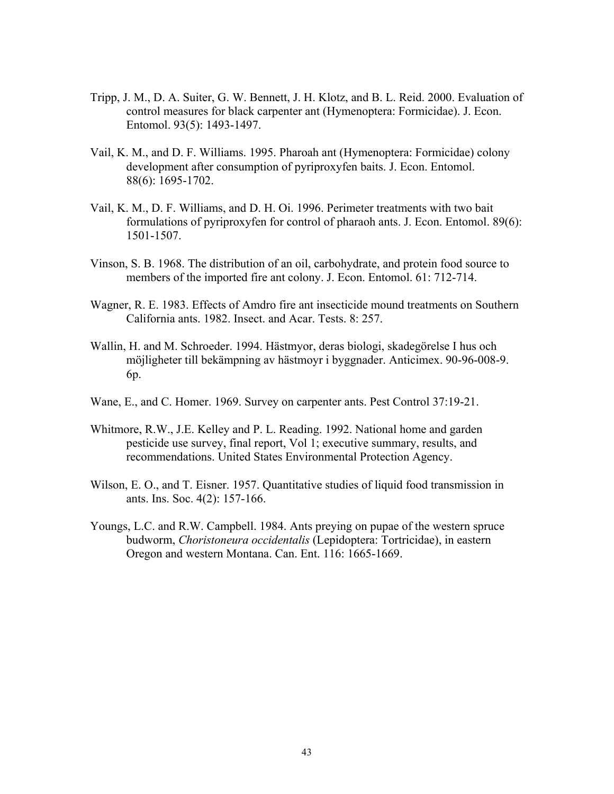- Tripp, J. M., D. A. Suiter, G. W. Bennett, J. H. Klotz, and B. L. Reid. 2000. Evaluation of control measures for black carpenter ant (Hymenoptera: Formicidae). J. Econ. Entomol. 93(5): 1493-1497.
- Vail, K. M., and D. F. Williams. 1995. Pharoah ant (Hymenoptera: Formicidae) colony development after consumption of pyriproxyfen baits. J. Econ. Entomol. 88(6): 1695-1702.
- Vail, K. M., D. F. Williams, and D. H. Oi. 1996. Perimeter treatments with two bait formulations of pyriproxyfen for control of pharaoh ants. J. Econ. Entomol. 89(6): 1501-1507.
- Vinson, S. B. 1968. The distribution of an oil, carbohydrate, and protein food source to members of the imported fire ant colony. J. Econ. Entomol. 61: 712-714.
- Wagner, R. E. 1983. Effects of Amdro fire ant insecticide mound treatments on Southern California ants. 1982. Insect. and Acar. Tests. 8: 257.
- Wallin, H. and M. Schroeder. 1994. Hästmyor, deras biologi, skadegörelse I hus och möjligheter till bekämpning av hästmoyr i byggnader. Anticimex. 90-96-008-9. 6p.
- Wane, E., and C. Homer. 1969. Survey on carpenter ants. Pest Control 37:19-21.
- Whitmore, R.W., J.E. Kelley and P. L. Reading. 1992. National home and garden pesticide use survey, final report, Vol 1; executive summary, results, and recommendations. United States Environmental Protection Agency.
- Wilson, E. O., and T. Eisner. 1957. Quantitative studies of liquid food transmission in ants. Ins. Soc. 4(2): 157-166.
- Youngs, L.C. and R.W. Campbell. 1984. Ants preying on pupae of the western spruce budworm, *Choristoneura occidentalis* (Lepidoptera: Tortricidae), in eastern Oregon and western Montana. Can. Ent. 116: 1665-1669.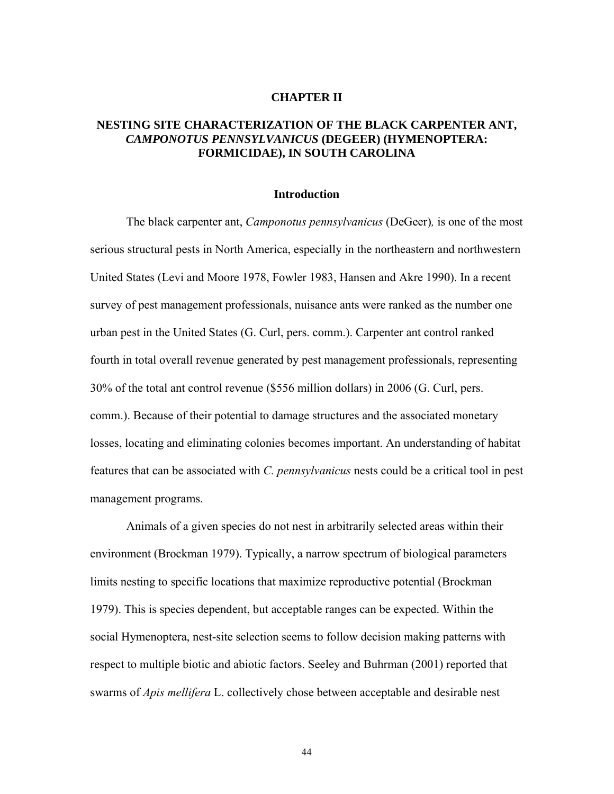#### **CHAPTER II**

## **NESTING SITE CHARACTERIZATION OF THE BLACK CARPENTER ANT,**  *CAMPONOTUS PENNSYLVANICUS* **(DEGEER) (HYMENOPTERA: FORMICIDAE), IN SOUTH CAROLINA**

#### **Introduction**

The black carpenter ant, *Camponotus pennsylvanicus* (DeGeer)*,* is one of the most serious structural pests in North America, especially in the northeastern and northwestern United States (Levi and Moore 1978, Fowler 1983, Hansen and Akre 1990). In a recent survey of pest management professionals, nuisance ants were ranked as the number one urban pest in the United States (G. Curl, pers. comm.). Carpenter ant control ranked fourth in total overall revenue generated by pest management professionals, representing 30% of the total ant control revenue (\$556 million dollars) in 2006 (G. Curl, pers. comm.). Because of their potential to damage structures and the associated monetary losses, locating and eliminating colonies becomes important. An understanding of habitat features that can be associated with *C. pennsylvanicus* nests could be a critical tool in pest management programs.

 Animals of a given species do not nest in arbitrarily selected areas within their environment (Brockman 1979). Typically, a narrow spectrum of biological parameters limits nesting to specific locations that maximize reproductive potential (Brockman 1979). This is species dependent, but acceptable ranges can be expected. Within the social Hymenoptera, nest-site selection seems to follow decision making patterns with respect to multiple biotic and abiotic factors. Seeley and Buhrman (2001) reported that swarms of *Apis mellifera* L. collectively chose between acceptable and desirable nest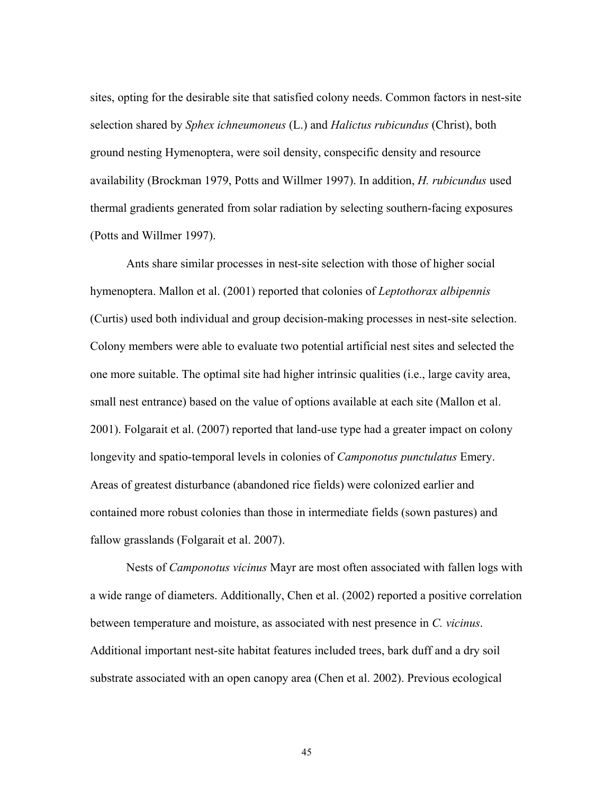sites, opting for the desirable site that satisfied colony needs. Common factors in nest-site selection shared by *Sphex ichneumoneus* (L.) and *Halictus rubicundus* (Christ), both ground nesting Hymenoptera, were soil density, conspecific density and resource availability (Brockman 1979, Potts and Willmer 1997). In addition, *H. rubicundus* used thermal gradients generated from solar radiation by selecting southern-facing exposures (Potts and Willmer 1997).

 Ants share similar processes in nest-site selection with those of higher social hymenoptera. Mallon et al. (2001) reported that colonies of *Leptothorax albipennis* (Curtis) used both individual and group decision-making processes in nest-site selection. Colony members were able to evaluate two potential artificial nest sites and selected the one more suitable. The optimal site had higher intrinsic qualities (i.e., large cavity area, small nest entrance) based on the value of options available at each site (Mallon et al. 2001). Folgarait et al. (2007) reported that land-use type had a greater impact on colony longevity and spatio-temporal levels in colonies of *Camponotus punctulatus* Emery. Areas of greatest disturbance (abandoned rice fields) were colonized earlier and contained more robust colonies than those in intermediate fields (sown pastures) and fallow grasslands (Folgarait et al. 2007).

Nests of *Camponotus vicinus* Mayr are most often associated with fallen logs with a wide range of diameters. Additionally, Chen et al. (2002) reported a positive correlation between temperature and moisture, as associated with nest presence in *C. vicinus*. Additional important nest-site habitat features included trees, bark duff and a dry soil substrate associated with an open canopy area (Chen et al. 2002). Previous ecological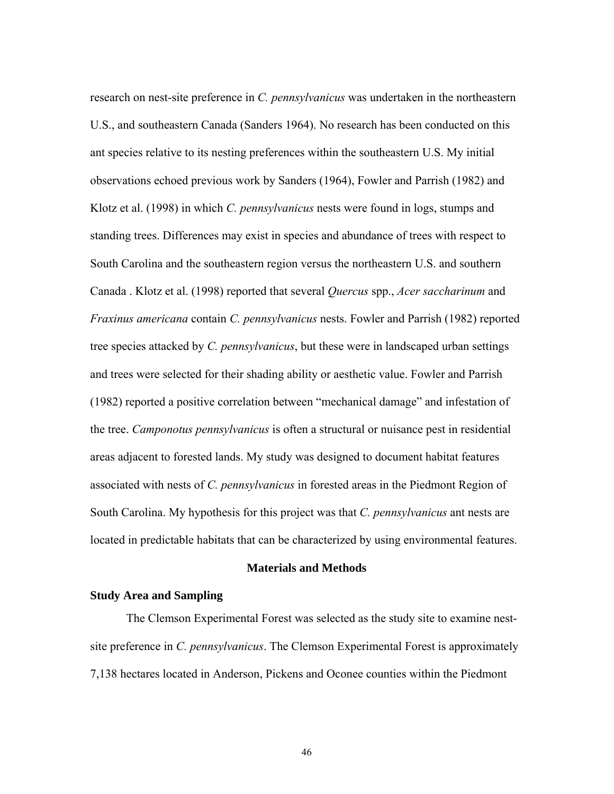research on nest-site preference in *C. pennsylvanicus* was undertaken in the northeastern U.S., and southeastern Canada (Sanders 1964). No research has been conducted on this ant species relative to its nesting preferences within the southeastern U.S. My initial observations echoed previous work by Sanders (1964), Fowler and Parrish (1982) and Klotz et al. (1998) in which *C. pennsylvanicus* nests were found in logs, stumps and standing trees. Differences may exist in species and abundance of trees with respect to South Carolina and the southeastern region versus the northeastern U.S. and southern Canada . Klotz et al. (1998) reported that several *Quercus* spp., *Acer saccharinum* and *Fraxinus americana* contain *C. pennsylvanicus* nests. Fowler and Parrish (1982) reported tree species attacked by *C. pennsylvanicus*, but these were in landscaped urban settings and trees were selected for their shading ability or aesthetic value. Fowler and Parrish (1982) reported a positive correlation between "mechanical damage" and infestation of the tree. *Camponotus pennsylvanicus* is often a structural or nuisance pest in residential areas adjacent to forested lands. My study was designed to document habitat features associated with nests of *C. pennsylvanicus* in forested areas in the Piedmont Region of South Carolina. My hypothesis for this project was that *C. pennsylvanicus* ant nests are located in predictable habitats that can be characterized by using environmental features.

#### **Materials and Methods**

# **Study Area and Sampling**

The Clemson Experimental Forest was selected as the study site to examine nestsite preference in *C. pennsylvanicus*. The Clemson Experimental Forest is approximately 7,138 hectares located in Anderson, Pickens and Oconee counties within the Piedmont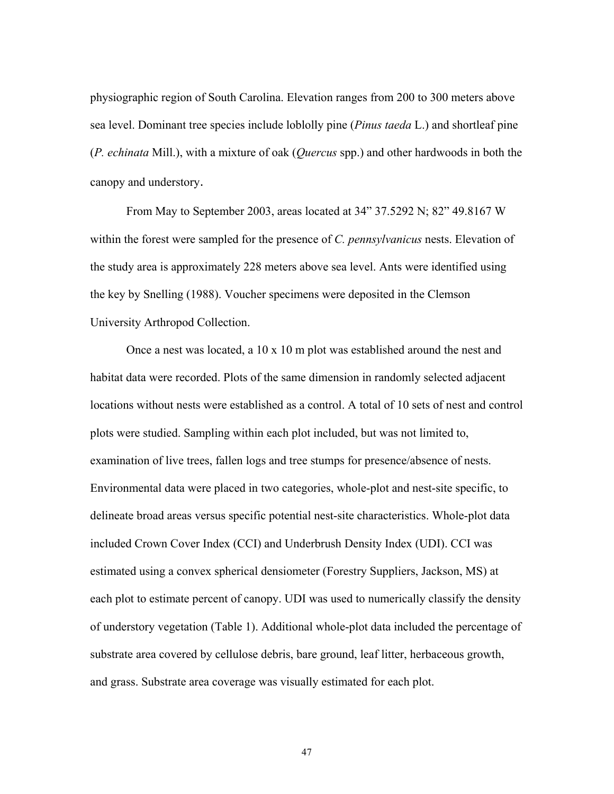physiographic region of South Carolina. Elevation ranges from 200 to 300 meters above sea level. Dominant tree species include loblolly pine (*Pinus taeda* L.) and shortleaf pine (*P. echinata* Mill.), with a mixture of oak (*Quercus* spp.) and other hardwoods in both the canopy and understory.

From May to September 2003, areas located at 34" 37.5292 N; 82" 49.8167 W within the forest were sampled for the presence of *C. pennsylvanicus* nests. Elevation of the study area is approximately 228 meters above sea level. Ants were identified using the key by Snelling (1988). Voucher specimens were deposited in the Clemson University Arthropod Collection.

Once a nest was located, a  $10 \times 10$  m plot was established around the nest and habitat data were recorded. Plots of the same dimension in randomly selected adjacent locations without nests were established as a control. A total of 10 sets of nest and control plots were studied. Sampling within each plot included, but was not limited to, examination of live trees, fallen logs and tree stumps for presence/absence of nests. Environmental data were placed in two categories, whole-plot and nest-site specific, to delineate broad areas versus specific potential nest-site characteristics. Whole-plot data included Crown Cover Index (CCI) and Underbrush Density Index (UDI). CCI was estimated using a convex spherical densiometer (Forestry Suppliers, Jackson, MS) at each plot to estimate percent of canopy. UDI was used to numerically classify the density of understory vegetation (Table 1). Additional whole-plot data included the percentage of substrate area covered by cellulose debris, bare ground, leaf litter, herbaceous growth, and grass. Substrate area coverage was visually estimated for each plot.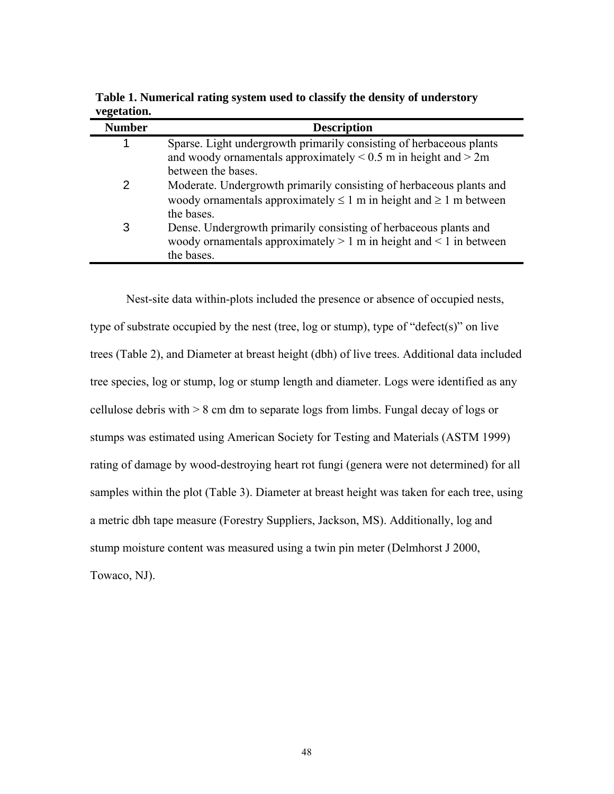| <b>Number</b> | <b>Description</b>                                                                                                                                               |
|---------------|------------------------------------------------------------------------------------------------------------------------------------------------------------------|
| 1             | Sparse. Light undergrowth primarily consisting of herbaceous plants<br>and woody ornamentals approximately $< 0.5$ m in height and $> 2m$                        |
|               | between the bases.                                                                                                                                               |
|               | Moderate. Undergrowth primarily consisting of herbaceous plants and<br>woody ornamentals approximately $\leq 1$ m in height and $\geq 1$ m between<br>the bases. |
| 3             | Dense. Undergrowth primarily consisting of herbaceous plants and<br>woody ornamentals approximately $> 1$ m in height and $< 1$ in between<br>the bases.         |

**Table 1. Numerical rating system used to classify the density of understory vegetation.** 

Nest-site data within-plots included the presence or absence of occupied nests, type of substrate occupied by the nest (tree, log or stump), type of "defect(s)" on live trees (Table 2), and Diameter at breast height (dbh) of live trees. Additional data included tree species, log or stump, log or stump length and diameter. Logs were identified as any cellulose debris with > 8 cm dm to separate logs from limbs. Fungal decay of logs or stumps was estimated using American Society for Testing and Materials (ASTM 1999) rating of damage by wood-destroying heart rot fungi (genera were not determined) for all samples within the plot (Table 3). Diameter at breast height was taken for each tree, using a metric dbh tape measure (Forestry Suppliers, Jackson, MS). Additionally, log and stump moisture content was measured using a twin pin meter (Delmhorst J 2000, Towaco, NJ).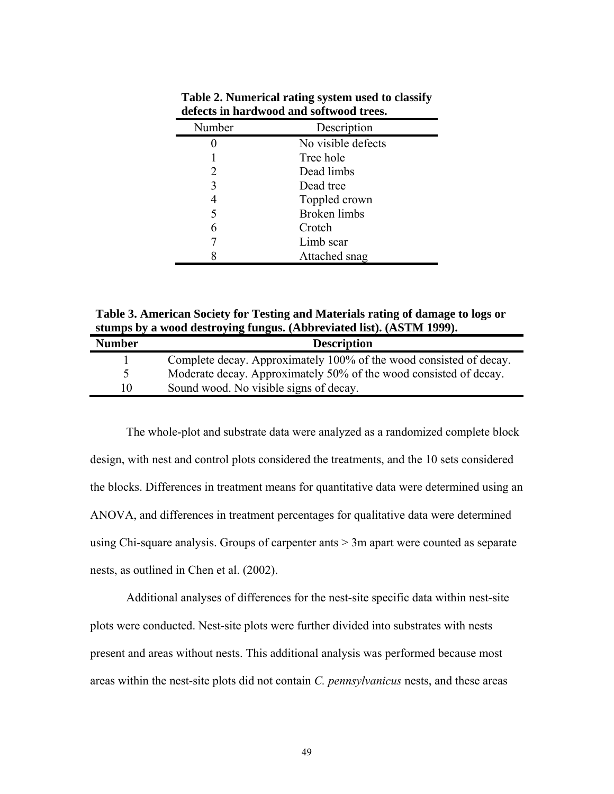| Number                      | Description         |  |
|-----------------------------|---------------------|--|
|                             | No visible defects  |  |
|                             | Tree hole           |  |
| $\mathcal{D}_{\mathcal{L}}$ | Dead limbs          |  |
| 3                           | Dead tree           |  |
| 4                           | Toppled crown       |  |
| 5                           | <b>Broken</b> limbs |  |
| 6                           | Crotch              |  |
|                             | Limb scar           |  |
|                             | Attached snag       |  |

**Table 2. Numerical rating system used to classify defects in hardwood and softwood trees.** 

**Table 3. American Society for Testing and Materials rating of damage to logs or stumps by a wood destroying fungus. (Abbreviated list). (ASTM 1999).** 

| <b>Number</b> | <b>Description</b>                                                 |
|---------------|--------------------------------------------------------------------|
|               | Complete decay. Approximately 100% of the wood consisted of decay. |
|               | Moderate decay. Approximately 50% of the wood consisted of decay.  |
| 10            | Sound wood. No visible signs of decay.                             |

The whole-plot and substrate data were analyzed as a randomized complete block design, with nest and control plots considered the treatments, and the 10 sets considered the blocks. Differences in treatment means for quantitative data were determined using an ANOVA, and differences in treatment percentages for qualitative data were determined using Chi-square analysis. Groups of carpenter ants > 3m apart were counted as separate nests, as outlined in Chen et al. (2002).

 Additional analyses of differences for the nest-site specific data within nest-site plots were conducted. Nest-site plots were further divided into substrates with nests present and areas without nests. This additional analysis was performed because most areas within the nest-site plots did not contain *C. pennsylvanicus* nests, and these areas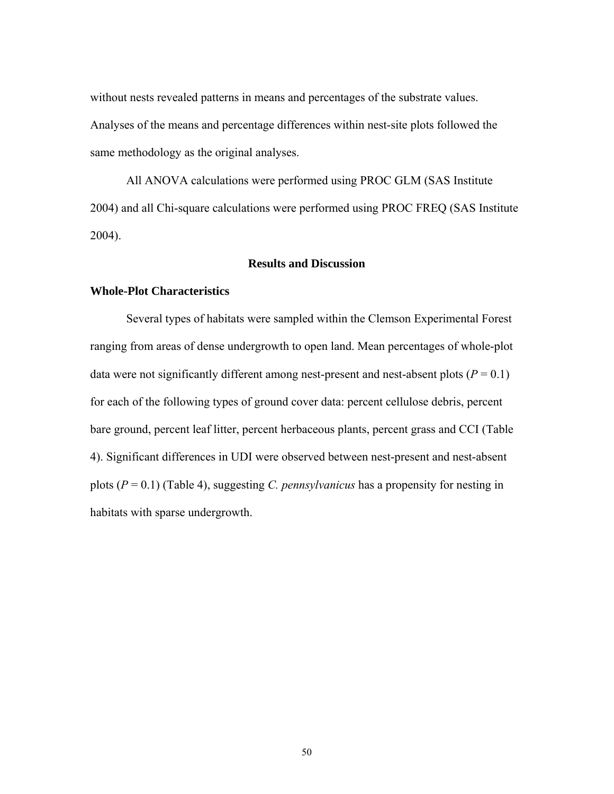without nests revealed patterns in means and percentages of the substrate values. Analyses of the means and percentage differences within nest-site plots followed the same methodology as the original analyses.

 All ANOVA calculations were performed using PROC GLM (SAS Institute 2004) and all Chi-square calculations were performed using PROC FREQ (SAS Institute 2004).

### **Results and Discussion**

#### **Whole-Plot Characteristics**

Several types of habitats were sampled within the Clemson Experimental Forest ranging from areas of dense undergrowth to open land. Mean percentages of whole-plot data were not significantly different among nest-present and nest-absent plots  $(P = 0.1)$ for each of the following types of ground cover data: percent cellulose debris, percent bare ground, percent leaf litter, percent herbaceous plants, percent grass and CCI (Table 4). Significant differences in UDI were observed between nest-present and nest-absent plots (*P* = 0.1) (Table 4), suggesting *C. pennsylvanicus* has a propensity for nesting in habitats with sparse undergrowth.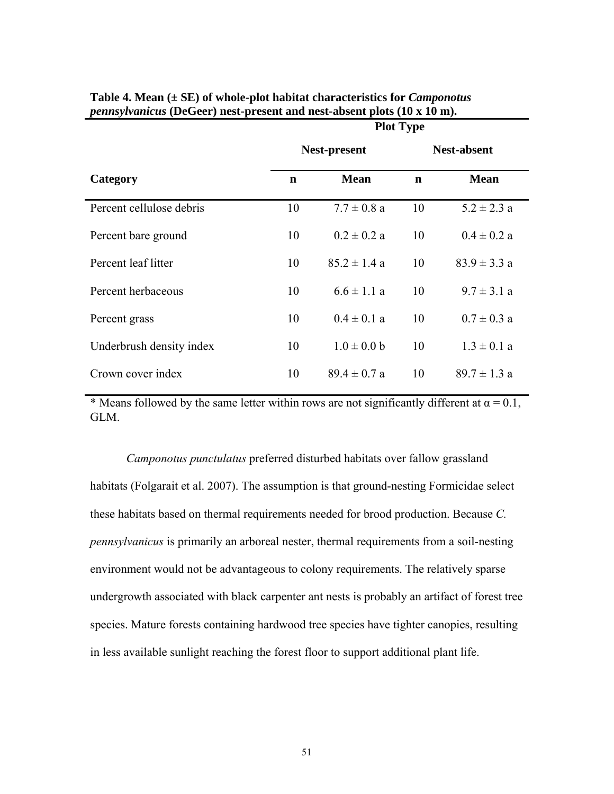|                          | <b>Plot Type</b> |                  |             |                    |
|--------------------------|------------------|------------------|-------------|--------------------|
|                          | Nest-present     |                  |             | <b>Nest-absent</b> |
| Category                 | $\mathbf n$      | <b>Mean</b>      | $\mathbf n$ | <b>Mean</b>        |
| Percent cellulose debris | 10               | $7.7 \pm 0.8$ a  | 10          | $5.2 \pm 2.3$ a    |
| Percent bare ground      | 10               | $0.2 \pm 0.2 a$  | 10          | $0.4 \pm 0.2 a$    |
| Percent leaf litter      | 10               | $85.2 \pm 1.4 a$ | 10          | $83.9 \pm 3.3 a$   |
| Percent herbaceous       | 10               | $6.6 \pm 1.1$ a  | 10          | $9.7 \pm 3.1 a$    |
| Percent grass            | 10               | $0.4 \pm 0.1 a$  | 10          | $0.7 \pm 0.3$ a    |
| Underbrush density index | 10               | $1.0 \pm 0.0 b$  | 10          | $1.3 \pm 0.1 a$    |
| Crown cover index        | 10               | $89.4 \pm 0.7 a$ | 10          | $89.7 \pm 1.3$ a   |

**Table 4. Mean (± SE) of whole-plot habitat characteristics for** *Camponotus pennsylvanicus* **(DeGeer) nest-present and nest-absent plots (10 x 10 m).** 

\* Means followed by the same letter within rows are not significantly different at  $\alpha = 0.1$ , GLM.

*Camponotus punctulatus* preferred disturbed habitats over fallow grassland habitats (Folgarait et al. 2007). The assumption is that ground-nesting Formicidae select these habitats based on thermal requirements needed for brood production. Because *C. pennsylvanicus* is primarily an arboreal nester, thermal requirements from a soil-nesting environment would not be advantageous to colony requirements. The relatively sparse undergrowth associated with black carpenter ant nests is probably an artifact of forest tree species. Mature forests containing hardwood tree species have tighter canopies, resulting in less available sunlight reaching the forest floor to support additional plant life.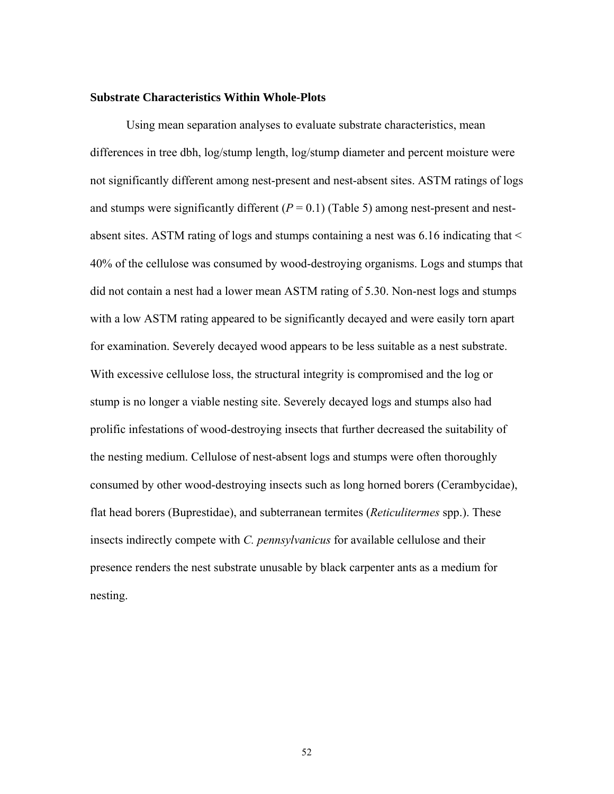#### **Substrate Characteristics Within Whole-Plots**

Using mean separation analyses to evaluate substrate characteristics, mean differences in tree dbh, log/stump length, log/stump diameter and percent moisture were not significantly different among nest-present and nest-absent sites. ASTM ratings of logs and stumps were significantly different  $(P = 0.1)$  (Table 5) among nest-present and nestabsent sites. ASTM rating of logs and stumps containing a nest was 6.16 indicating that < 40% of the cellulose was consumed by wood-destroying organisms. Logs and stumps that did not contain a nest had a lower mean ASTM rating of 5.30. Non-nest logs and stumps with a low ASTM rating appeared to be significantly decayed and were easily torn apart for examination. Severely decayed wood appears to be less suitable as a nest substrate. With excessive cellulose loss, the structural integrity is compromised and the log or stump is no longer a viable nesting site. Severely decayed logs and stumps also had prolific infestations of wood-destroying insects that further decreased the suitability of the nesting medium. Cellulose of nest-absent logs and stumps were often thoroughly consumed by other wood-destroying insects such as long horned borers (Cerambycidae), flat head borers (Buprestidae), and subterranean termites (*Reticulitermes* spp.). These insects indirectly compete with *C. pennsylvanicus* for available cellulose and their presence renders the nest substrate unusable by black carpenter ants as a medium for nesting.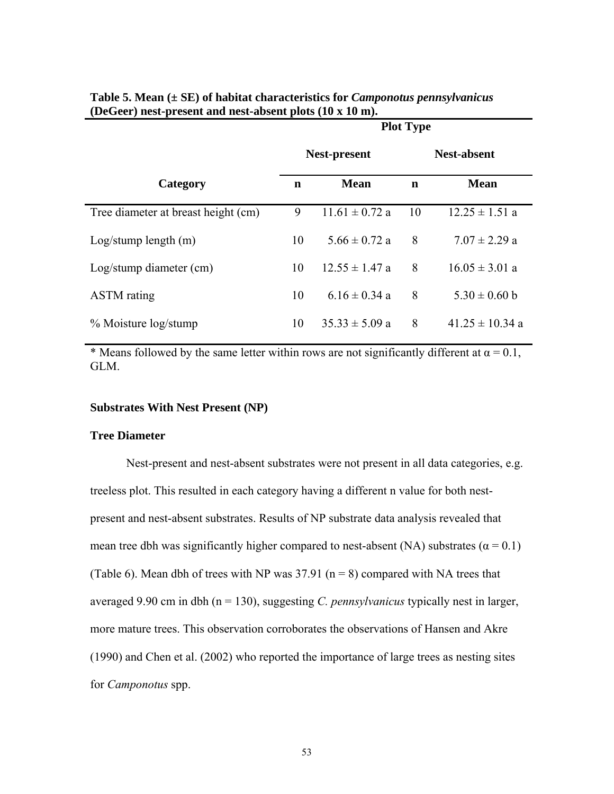|                                     | <b>Plot Type</b>    |                    |                    |                     |
|-------------------------------------|---------------------|--------------------|--------------------|---------------------|
|                                     | <b>Nest-present</b> |                    | <b>Nest-absent</b> |                     |
| Category                            | n                   | <b>Mean</b>        | n                  | <b>Mean</b>         |
| Tree diameter at breast height (cm) | 9                   | $11.61 \pm 0.72$ a | 10                 | $12.25 \pm 1.51$ a  |
| Log/stump length(m)                 | 10                  | $5.66 \pm 0.72$ a  | 8                  | $7.07 \pm 2.29$ a   |
| Log/stump diameter (cm)             | 10                  | $12.55 \pm 1.47$ a | 8                  | $16.05 \pm 3.01$ a  |
| <b>ASTM</b> rating                  | 10                  | $6.16 \pm 0.34$ a  | 8                  | $5.30 \pm 0.60$ b   |
| % Moisture log/stump                | 10                  | $35.33 \pm 5.09$ a | 8                  | $41.25 \pm 10.34$ a |

| Table 5. Mean $(\pm SE)$ of habitat characteristics for <i>Camponotus pennsylvanicus</i> |
|------------------------------------------------------------------------------------------|
| (DeGeer) nest-present and nest-absent plots (10 x 10 m).                                 |

\* Means followed by the same letter within rows are not significantly different at  $\alpha = 0.1$ , GLM.

## **Substrates With Nest Present (NP)**

### **Tree Diameter**

Nest-present and nest-absent substrates were not present in all data categories, e.g. treeless plot. This resulted in each category having a different n value for both nestpresent and nest-absent substrates. Results of NP substrate data analysis revealed that mean tree dbh was significantly higher compared to nest-absent (NA) substrates ( $\alpha$  = 0.1) (Table 6). Mean dbh of trees with NP was  $37.91$  (n = 8) compared with NA trees that averaged 9.90 cm in dbh (n = 130), suggesting *C. pennsylvanicus* typically nest in larger, more mature trees. This observation corroborates the observations of Hansen and Akre (1990) and Chen et al. (2002) who reported the importance of large trees as nesting sites for *Camponotus* spp.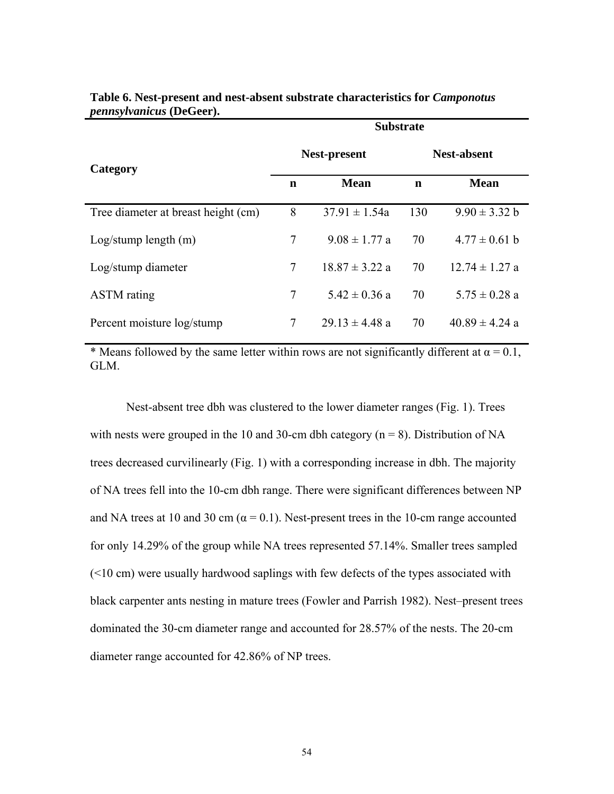|                                     | <b>Substrate</b>    |                    |                    |                    |
|-------------------------------------|---------------------|--------------------|--------------------|--------------------|
| Category                            | <b>Nest-present</b> |                    | <b>Nest-absent</b> |                    |
|                                     | n                   | <b>Mean</b>        | n                  | <b>Mean</b>        |
| Tree diameter at breast height (cm) | 8                   | $37.91 \pm 1.54a$  | 130                | $9.90 \pm 3.32 b$  |
| Log/stump length(m)                 | 7                   | $9.08 \pm 1.77$ a  | 70                 | $4.77 \pm 0.61$ b  |
| Log/stump diameter                  | $\tau$              | $18.87 \pm 3.22$ a | 70                 | $12.74 \pm 1.27$ a |
| <b>ASTM</b> rating                  | 7                   | $5.42 \pm 0.36$ a  | 70                 | $5.75 \pm 0.28$ a  |
| Percent moisture log/stump          | $\tau$              | $29.13 \pm 4.48$ a | 70                 | $40.89 \pm 4.24$ a |

**Table 6. Nest-present and nest-absent substrate characteristics for** *Camponotus pennsylvanicus* **(DeGeer).** 

\* Means followed by the same letter within rows are not significantly different at  $\alpha = 0.1$ , GLM.

Nest-absent tree dbh was clustered to the lower diameter ranges (Fig. 1). Trees with nests were grouped in the 10 and 30-cm dbh category ( $n = 8$ ). Distribution of NA trees decreased curvilinearly (Fig. 1) with a corresponding increase in dbh. The majority of NA trees fell into the 10-cm dbh range. There were significant differences between NP and NA trees at 10 and 30 cm ( $\alpha$  = 0.1). Nest-present trees in the 10-cm range accounted for only 14.29% of the group while NA trees represented 57.14%. Smaller trees sampled (<10 cm) were usually hardwood saplings with few defects of the types associated with black carpenter ants nesting in mature trees (Fowler and Parrish 1982). Nest–present trees dominated the 30-cm diameter range and accounted for 28.57% of the nests. The 20-cm diameter range accounted for 42.86% of NP trees.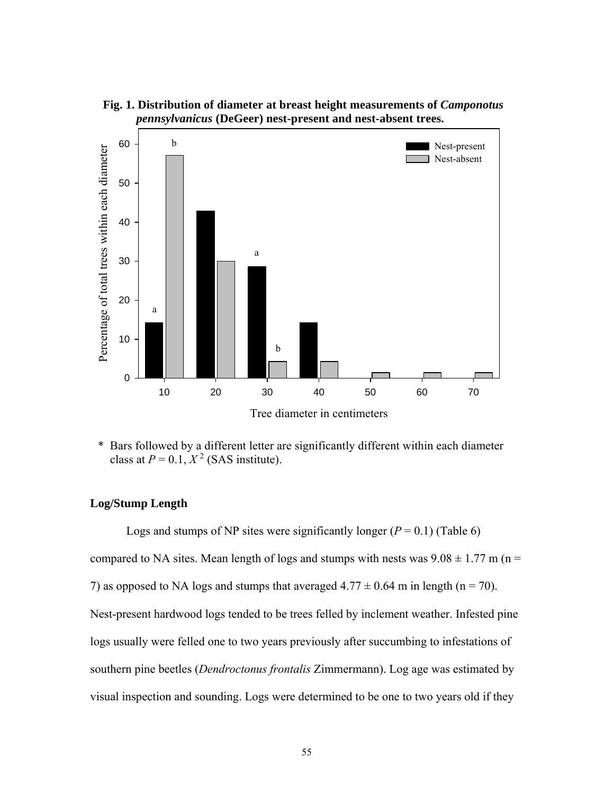



\* Bars followed by a different letter are significantly different within each diameter class at  $P = 0.1$ ,  $X^2$  (SAS institute).

# **Log/Stump Length**

Logs and stumps of NP sites were significantly longer  $(P = 0.1)$  (Table 6) compared to NA sites. Mean length of logs and stumps with nests was  $9.08 \pm 1.77$  m (n = 7) as opposed to NA logs and stumps that averaged  $4.77 \pm 0.64$  m in length (n = 70). Nest-present hardwood logs tended to be trees felled by inclement weather. Infested pine logs usually were felled one to two years previously after succumbing to infestations of southern pine beetles (*Dendroctonus frontalis* Zimmermann). Log age was estimated by visual inspection and sounding. Logs were determined to be one to two years old if they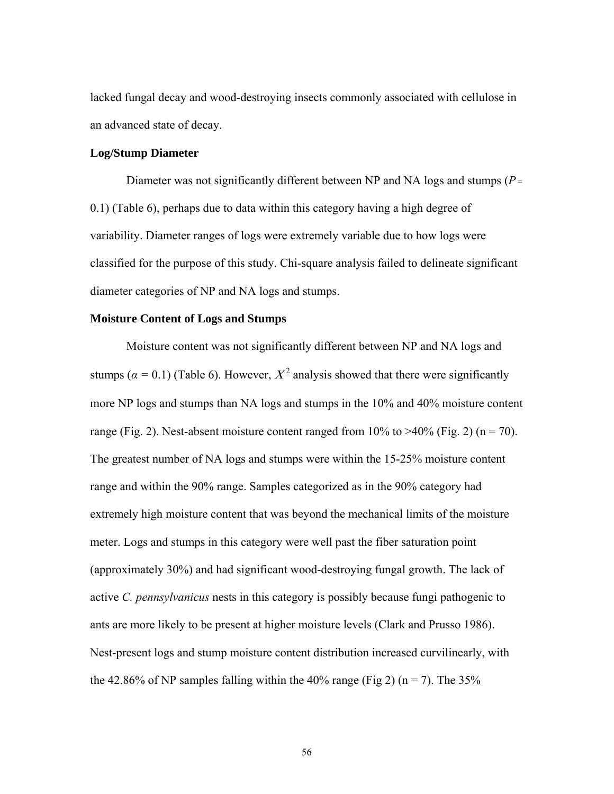lacked fungal decay and wood-destroying insects commonly associated with cellulose in an advanced state of decay.

#### **Log/Stump Diameter**

 Diameter was not significantly different between NP and NA logs and stumps (*P*<sup>=</sup> 0.1) (Table 6), perhaps due to data within this category having a high degree of variability. Diameter ranges of logs were extremely variable due to how logs were classified for the purpose of this study. Chi-square analysis failed to delineate significant diameter categories of NP and NA logs and stumps.

#### **Moisture Content of Logs and Stumps**

 Moisture content was not significantly different between NP and NA logs and stumps ( $\alpha = 0.1$ ) (Table 6). However,  $X^2$  analysis showed that there were significantly more NP logs and stumps than NA logs and stumps in the 10% and 40% moisture content range (Fig. 2). Nest-absent moisture content ranged from  $10\%$  to  $>40\%$  (Fig. 2) (n = 70). The greatest number of NA logs and stumps were within the 15-25% moisture content range and within the 90% range. Samples categorized as in the 90% category had extremely high moisture content that was beyond the mechanical limits of the moisture meter. Logs and stumps in this category were well past the fiber saturation point (approximately 30%) and had significant wood-destroying fungal growth. The lack of active *C. pennsylvanicus* nests in this category is possibly because fungi pathogenic to ants are more likely to be present at higher moisture levels (Clark and Prusso 1986). Nest-present logs and stump moisture content distribution increased curvilinearly, with the 42.86% of NP samples falling within the 40% range (Fig 2) (n = 7). The 35%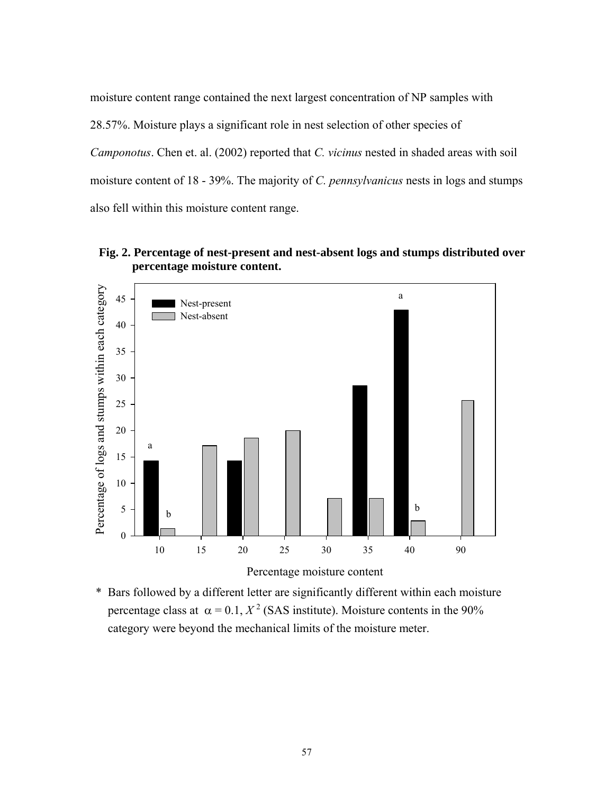moisture content range contained the next largest concentration of NP samples with 28.57%. Moisture plays a significant role in nest selection of other species of *Camponotus*. Chen et. al. (2002) reported that *C. vicinus* nested in shaded areas with soil moisture content of 18 - 39%. The majority of *C. pennsylvanicus* nests in logs and stumps also fell within this moisture content range.



 **Fig. 2. Percentage of nest-present and nest-absent logs and stumps distributed over percentage moisture content.**

\* Bars followed by a different letter are significantly different within each moisture percentage class at  $\alpha = 0.1$ ,  $X^2$  (SAS institute). Moisture contents in the 90% category were beyond the mechanical limits of the moisture meter.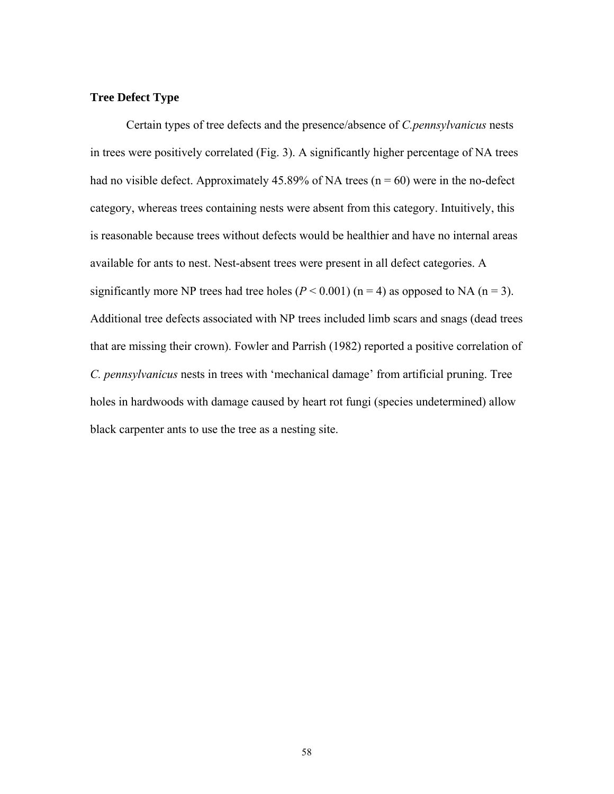## **Tree Defect Type**

Certain types of tree defects and the presence/absence of *C.pennsylvanicus* nests in trees were positively correlated (Fig. 3). A significantly higher percentage of NA trees had no visible defect. Approximately 45.89% of NA trees ( $n = 60$ ) were in the no-defect category, whereas trees containing nests were absent from this category. Intuitively, this is reasonable because trees without defects would be healthier and have no internal areas available for ants to nest. Nest-absent trees were present in all defect categories. A significantly more NP trees had tree holes  $(P < 0.001)$  (n = 4) as opposed to NA (n = 3). Additional tree defects associated with NP trees included limb scars and snags (dead trees that are missing their crown). Fowler and Parrish (1982) reported a positive correlation of *C. pennsylvanicus* nests in trees with 'mechanical damage' from artificial pruning. Tree holes in hardwoods with damage caused by heart rot fungi (species undetermined) allow black carpenter ants to use the tree as a nesting site.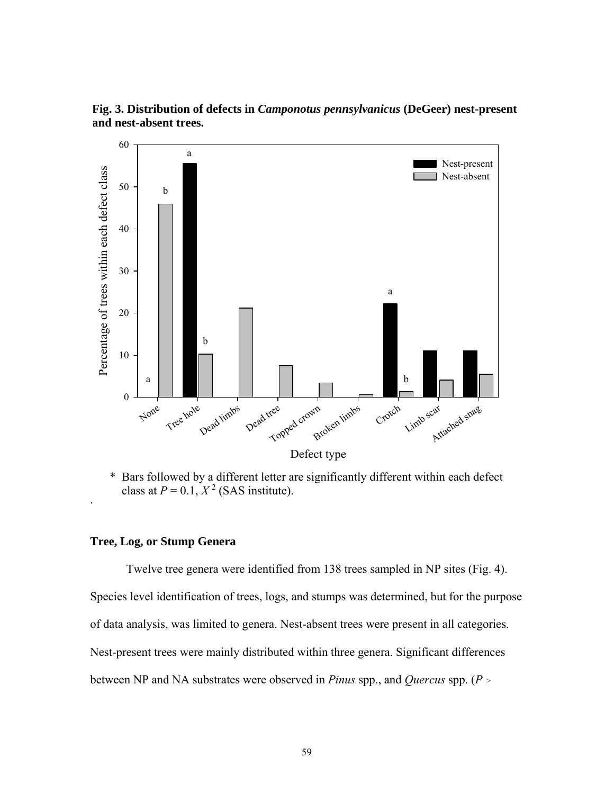

**Fig. 3. Distribution of defects in** *Camponotus pennsylvanicus* **(DeGeer) nest-present and nest-absent trees.** 

\* Bars followed by a different letter are significantly different within each defect class at  $P = 0.1$ ,  $X^2$  (SAS institute).

## **Tree, Log, or Stump Genera**

.

 Twelve tree genera were identified from 138 trees sampled in NP sites (Fig. 4). Species level identification of trees, logs, and stumps was determined, but for the purpose of data analysis, was limited to genera. Nest-absent trees were present in all categories. Nest-present trees were mainly distributed within three genera. Significant differences between NP and NA substrates were observed in *Pinus* spp., and *Quercus* spp. (*P*<sup>&</sup>gt;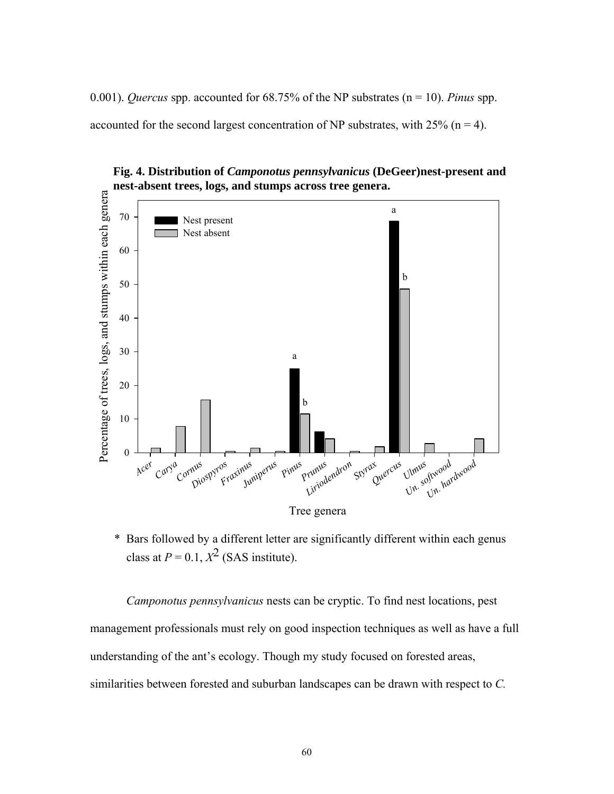0.001). *Quercus* spp. accounted for 68.75% of the NP substrates (n = 10). *Pinus* spp. accounted for the second largest concentration of NP substrates, with  $25\%$  (n = 4).



**Fig. 4. Distribution of** *Camponotus pennsylvanicus* **(DeGeer)nest-present and nest-absent trees, logs, and stumps across tree genera.**

\* Bars followed by a different letter are significantly different within each genus class at  $P = 0.1$ ,  $X^2$  (SAS institute).

*Camponotus pennsylvanicus* nests can be cryptic. To find nest locations, pest management professionals must rely on good inspection techniques as well as have a full understanding of the ant's ecology. Though my study focused on forested areas, similarities between forested and suburban landscapes can be drawn with respect to *C.*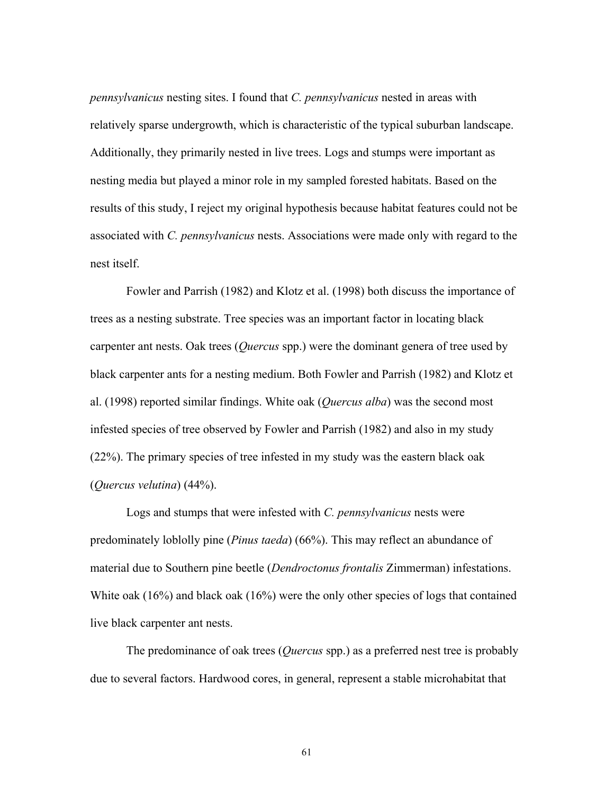*pennsylvanicus* nesting sites. I found that *C. pennsylvanicus* nested in areas with relatively sparse undergrowth, which is characteristic of the typical suburban landscape. Additionally, they primarily nested in live trees. Logs and stumps were important as nesting media but played a minor role in my sampled forested habitats. Based on the results of this study, I reject my original hypothesis because habitat features could not be associated with *C. pennsylvanicus* nests. Associations were made only with regard to the nest itself.

Fowler and Parrish (1982) and Klotz et al. (1998) both discuss the importance of trees as a nesting substrate. Tree species was an important factor in locating black carpenter ant nests. Oak trees (*Quercus* spp.) were the dominant genera of tree used by black carpenter ants for a nesting medium. Both Fowler and Parrish (1982) and Klotz et al. (1998) reported similar findings. White oak (*Quercus alba*) was the second most infested species of tree observed by Fowler and Parrish (1982) and also in my study (22%). The primary species of tree infested in my study was the eastern black oak (*Quercus velutina*) (44%).

Logs and stumps that were infested with *C. pennsylvanicus* nests were predominately loblolly pine (*Pinus taeda*) (66%). This may reflect an abundance of material due to Southern pine beetle (*Dendroctonus frontalis* Zimmerman) infestations. White oak (16%) and black oak (16%) were the only other species of logs that contained live black carpenter ant nests.

The predominance of oak trees (*Quercus* spp.) as a preferred nest tree is probably due to several factors. Hardwood cores, in general, represent a stable microhabitat that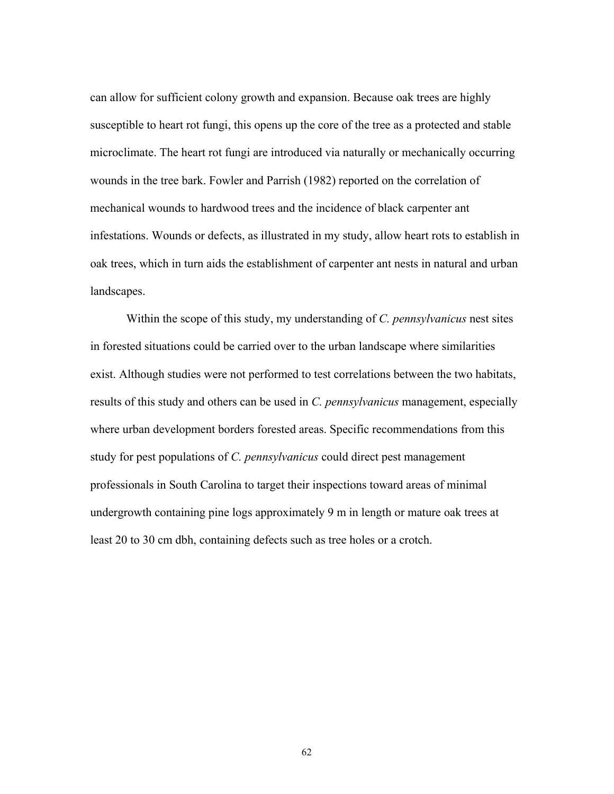can allow for sufficient colony growth and expansion. Because oak trees are highly susceptible to heart rot fungi, this opens up the core of the tree as a protected and stable microclimate. The heart rot fungi are introduced via naturally or mechanically occurring wounds in the tree bark. Fowler and Parrish (1982) reported on the correlation of mechanical wounds to hardwood trees and the incidence of black carpenter ant infestations. Wounds or defects, as illustrated in my study, allow heart rots to establish in oak trees, which in turn aids the establishment of carpenter ant nests in natural and urban landscapes.

Within the scope of this study, my understanding of *C. pennsylvanicus* nest sites in forested situations could be carried over to the urban landscape where similarities exist. Although studies were not performed to test correlations between the two habitats, results of this study and others can be used in *C. pennsylvanicus* management, especially where urban development borders forested areas. Specific recommendations from this study for pest populations of *C. pennsylvanicus* could direct pest management professionals in South Carolina to target their inspections toward areas of minimal undergrowth containing pine logs approximately 9 m in length or mature oak trees at least 20 to 30 cm dbh, containing defects such as tree holes or a crotch.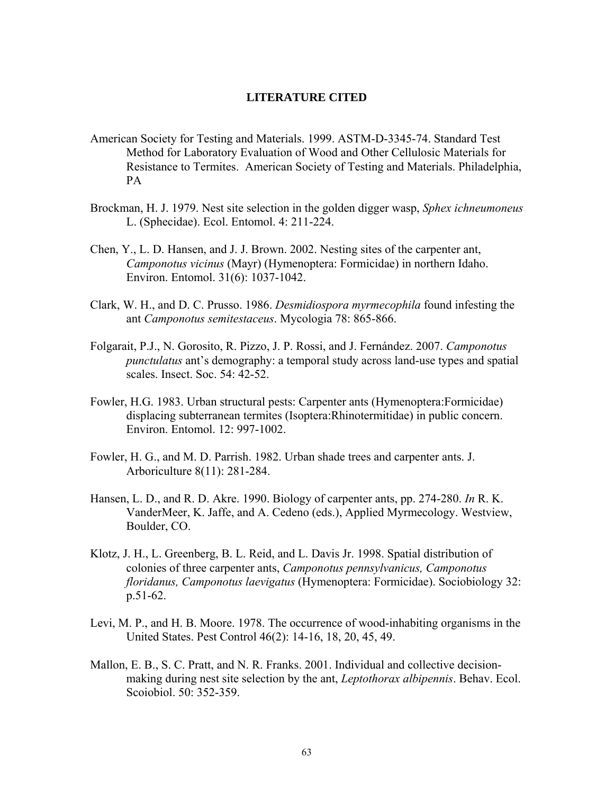## **LITERATURE CITED**

- American Society for Testing and Materials. 1999. ASTM-D-3345-74. Standard Test Method for Laboratory Evaluation of Wood and Other Cellulosic Materials for Resistance to Termites. American Society of Testing and Materials. Philadelphia, PA
- Brockman, H. J. 1979. Nest site selection in the golden digger wasp, *Sphex ichneumoneus*  L. (Sphecidae). Ecol. Entomol. 4: 211-224.
- Chen, Y., L. D. Hansen, and J. J. Brown. 2002. Nesting sites of the carpenter ant, *Camponotus vicinus* (Mayr) (Hymenoptera: Formicidae) in northern Idaho. Environ. Entomol. 31(6): 1037-1042.
- Clark, W. H., and D. C. Prusso. 1986. *Desmidiospora myrmecophila* found infesting the ant *Camponotus semitestaceus*. Mycologia 78: 865-866.
- Folgarait, P.J., N. Gorosito, R. Pizzo, J. P. Rossi, and J. Fernández. 2007. *Camponotus punctulatus* ant's demography: a temporal study across land-use types and spatial scales. Insect. Soc. 54: 42-52.
- Fowler, H.G. 1983. Urban structural pests: Carpenter ants (Hymenoptera:Formicidae) displacing subterranean termites (Isoptera:Rhinotermitidae) in public concern. Environ. Entomol. 12: 997-1002.
- Fowler, H. G., and M. D. Parrish. 1982. Urban shade trees and carpenter ants. J. Arboriculture 8(11): 281-284.
- Hansen, L. D., and R. D. Akre. 1990. Biology of carpenter ants, pp. 274-280. *In* R. K. VanderMeer, K. Jaffe, and A. Cedeno (eds.), Applied Myrmecology. Westview, Boulder, CO.
- Klotz, J. H., L. Greenberg, B. L. Reid, and L. Davis Jr. 1998. Spatial distribution of colonies of three carpenter ants, *Camponotus pennsylvanicus, Camponotus floridanus, Camponotus laevigatus* (Hymenoptera: Formicidae). Sociobiology 32: p.51-62.
- [Levi, M. P., and H](http://webluis.fcla.edu/cgi-bin/cgiwrap/fclwlv3/wlv3/DBFO/DI507303182/DGref/SSKIP%28a%3dLevi%29+and+%28a%3dMoore%29+%26%26+date%3d1978/RO1/RP34/CM30/P2WWP/P1A++=LEVI+M+P). B. [Moore](http://webluis.fcla.edu/cgi-bin/cgiwrap/fclwlv3/wlv3/DBFO/DI507303182/DGref/SSKIP%28a%3dLevi%29+and+%28a%3dMoore%29+%26%26+date%3d1978/RO1/RP34/CM30/P2WWP/P1A++=MOORE+H+B). 1978. The occurrence of wood-inhabiting organisms in the United States. Pest Control 46(2): 14-16, 18, 20, 45, 49.
- Mallon, E. B., S. C. Pratt, and N. R. Franks. 2001. Individual and collective decisionmaking during nest site selection by the ant, *Leptothorax albipennis*. Behav. Ecol. Scoiobiol. 50: 352-359.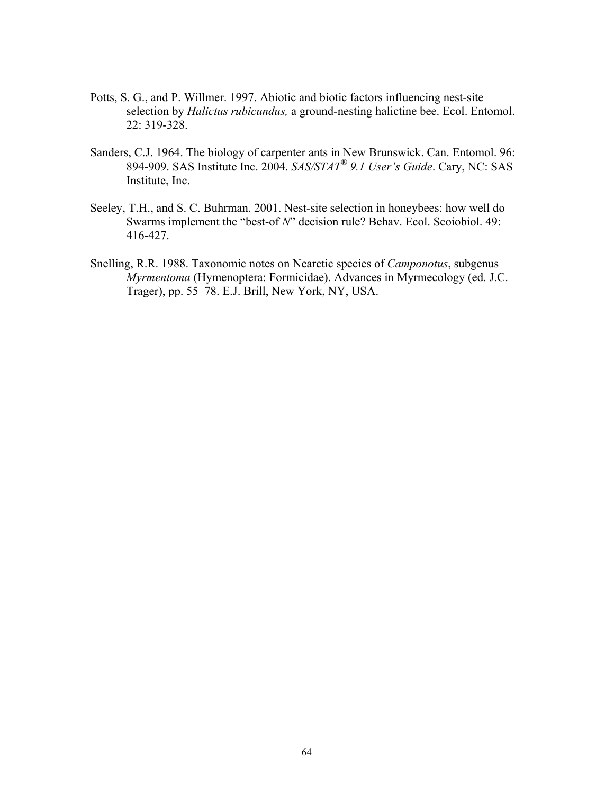- Potts, S. G., and P. Willmer. 1997. Abiotic and biotic factors influencing nest-site selection by *Halictus rubicundus,* a ground-nesting halictine bee. Ecol. Entomol. 22: 319-328.
- Sanders, C.J. 1964. The biology of carpenter ants in New Brunswick. Can. Entomol. 96: 894-909. SAS Institute Inc. 2004. *SAS/STAT® 9.1 User's Guide*. Cary, NC: SAS Institute, Inc.
- Seeley, T.H., and S. C. Buhrman. 2001. Nest-site selection in honeybees: how well do Swarms implement the "best-of *N*" decision rule? Behav. Ecol. Scoiobiol. 49: 416-427.
- Snelling, R.R. 1988. Taxonomic notes on Nearctic species of *Camponotus*, subgenus *Myrmentoma* (Hymenoptera: Formicidae). Advances in Myrmecology (ed. J.C. Trager), pp. 55–78. E.J. Brill, New York, NY, USA.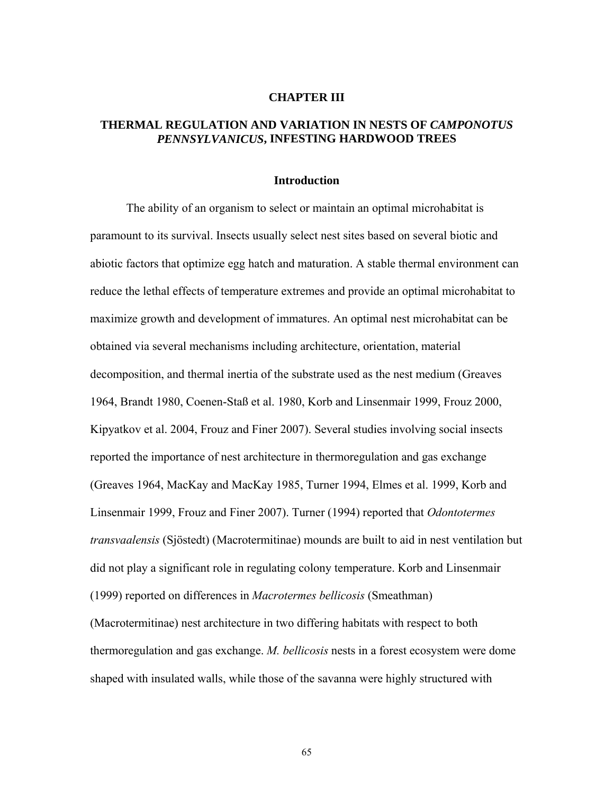#### **CHAPTER III**

## **THERMAL REGULATION AND VARIATION IN NESTS OF** *CAMPONOTUS PENNSYLVANICUS***, INFESTING HARDWOOD TREES**

#### **Introduction**

The ability of an organism to select or maintain an optimal microhabitat is paramount to its survival. Insects usually select nest sites based on several biotic and abiotic factors that optimize egg hatch and maturation. A stable thermal environment can reduce the lethal effects of temperature extremes and provide an optimal microhabitat to maximize growth and development of immatures. An optimal nest microhabitat can be obtained via several mechanisms including architecture, orientation, material decomposition, and thermal inertia of the substrate used as the nest medium (Greaves 1964, Brandt 1980, Coenen-Staß et al. 1980, Korb and Linsenmair 1999, Frouz 2000, Kipyatkov et al. 2004, Frouz and Finer 2007). Several studies involving social insects reported the importance of nest architecture in thermoregulation and gas exchange (Greaves 1964, MacKay and MacKay 1985, Turner 1994, Elmes et al. 1999, Korb and Linsenmair 1999, Frouz and Finer 2007). Turner (1994) reported that *Odontotermes transvaalensis* (Sjöstedt) (Macrotermitinae) mounds are built to aid in nest ventilation but did not play a significant role in regulating colony temperature. Korb and Linsenmair (1999) reported on differences in *Macrotermes bellicosis* (Smeathman) (Macrotermitinae) nest architecture in two differing habitats with respect to both thermoregulation and gas exchange. *M. bellicosis* nests in a forest ecosystem were dome shaped with insulated walls, while those of the savanna were highly structured with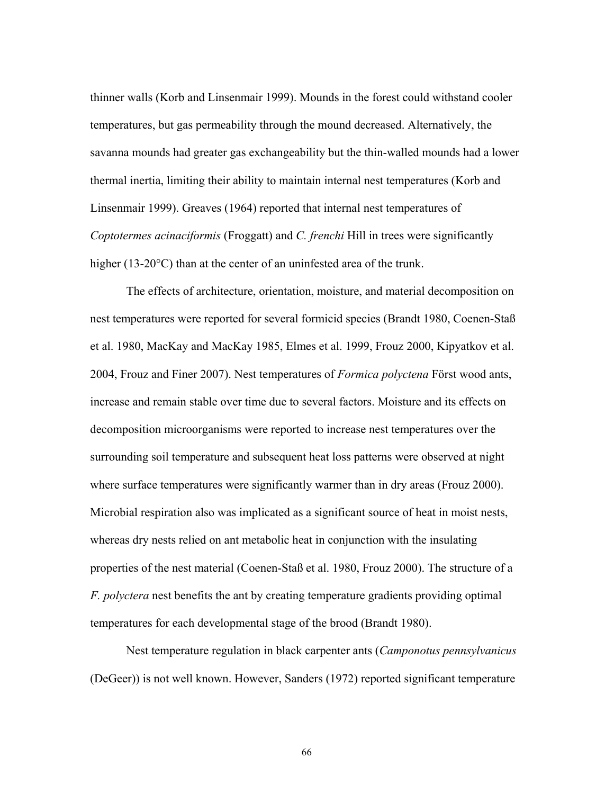thinner walls (Korb and Linsenmair 1999). Mounds in the forest could withstand cooler temperatures, but gas permeability through the mound decreased. Alternatively, the savanna mounds had greater gas exchangeability but the thin-walled mounds had a lower thermal inertia, limiting their ability to maintain internal nest temperatures (Korb and Linsenmair 1999). Greaves (1964) reported that internal nest temperatures of *Coptotermes acinaciformis* (Froggatt) and *C. frenchi* Hill in trees were significantly higher (13-20°C) than at the center of an uninfested area of the trunk.

The effects of architecture, orientation, moisture, and material decomposition on nest temperatures were reported for several formicid species (Brandt 1980, Coenen-Staß et al. 1980, MacKay and MacKay 1985, Elmes et al. 1999, Frouz 2000, Kipyatkov et al. 2004, Frouz and Finer 2007). Nest temperatures of *Formica polyctena* Först wood ants, increase and remain stable over time due to several factors. Moisture and its effects on decomposition microorganisms were reported to increase nest temperatures over the surrounding soil temperature and subsequent heat loss patterns were observed at night where surface temperatures were significantly warmer than in dry areas (Frouz 2000). Microbial respiration also was implicated as a significant source of heat in moist nests, whereas dry nests relied on ant metabolic heat in conjunction with the insulating properties of the nest material (Coenen-Staß et al. 1980, Frouz 2000). The structure of a *F. polyctera* nest benefits the ant by creating temperature gradients providing optimal temperatures for each developmental stage of the brood (Brandt 1980).

Nest temperature regulation in black carpenter ants (*Camponotus pennsylvanicus* (DeGeer)) is not well known. However, Sanders (1972) reported significant temperature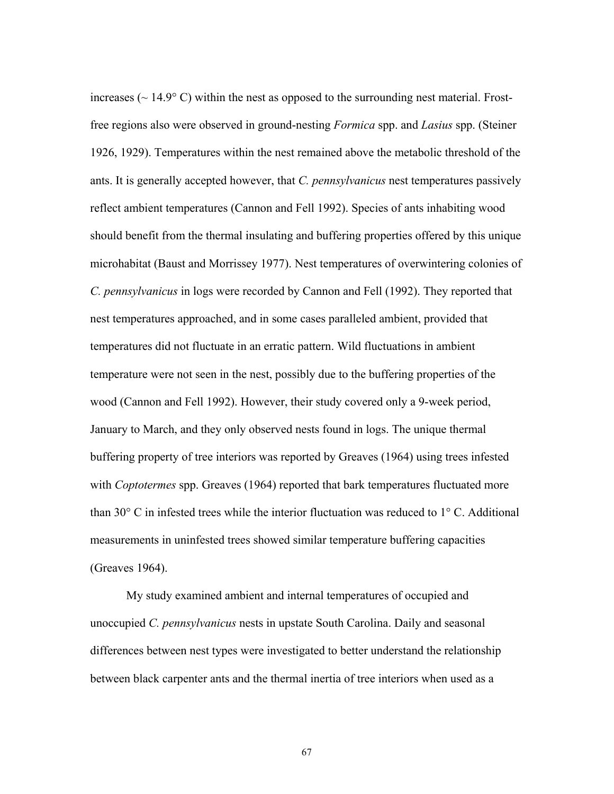increases ( $\sim$  14.9 $\degree$ C) within the nest as opposed to the surrounding nest material. Frostfree regions also were observed in ground-nesting *Formica* spp. and *Lasius* spp. (Steiner 1926, 1929). Temperatures within the nest remained above the metabolic threshold of the ants. It is generally accepted however, that *C. pennsylvanicus* nest temperatures passively reflect ambient temperatures (Cannon and Fell 1992). Species of ants inhabiting wood should benefit from the thermal insulating and buffering properties offered by this unique microhabitat (Baust and Morrissey 1977). Nest temperatures of overwintering colonies of *C. pennsylvanicus* in logs were recorded by Cannon and Fell (1992). They reported that nest temperatures approached, and in some cases paralleled ambient, provided that temperatures did not fluctuate in an erratic pattern. Wild fluctuations in ambient temperature were not seen in the nest, possibly due to the buffering properties of the wood (Cannon and Fell 1992). However, their study covered only a 9-week period, January to March, and they only observed nests found in logs. The unique thermal buffering property of tree interiors was reported by Greaves (1964) using trees infested with *Coptotermes* spp. Greaves (1964) reported that bark temperatures fluctuated more than 30° C in infested trees while the interior fluctuation was reduced to 1° C. Additional measurements in uninfested trees showed similar temperature buffering capacities (Greaves 1964).

My study examined ambient and internal temperatures of occupied and unoccupied *C. pennsylvanicus* nests in upstate South Carolina. Daily and seasonal differences between nest types were investigated to better understand the relationship between black carpenter ants and the thermal inertia of tree interiors when used as a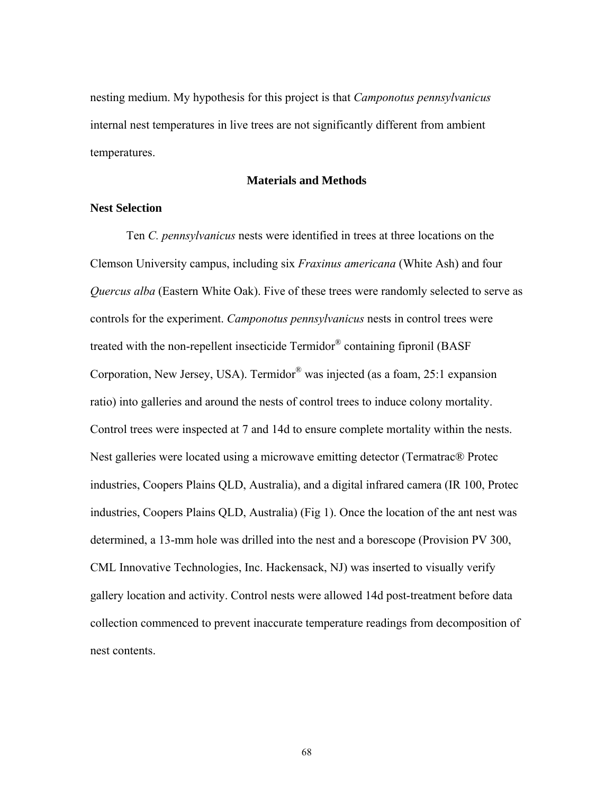nesting medium. My hypothesis for this project is that *Camponotus pennsylvanicus* internal nest temperatures in live trees are not significantly different from ambient temperatures.

### **Materials and Methods**

### **Nest Selection**

Ten *C. pennsylvanicus* nests were identified in trees at three locations on the Clemson University campus, including six *Fraxinus americana* (White Ash) and four *Quercus alba* (Eastern White Oak). Five of these trees were randomly selected to serve as controls for the experiment. *Camponotus pennsylvanicus* nests in control trees were treated with the non-repellent insecticide  $Termidor^{\circledR}$  containing fipronil (BASF) Corporation, New Jersey, USA). Termidor® was injected (as a foam, 25:1 expansion ratio) into galleries and around the nests of control trees to induce colony mortality. Control trees were inspected at 7 and 14d to ensure complete mortality within the nests. Nest galleries were located using a microwave emitting detector (Termatrac® Protec industries, Coopers Plains QLD, Australia), and a digital infrared camera (IR 100, Protec industries, Coopers Plains QLD, Australia) (Fig 1). Once the location of the ant nest was determined, a 13-mm hole was drilled into the nest and a borescope (Provision PV 300, CML Innovative Technologies, Inc. Hackensack, NJ) was inserted to visually verify gallery location and activity. Control nests were allowed 14d post-treatment before data collection commenced to prevent inaccurate temperature readings from decomposition of nest contents.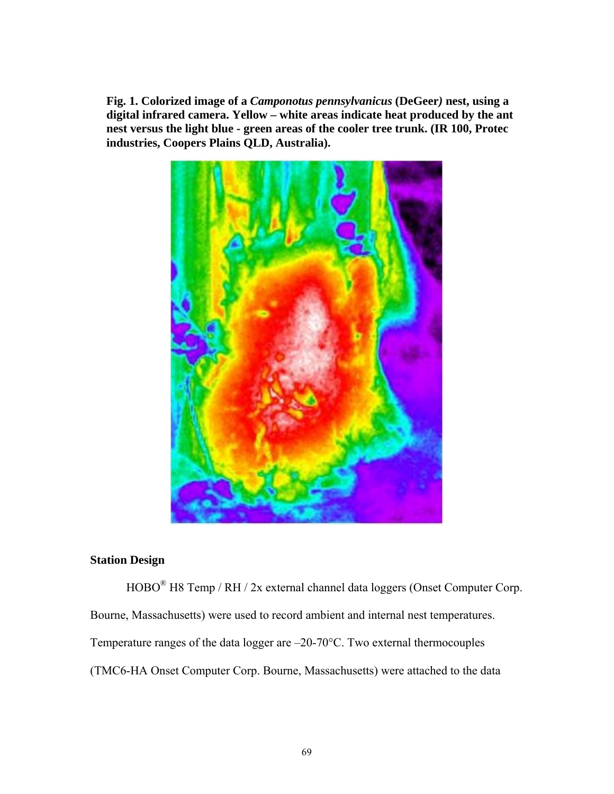**Fig. 1. Colorized image of a** *Camponotus pennsylvanicus* **(DeGeer***)* **nest, using a digital infrared camera. Yellow – white areas indicate heat produced by the ant nest versus the light blue - green areas of the cooler tree trunk. (IR 100, Protec industries, Coopers Plains QLD, Australia).** 



# **Station Design**

HOBO® H8 Temp / RH / 2x external channel data loggers (Onset Computer Corp. Bourne, Massachusetts) were used to record ambient and internal nest temperatures. Temperature ranges of the data logger are –20-70°C. Two external thermocouples (TMC6-HA Onset Computer Corp. Bourne, Massachusetts) were attached to the data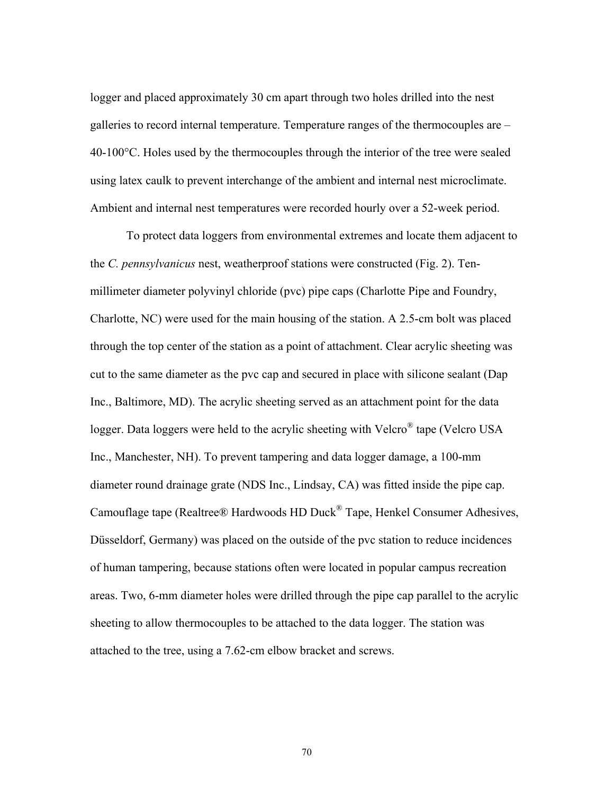logger and placed approximately 30 cm apart through two holes drilled into the nest galleries to record internal temperature. Temperature ranges of the thermocouples are – 40-100°C. Holes used by the thermocouples through the interior of the tree were sealed using latex caulk to prevent interchange of the ambient and internal nest microclimate. Ambient and internal nest temperatures were recorded hourly over a 52-week period.

To protect data loggers from environmental extremes and locate them adjacent to the *C. pennsylvanicus* nest, weatherproof stations were constructed (Fig. 2). Tenmillimeter diameter polyvinyl chloride (pvc) pipe caps (Charlotte Pipe and Foundry, Charlotte, NC) were used for the main housing of the station. A 2.5-cm bolt was placed through the top center of the station as a point of attachment. Clear acrylic sheeting was cut to the same diameter as the pvc cap and secured in place with silicone sealant (Dap Inc., Baltimore, MD). The acrylic sheeting served as an attachment point for the data logger. Data loggers were held to the acrylic sheeting with Velcro<sup>®</sup> tape (Velcro USA Inc., Manchester, NH). To prevent tampering and data logger damage, a 100-mm diameter round drainage grate (NDS Inc., Lindsay, CA) was fitted inside the pipe cap. Camouflage tape (Realtree® Hardwoods HD Duck® Tape, Henkel Consumer Adhesives, Düsseldorf, Germany) was placed on the outside of the pvc station to reduce incidences of human tampering, because stations often were located in popular campus recreation areas. Two, 6-mm diameter holes were drilled through the pipe cap parallel to the acrylic sheeting to allow thermocouples to be attached to the data logger. The station was attached to the tree, using a 7.62-cm elbow bracket and screws.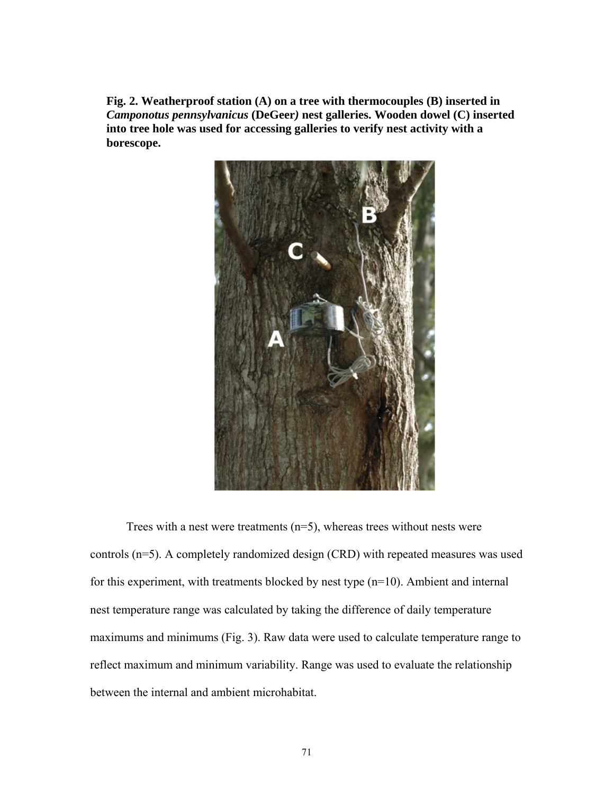**Fig. 2. Weatherproof station (A) on a tree with thermocouples (B) inserted in**  *Camponotus pennsylvanicus* **(DeGeer***)* **nest galleries. Wooden dowel (C) inserted into tree hole was used for accessing galleries to verify nest activity with a borescope.** 



Trees with a nest were treatments  $(n=5)$ , whereas trees without nests were controls (n=5). A completely randomized design (CRD) with repeated measures was used for this experiment, with treatments blocked by nest type (n=10). Ambient and internal nest temperature range was calculated by taking the difference of daily temperature maximums and minimums (Fig. 3). Raw data were used to calculate temperature range to reflect maximum and minimum variability. Range was used to evaluate the relationship between the internal and ambient microhabitat.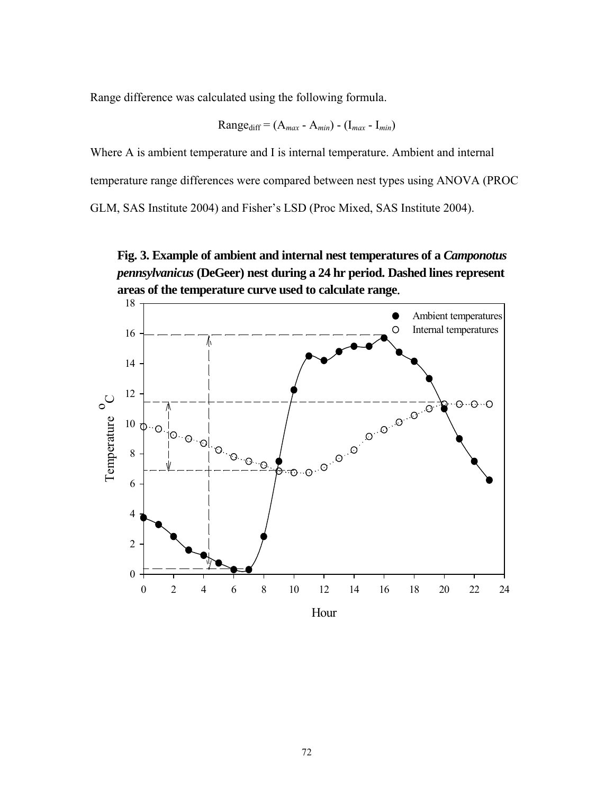Range difference was calculated using the following formula.

Range<sub>diff</sub> = 
$$
(A_{max} - A_{min}) - (I_{max} - I_{min})
$$

Where A is ambient temperature and I is internal temperature. Ambient and internal temperature range differences were compared between nest types using ANOVA (PROC GLM, SAS Institute 2004) and Fisher's LSD (Proc Mixed, SAS Institute 2004).



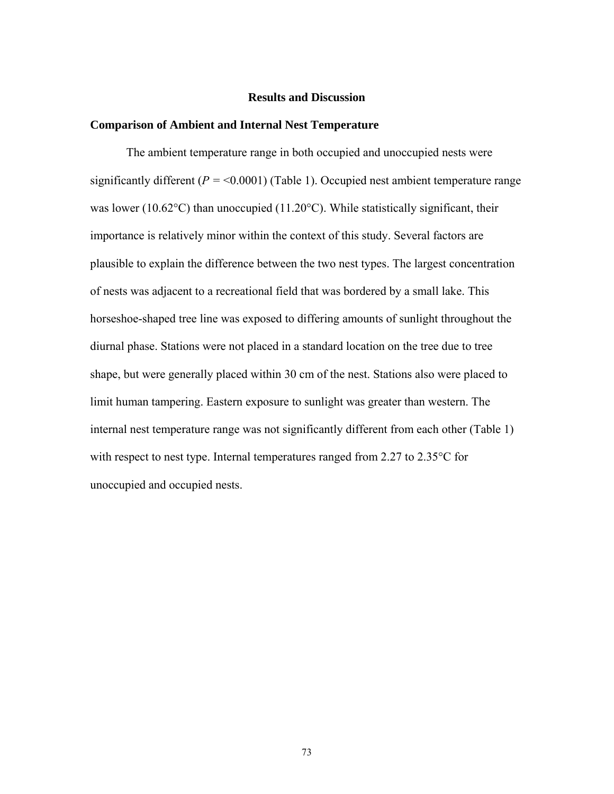### **Results and Discussion**

### **Comparison of Ambient and Internal Nest Temperature**

The ambient temperature range in both occupied and unoccupied nests were significantly different  $(P = 0.0001)$  (Table 1). Occupied nest ambient temperature range was lower (10.62°C) than unoccupied (11.20°C). While statistically significant, their importance is relatively minor within the context of this study. Several factors are plausible to explain the difference between the two nest types. The largest concentration of nests was adjacent to a recreational field that was bordered by a small lake. This horseshoe-shaped tree line was exposed to differing amounts of sunlight throughout the diurnal phase. Stations were not placed in a standard location on the tree due to tree shape, but were generally placed within 30 cm of the nest. Stations also were placed to limit human tampering. Eastern exposure to sunlight was greater than western. The internal nest temperature range was not significantly different from each other (Table 1) with respect to nest type. Internal temperatures ranged from 2.27 to 2.35 °C for unoccupied and occupied nests.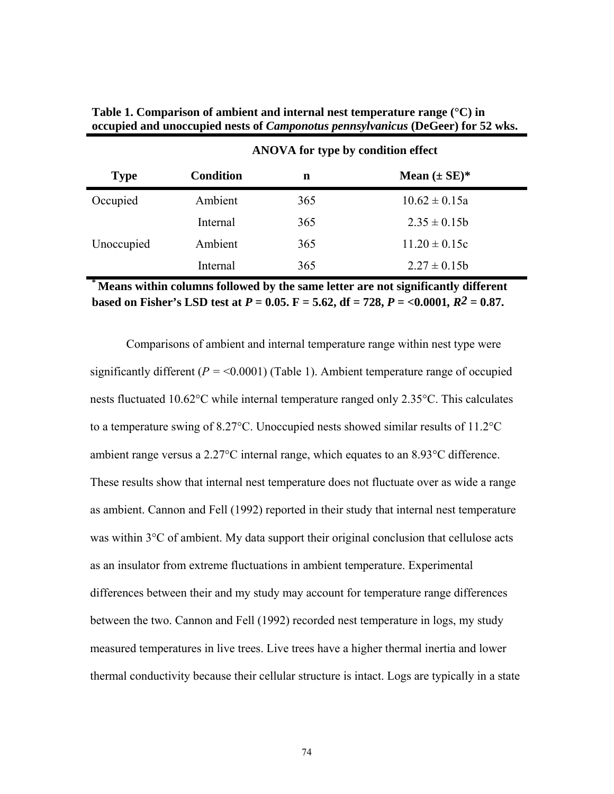| <b>Type</b> | <b>Condition</b> | n   | Mean $(\pm SE)^*$ |  |
|-------------|------------------|-----|-------------------|--|
| Occupied    | Ambient          | 365 | $10.62 \pm 0.15a$ |  |
|             | Internal         | 365 | $2.35 \pm 0.15b$  |  |
| Unoccupied  | Ambient          | 365 | $11.20 \pm 0.15c$ |  |
|             | Internal         | 365 | $2.27 \pm 0.15b$  |  |

**Table 1. Comparison of ambient and internal nest temperature range (°C) in occupied and unoccupied nests of** *Camponotus pennsylvanicus* **(DeGeer) for 52 wks.** 

**ANOVA for type by condition effect** 

**\* Means within columns followed by the same letter are not significantly different based on Fisher's LSD test at** *P* **= 0.05. F = 5.62, df = 728,** *P =* **<0.0001***, R2* **= 0.87.** 

Comparisons of ambient and internal temperature range within nest type were significantly different  $(P = < 0.0001)$  (Table 1). Ambient temperature range of occupied nests fluctuated 10.62°C while internal temperature ranged only 2.35°C. This calculates to a temperature swing of 8.27°C. Unoccupied nests showed similar results of 11.2°C ambient range versus a 2.27°C internal range, which equates to an 8.93°C difference. These results show that internal nest temperature does not fluctuate over as wide a range as ambient. Cannon and Fell (1992) reported in their study that internal nest temperature was within 3<sup>o</sup>C of ambient. My data support their original conclusion that cellulose acts as an insulator from extreme fluctuations in ambient temperature. Experimental differences between their and my study may account for temperature range differences between the two. Cannon and Fell (1992) recorded nest temperature in logs, my study measured temperatures in live trees. Live trees have a higher thermal inertia and lower thermal conductivity because their cellular structure is intact. Logs are typically in a state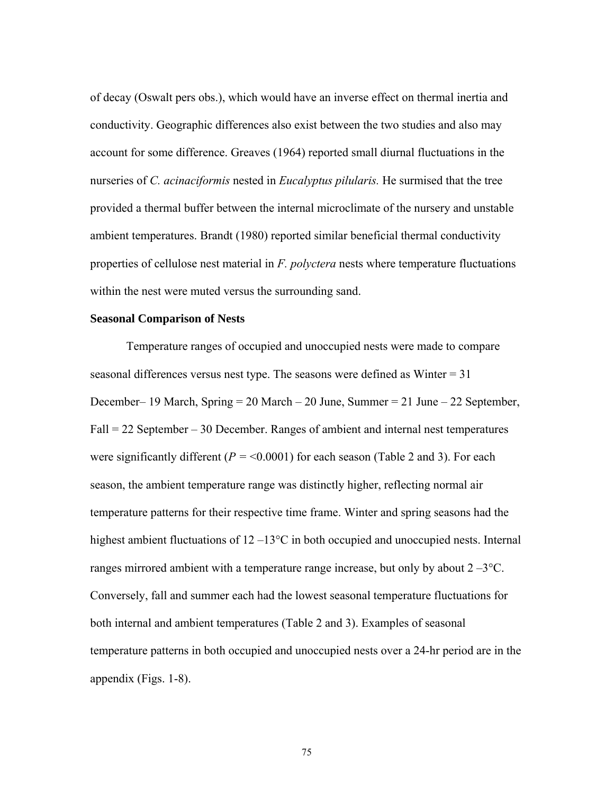of decay (Oswalt pers obs.), which would have an inverse effect on thermal inertia and conductivity. Geographic differences also exist between the two studies and also may account for some difference. Greaves (1964) reported small diurnal fluctuations in the nurseries of *C. acinaciformis* nested in *Eucalyptus pilularis.* He surmised that the tree provided a thermal buffer between the internal microclimate of the nursery and unstable ambient temperatures. Brandt (1980) reported similar beneficial thermal conductivity properties of cellulose nest material in *F. polyctera* nests where temperature fluctuations within the nest were muted versus the surrounding sand.

#### **Seasonal Comparison of Nests**

 Temperature ranges of occupied and unoccupied nests were made to compare seasonal differences versus nest type. The seasons were defined as Winter = 31 December– 19 March, Spring = 20 March – 20 June, Summer = 21 June – 22 September, Fall = 22 September – 30 December. Ranges of ambient and internal nest temperatures were significantly different  $(P = 0.0001)$  for each season (Table 2 and 3). For each season, the ambient temperature range was distinctly higher, reflecting normal air temperature patterns for their respective time frame. Winter and spring seasons had the highest ambient fluctuations of  $12-13$ °C in both occupied and unoccupied nests. Internal ranges mirrored ambient with a temperature range increase, but only by about  $2-3$ °C. Conversely, fall and summer each had the lowest seasonal temperature fluctuations for both internal and ambient temperatures (Table 2 and 3). Examples of seasonal temperature patterns in both occupied and unoccupied nests over a 24-hr period are in the appendix (Figs. 1-8).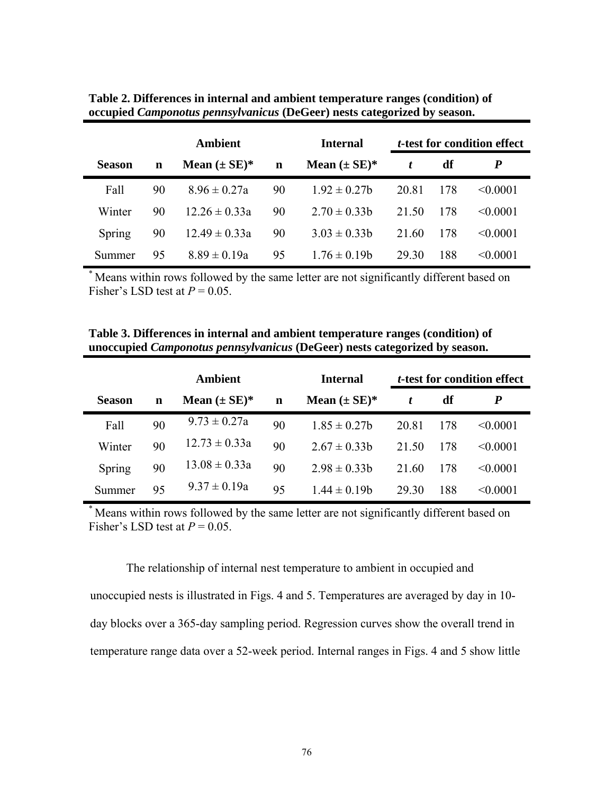|               | <b>Ambient</b> |                   |             | <b>Internal</b>   | <i>t</i> -test for condition effect |     |               |
|---------------|----------------|-------------------|-------------|-------------------|-------------------------------------|-----|---------------|
| <b>Season</b> | $\mathbf n$    | Mean $(\pm SE)^*$ | $\mathbf n$ | Mean $(\pm SE)^*$ | t                                   | df  | P             |
| Fall          | 90             | $8.96 \pm 0.27a$  | 90          | $192 \pm 027$ h   | 20.81                               | 178 | < 0.0001      |
| Winter        | 90             | $12.26 \pm 0.33a$ | 90          | $2.70 \pm 0.33$ h | 21.50                               | 178 | $\leq 0.0001$ |
| Spring        | 90             | $12.49 \pm 0.33a$ | 90          | $3.03 \pm 0.33$ h | 21.60                               | 178 | $\leq 0.0001$ |
| Summer        | 95             | $8.89 \pm 0.19a$  | 95          | $176 \pm 0.19$ h  | 29.30                               | 188 | < 0.0001      |

**Table 2. Differences in internal and ambient temperature ranges (condition) of occupied** *Camponotus pennsylvanicus* **(DeGeer) nests categorized by season.** 

Means within rows followed by the same letter are not significantly different based on Fisher's LSD test at  $P = 0.05$ .

|               | Ambient |                   |    | <b>Internal</b>   | <i>t</i> -test for condition effect |     |               |
|---------------|---------|-------------------|----|-------------------|-------------------------------------|-----|---------------|
| <b>Season</b> | n       | Mean $(\pm SE)^*$ | n  | Mean $(\pm SE)^*$ | t                                   | df  | P             |
| Fall          | 90      | $9.73 \pm 0.27a$  | 90 | $1.85 \pm 0.27$   | 20.81                               | 178 | < 0.0001      |
| Winter        | 90      | $12.73 \pm 0.33a$ | 90 | $2.67 \pm 0.33$ h | 21.50                               | 178 | $\leq 0.0001$ |
| Spring        | 90      | $13.08 \pm 0.33a$ | 90 | $2.98 \pm 0.33$ h | 21.60                               | 178 | < 0.0001      |
| Summer        | 95      | $9.37 \pm 0.19a$  | 95 | $1.44 \pm 0.19$ h | 29.30                               | 188 | < 0.0001      |

**Table 3. Differences in internal and ambient temperature ranges (condition) of unoccupied** *Camponotus pennsylvanicus* **(DeGeer) nests categorized by season.** 

\* Means within rows followed by the same letter are not significantly different based on Fisher's LSD test at  $P = 0.05$ .

The relationship of internal nest temperature to ambient in occupied and

unoccupied nests is illustrated in Figs. 4 and 5. Temperatures are averaged by day in 10 day blocks over a 365-day sampling period. Regression curves show the overall trend in temperature range data over a 52-week period. Internal ranges in Figs. 4 and 5 show little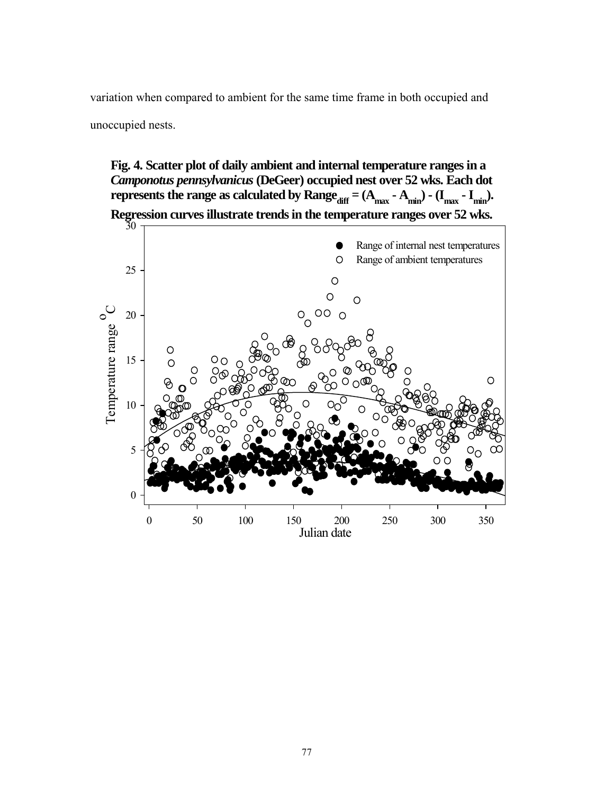variation when compared to ambient for the same time frame in both occupied and

unoccupied nests.

**Fig. 4. Scatter plot of daily ambient and internal temperature ranges in a**  *Camponotus pennsylvanicus* **(DeGeer) occupied nest over 52 wks. Each dot represents the range as calculated by Range**  $_{diff} = (A_{max} - A_{min}) - (I_{max} - I_{min})$ . **Regression curves illustrate trends in the temperature ranges over 52 wks.**

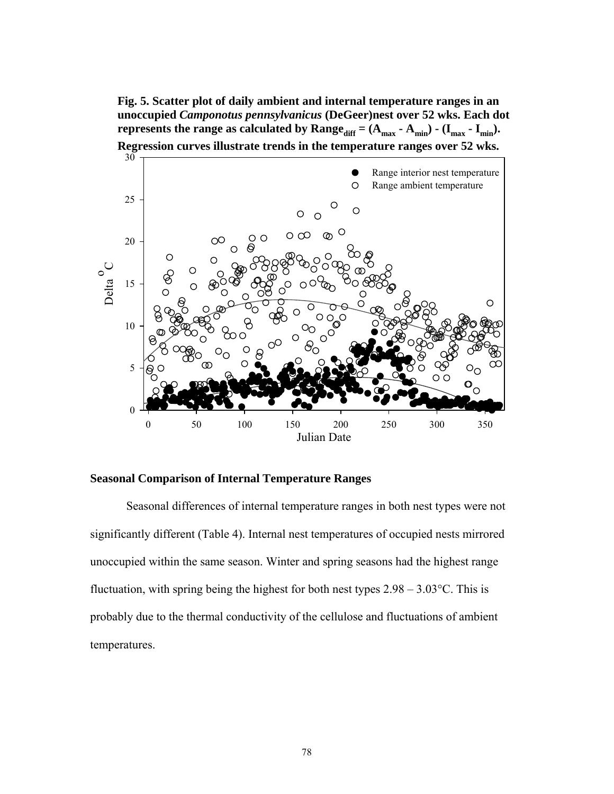**Fig. 5. Scatter plot of daily ambient and internal temperature ranges in an unoccupied** *Camponotus pennsylvanicus* **(DeGeer)nest over 52 wks. Each dot represents the range as calculated by Range**  $_{diff} = (A_{max} - A_{min}) - (I_{max} - I_{min})$ . **Regression curves illustrate trends in the temperature ranges over 52 wks.**



### **Seasonal Comparison of Internal Temperature Ranges**

Seasonal differences of internal temperature ranges in both nest types were not significantly different (Table 4). Internal nest temperatures of occupied nests mirrored unoccupied within the same season. Winter and spring seasons had the highest range fluctuation, with spring being the highest for both nest types  $2.98 - 3.03^{\circ}$ C. This is probably due to the thermal conductivity of the cellulose and fluctuations of ambient temperatures.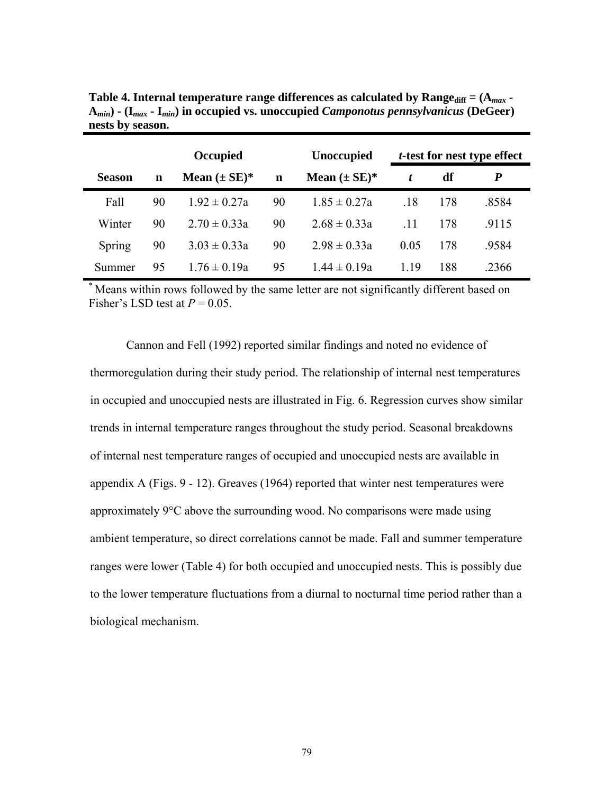|               | Occupied |                   |    | <b>Unoccupied</b>  | <i>t</i> -test for nest type effect |     |       |
|---------------|----------|-------------------|----|--------------------|-------------------------------------|-----|-------|
| <b>Season</b> | n        | Mean $(\pm SE)^*$ | n  | Mean $(\pm SE)^*$  | t                                   | df  | P     |
| Fall          | 90       | $192 \pm 027a$    | 90 | $1.85 \pm 0.27a$   | .18                                 | 178 | .8584 |
| Winter        | 90       | $2.70 \pm 0.33a$  | 90 | $2.68 \pm 0.33a$   | .11                                 | 178 | .9115 |
| Spring        | 90       | $3.03 \pm 0.33a$  | 90 | $2.98 \pm 0.33a$   | 0.05                                | 178 | .9584 |
| Summer        | 95       | $176 \pm 0.19a$   | 95 | $1\,44 \pm 0\,19a$ | 119                                 | 188 | .2366 |

Table 4. Internal temperature range differences as calculated by  $\text{Range}_{\text{diff}} = (A_{\text{max}} -$ **A***min***) - (I***max* **- I***min***) in occupied vs. unoccupied** *Camponotus pennsylvanicus* **(DeGeer) nests by season.** 

\* Means within rows followed by the same letter are not significantly different based on Fisher's LSD test at  $P = 0.05$ .

 Cannon and Fell (1992) reported similar findings and noted no evidence of thermoregulation during their study period. The relationship of internal nest temperatures in occupied and unoccupied nests are illustrated in Fig. 6. Regression curves show similar trends in internal temperature ranges throughout the study period. Seasonal breakdowns of internal nest temperature ranges of occupied and unoccupied nests are available in appendix A (Figs. 9 - 12). Greaves (1964) reported that winter nest temperatures were approximately  $9^{\circ}$ C above the surrounding wood. No comparisons were made using ambient temperature, so direct correlations cannot be made. Fall and summer temperature ranges were lower (Table 4) for both occupied and unoccupied nests. This is possibly due to the lower temperature fluctuations from a diurnal to nocturnal time period rather than a biological mechanism.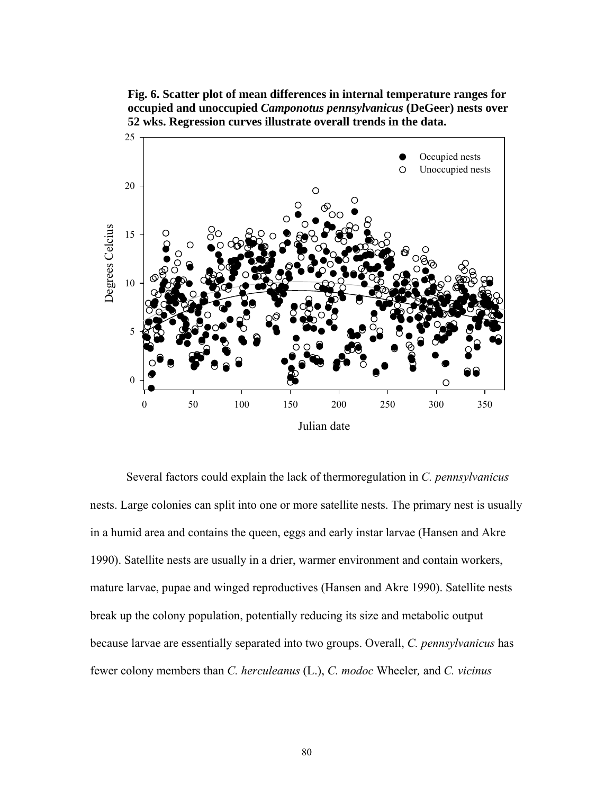**Fig. 6. Scatter plot of mean differences in internal temperature ranges for occupied and unoccupied** *Camponotus pennsylvanicus* **(DeGeer) nests over 52 wks. Regression curves illustrate overall trends in the data.** 



 Several factors could explain the lack of thermoregulation in *C. pennsylvanicus* nests. Large colonies can split into one or more satellite nests. The primary nest is usually in a humid area and contains the queen, eggs and early instar larvae (Hansen and Akre 1990). Satellite nests are usually in a drier, warmer environment and contain workers, mature larvae, pupae and winged reproductives (Hansen and Akre 1990). Satellite nests break up the colony population, potentially reducing its size and metabolic output because larvae are essentially separated into two groups. Overall, *C. pennsylvanicus* has fewer colony members than *C. herculeanus* (L.), *C. modoc* Wheeler*,* and *C. vicinus*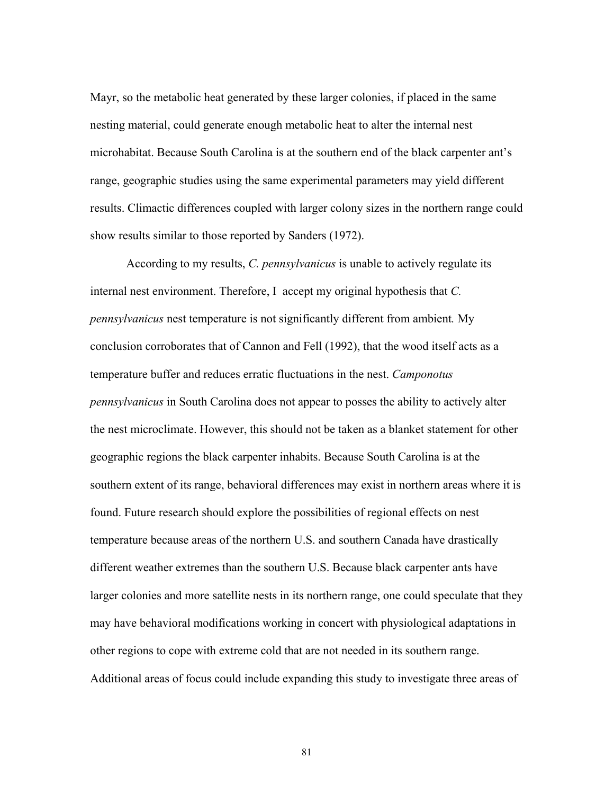Mayr, so the metabolic heat generated by these larger colonies, if placed in the same nesting material, could generate enough metabolic heat to alter the internal nest microhabitat. Because South Carolina is at the southern end of the black carpenter ant's range, geographic studies using the same experimental parameters may yield different results. Climactic differences coupled with larger colony sizes in the northern range could show results similar to those reported by Sanders (1972).

 According to my results, *C. pennsylvanicus* is unable to actively regulate its internal nest environment. Therefore, I accept my original hypothesis that *C. pennsylvanicus* nest temperature is not significantly different from ambient*.* My conclusion corroborates that of Cannon and Fell (1992), that the wood itself acts as a temperature buffer and reduces erratic fluctuations in the nest. *Camponotus pennsylvanicus* in South Carolina does not appear to posses the ability to actively alter the nest microclimate. However, this should not be taken as a blanket statement for other geographic regions the black carpenter inhabits. Because South Carolina is at the southern extent of its range, behavioral differences may exist in northern areas where it is found. Future research should explore the possibilities of regional effects on nest temperature because areas of the northern U.S. and southern Canada have drastically different weather extremes than the southern U.S. Because black carpenter ants have larger colonies and more satellite nests in its northern range, one could speculate that they may have behavioral modifications working in concert with physiological adaptations in other regions to cope with extreme cold that are not needed in its southern range. Additional areas of focus could include expanding this study to investigate three areas of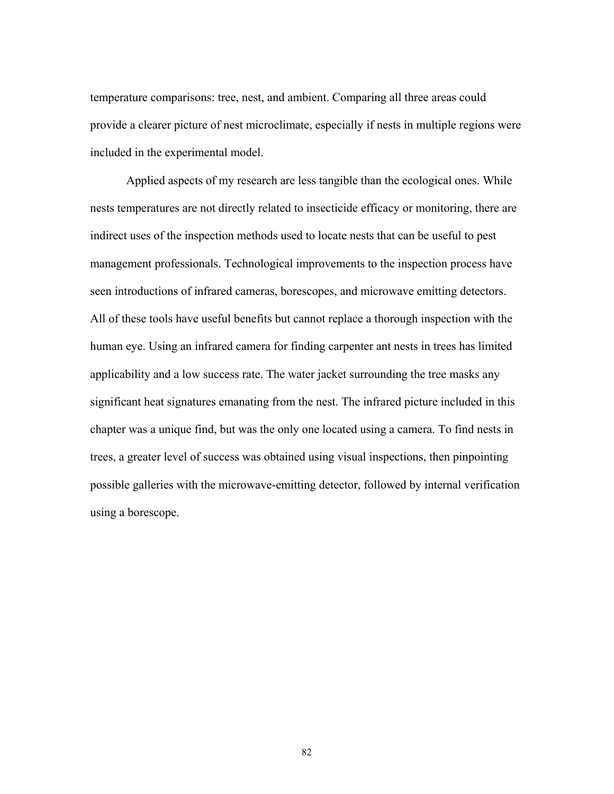temperature comparisons: tree, nest, and ambient. Comparing all three areas could provide a clearer picture of nest microclimate, especially if nests in multiple regions were included in the experimental model.

 Applied aspects of my research are less tangible than the ecological ones. While nests temperatures are not directly related to insecticide efficacy or monitoring, there are indirect uses of the inspection methods used to locate nests that can be useful to pest management professionals. Technological improvements to the inspection process have seen introductions of infrared cameras, borescopes, and microwave emitting detectors. All of these tools have useful benefits but cannot replace a thorough inspection with the human eye. Using an infrared camera for finding carpenter ant nests in trees has limited applicability and a low success rate. The water jacket surrounding the tree masks any significant heat signatures emanating from the nest. The infrared picture included in this chapter was a unique find, but was the only one located using a camera. To find nests in trees, a greater level of success was obtained using visual inspections, then pinpointing possible galleries with the microwave-emitting detector, followed by internal verification using a borescope.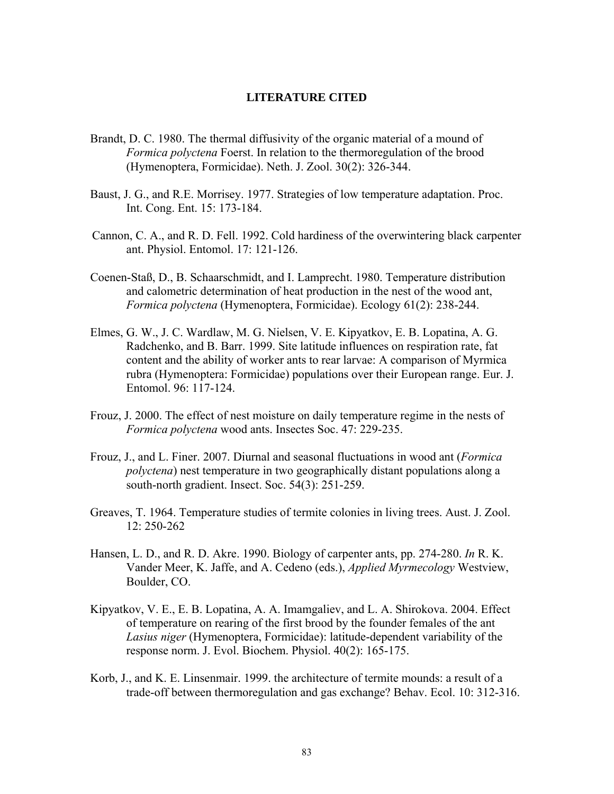## **LITERATURE CITED**

- Brandt, D. C. 1980. The thermal diffusivity of the organic material of a mound of *Formica polyctena* Foerst. In relation to the thermoregulation of the brood (Hymenoptera, Formicidae). Neth. J. Zool. 30(2): 326-344.
- Baust, J. G., and R.E. Morrisey. 1977. Strategies of low temperature adaptation. Proc. Int. Cong. Ent. 15: 173-184.
- Cannon, C. A., and R. D. Fell. 1992. Cold hardiness of the overwintering black carpenter ant. Physiol. Entomol. 17: 121-126.
- Coenen-Staß, D., B. Schaarschmidt, and I. Lamprecht. 1980. Temperature distribution and calometric determination of heat production in the nest of the wood ant, *Formica polyctena* (Hymenoptera, Formicidae). Ecology 61(2): 238-244.
- Elmes, G. W., J. C. Wardlaw, M. G. Nielsen, V. E. Kipyatkov, E. B. Lopatina, A. G. Radchenko, and B. Barr. 1999. Site latitude influences on respiration rate, fat content and the ability of worker ants to rear larvae: A comparison of Myrmica rubra (Hymenoptera: Formicidae) populations over their European range. Eur. J. Entomol. 96: 117-124.
- Frouz, J. 2000. The effect of nest moisture on daily temperature regime in the nests of *Formica polyctena* wood ants. Insectes Soc. 47: 229-235.
- Frouz, J., and L. Finer. 2007. Diurnal and seasonal fluctuations in wood ant (*Formica polyctena*) nest temperature in two geographically distant populations along a south-north gradient. Insect. Soc. 54(3): 251-259.
- Greaves, T. 1964. Temperature studies of termite colonies in living trees. Aust. J. Zool. 12: 250-262
- Hansen, L. D., and R. D. Akre. 1990. Biology of carpenter ants, pp. 274-280. *In* R. K. Vander Meer, K. Jaffe, and A. Cedeno (eds.), *Applied Myrmecology* Westview, Boulder, CO.
- Kipyatkov, V. E., E. B. Lopatina, A. A. Imamgaliev, and L. A. Shirokova. 2004. Effect of temperature on rearing of the first brood by the founder females of the ant *Lasius niger* (Hymenoptera, Formicidae): latitude-dependent variability of the response norm. J. Evol. Biochem. Physiol. 40(2): 165-175.
- Korb, J., and K. E. Linsenmair. 1999. the architecture of termite mounds: a result of a trade-off between thermoregulation and gas exchange? Behav. Ecol. 10: 312-316.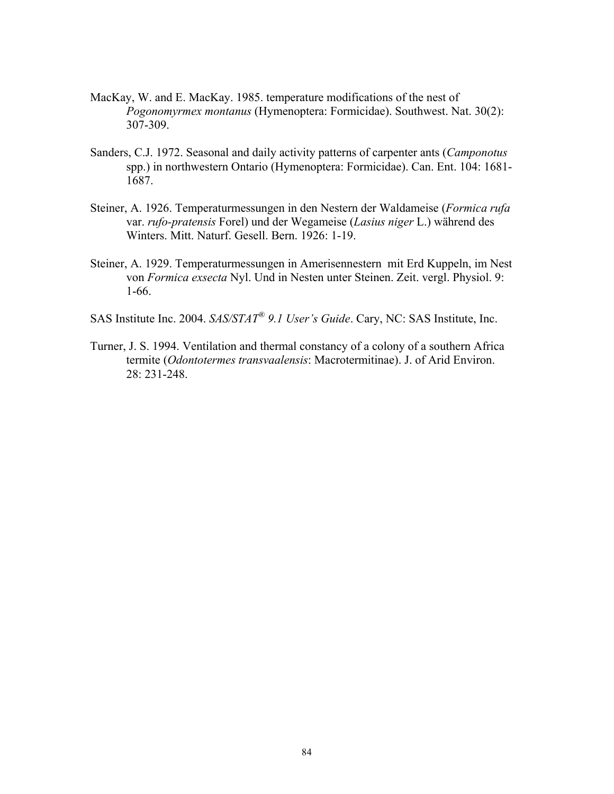- MacKay, W. and E. MacKay. 1985. temperature modifications of the nest of *Pogonomyrmex montanus* (Hymenoptera: Formicidae). Southwest. Nat. 30(2): 307-309.
- Sanders, C.J. 1972. Seasonal and daily activity patterns of carpenter ants (*Camponotus*  spp.) in northwestern Ontario (Hymenoptera: Formicidae). Can. Ent. 104: 1681- 1687.
- Steiner, A. 1926. Temperaturmessungen in den Nestern der Waldameise (*Formica rufa*  var. *rufo-pratensis* Forel) und der Wegameise (*Lasius niger* L.) während des Winters. Mitt. Naturf. Gesell. Bern. 1926: 1-19.
- Steiner, A. 1929. Temperaturmessungen in Amerisennestern mit Erd Kuppeln, im Nest von *Formica exsecta* Nyl. Und in Nesten unter Steinen. Zeit. vergl. Physiol. 9: 1-66.
- SAS Institute Inc. 2004. *SAS/STAT® 9.1 User's Guide*. Cary, NC: SAS Institute, Inc.
- Turner, J. S. 1994. Ventilation and thermal constancy of a colony of a southern Africa termite (*Odontotermes transvaalensis*: Macrotermitinae). J. of Arid Environ. 28: 231-248.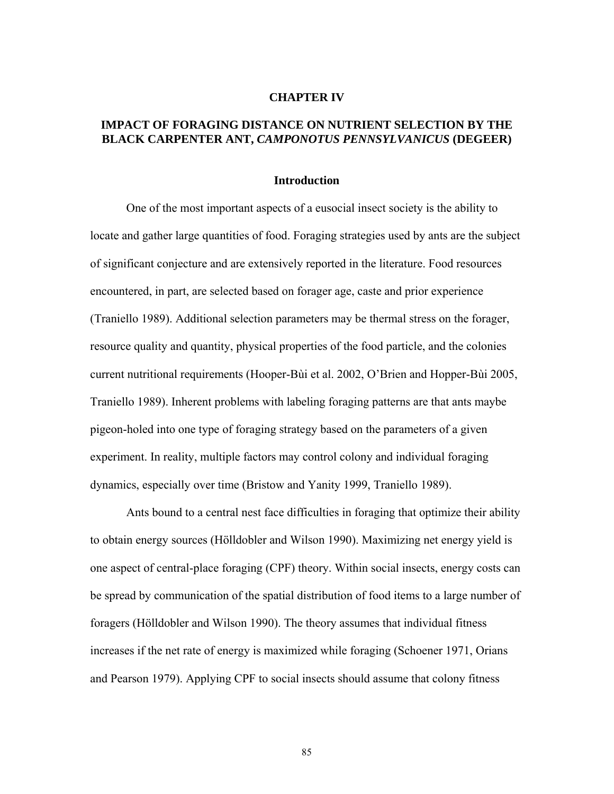#### **CHAPTER IV**

## **IMPACT OF FORAGING DISTANCE ON NUTRIENT SELECTION BY THE BLACK CARPENTER ANT,** *CAMPONOTUS PENNSYLVANICUS* **(DEGEER)**

#### **Introduction**

One of the most important aspects of a eusocial insect society is the ability to locate and gather large quantities of food. Foraging strategies used by ants are the subject of significant conjecture and are extensively reported in the literature. Food resources encountered, in part, are selected based on forager age, caste and prior experience (Traniello 1989). Additional selection parameters may be thermal stress on the forager, resource quality and quantity, physical properties of the food particle, and the colonies current nutritional requirements (Hooper-Bùi et al. 2002, O'Brien and Hopper-Bùi 2005, Traniello 1989). Inherent problems with labeling foraging patterns are that ants maybe pigeon-holed into one type of foraging strategy based on the parameters of a given experiment. In reality, multiple factors may control colony and individual foraging dynamics, especially over time (Bristow and Yanity 1999, Traniello 1989).

Ants bound to a central nest face difficulties in foraging that optimize their ability to obtain energy sources (Hölldobler and Wilson 1990). Maximizing net energy yield is one aspect of central-place foraging (CPF) theory. Within social insects, energy costs can be spread by communication of the spatial distribution of food items to a large number of foragers (Hölldobler and Wilson 1990). The theory assumes that individual fitness increases if the net rate of energy is maximized while foraging (Schoener 1971, Orians and Pearson 1979). Applying CPF to social insects should assume that colony fitness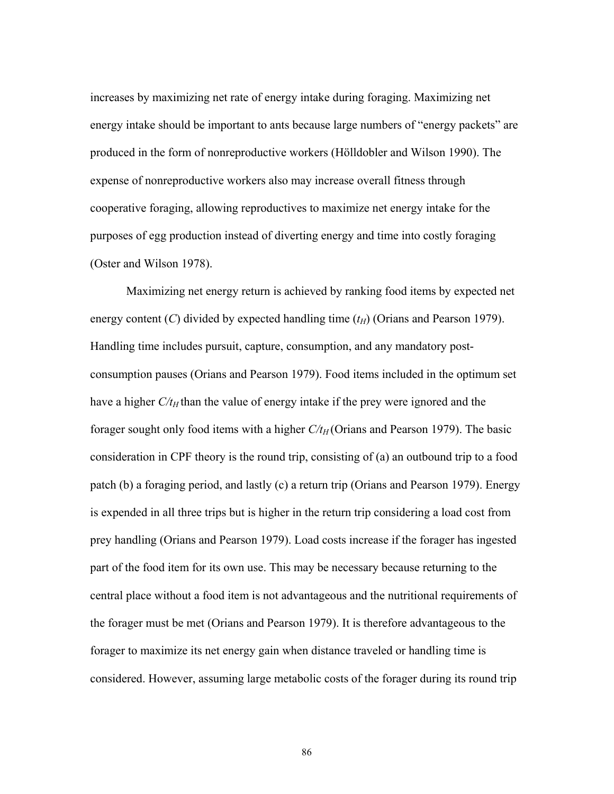increases by maximizing net rate of energy intake during foraging. Maximizing net energy intake should be important to ants because large numbers of "energy packets" are produced in the form of nonreproductive workers (Hölldobler and Wilson 1990). The expense of nonreproductive workers also may increase overall fitness through cooperative foraging, allowing reproductives to maximize net energy intake for the purposes of egg production instead of diverting energy and time into costly foraging (Oster and Wilson 1978).

Maximizing net energy return is achieved by ranking food items by expected net energy content (*C*) divided by expected handling time  $(t_H)$  (Orians and Pearson 1979). Handling time includes pursuit, capture, consumption, and any mandatory postconsumption pauses (Orians and Pearson 1979). Food items included in the optimum set have a higher  $C/t_H$  than the value of energy intake if the prey were ignored and the forager sought only food items with a higher  $C/t_H$  (Orians and Pearson 1979). The basic consideration in CPF theory is the round trip, consisting of (a) an outbound trip to a food patch (b) a foraging period, and lastly (c) a return trip (Orians and Pearson 1979). Energy is expended in all three trips but is higher in the return trip considering a load cost from prey handling (Orians and Pearson 1979). Load costs increase if the forager has ingested part of the food item for its own use. This may be necessary because returning to the central place without a food item is not advantageous and the nutritional requirements of the forager must be met (Orians and Pearson 1979). It is therefore advantageous to the forager to maximize its net energy gain when distance traveled or handling time is considered. However, assuming large metabolic costs of the forager during its round trip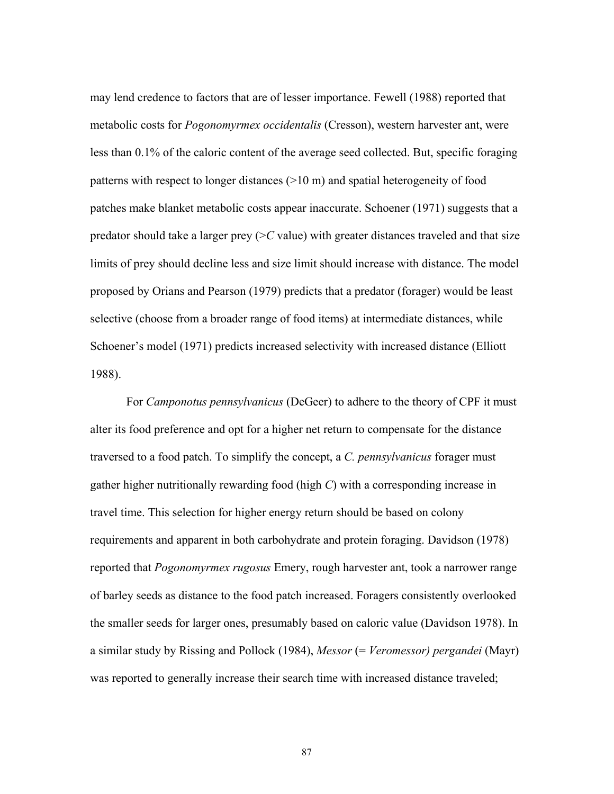may lend credence to factors that are of lesser importance. Fewell (1988) reported that metabolic costs for *Pogonomyrmex occidentalis* (Cresson), western harvester ant, were less than 0.1% of the caloric content of the average seed collected. But, specific foraging patterns with respect to longer distances (>10 m) and spatial heterogeneity of food patches make blanket metabolic costs appear inaccurate. Schoener (1971) suggests that a predator should take a larger prey  $(>C$  value) with greater distances traveled and that size limits of prey should decline less and size limit should increase with distance. The model proposed by Orians and Pearson (1979) predicts that a predator (forager) would be least selective (choose from a broader range of food items) at intermediate distances, while Schoener's model (1971) predicts increased selectivity with increased distance (Elliott 1988).

 For *Camponotus pennsylvanicus* (DeGeer) to adhere to the theory of CPF it must alter its food preference and opt for a higher net return to compensate for the distance traversed to a food patch. To simplify the concept, a *C. pennsylvanicus* forager must gather higher nutritionally rewarding food (high *C*) with a corresponding increase in travel time. This selection for higher energy return should be based on colony requirements and apparent in both carbohydrate and protein foraging. Davidson (1978) reported that *Pogonomyrmex rugosus* Emery, rough harvester ant, took a narrower range of barley seeds as distance to the food patch increased. Foragers consistently overlooked the smaller seeds for larger ones, presumably based on caloric value (Davidson 1978). In a similar study by Rissing and Pollock (1984), *Messor* (= *Veromessor) pergandei* (Mayr) was reported to generally increase their search time with increased distance traveled;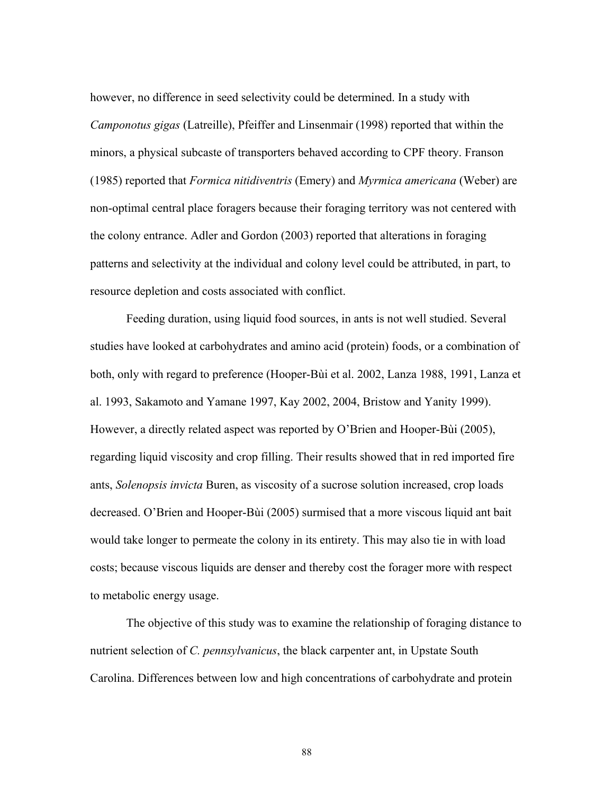however, no difference in seed selectivity could be determined. In a study with *Camponotus gigas* (Latreille), Pfeiffer and Linsenmair (1998) reported that within the minors, a physical subcaste of transporters behaved according to CPF theory. Franson (1985) reported that *Formica nitidiventris* (Emery) and *Myrmica americana* (Weber) are non-optimal central place foragers because their foraging territory was not centered with the colony entrance. Adler and Gordon (2003) reported that alterations in foraging patterns and selectivity at the individual and colony level could be attributed, in part, to resource depletion and costs associated with conflict.

 Feeding duration, using liquid food sources, in ants is not well studied. Several studies have looked at carbohydrates and amino acid (protein) foods, or a combination of both, only with regard to preference (Hooper-Bùi et al. 2002, Lanza 1988, 1991, Lanza et al. 1993, Sakamoto and Yamane 1997, Kay 2002, 2004, Bristow and Yanity 1999). However, a directly related aspect was reported by O'Brien and Hooper-Bùi (2005), regarding liquid viscosity and crop filling. Their results showed that in red imported fire ants, *Solenopsis invicta* Buren, as viscosity of a sucrose solution increased, crop loads decreased. O'Brien and Hooper-Bùi (2005) surmised that a more viscous liquid ant bait would take longer to permeate the colony in its entirety. This may also tie in with load costs; because viscous liquids are denser and thereby cost the forager more with respect to metabolic energy usage.

The objective of this study was to examine the relationship of foraging distance to nutrient selection of *C. pennsylvanicus*, the black carpenter ant, in Upstate South Carolina. Differences between low and high concentrations of carbohydrate and protein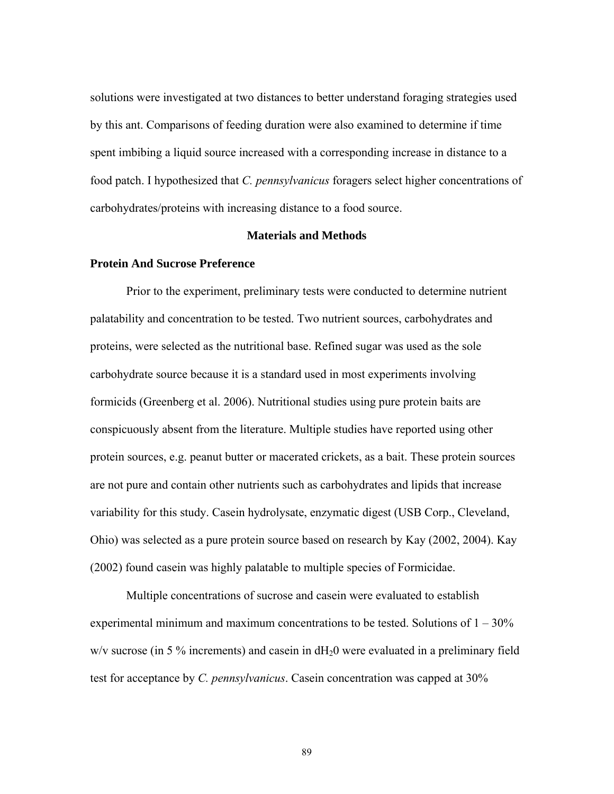solutions were investigated at two distances to better understand foraging strategies used by this ant. Comparisons of feeding duration were also examined to determine if time spent imbibing a liquid source increased with a corresponding increase in distance to a food patch. I hypothesized that *C. pennsylvanicus* foragers select higher concentrations of carbohydrates/proteins with increasing distance to a food source.

### **Materials and Methods**

### **Protein And Sucrose Preference**

Prior to the experiment, preliminary tests were conducted to determine nutrient palatability and concentration to be tested. Two nutrient sources, carbohydrates and proteins, were selected as the nutritional base. Refined sugar was used as the sole carbohydrate source because it is a standard used in most experiments involving formicids (Greenberg et al. 2006). Nutritional studies using pure protein baits are conspicuously absent from the literature. Multiple studies have reported using other protein sources, e.g. peanut butter or macerated crickets, as a bait. These protein sources are not pure and contain other nutrients such as carbohydrates and lipids that increase variability for this study. Casein hydrolysate, enzymatic digest (USB Corp., Cleveland, Ohio) was selected as a pure protein source based on research by Kay (2002, 2004). Kay (2002) found casein was highly palatable to multiple species of Formicidae.

Multiple concentrations of sucrose and casein were evaluated to establish experimental minimum and maximum concentrations to be tested. Solutions of  $1 - 30\%$  $w/v$  sucrose (in 5 % increments) and casein in  $dH_20$  were evaluated in a preliminary field test for acceptance by *C. pennsylvanicus*. Casein concentration was capped at 30%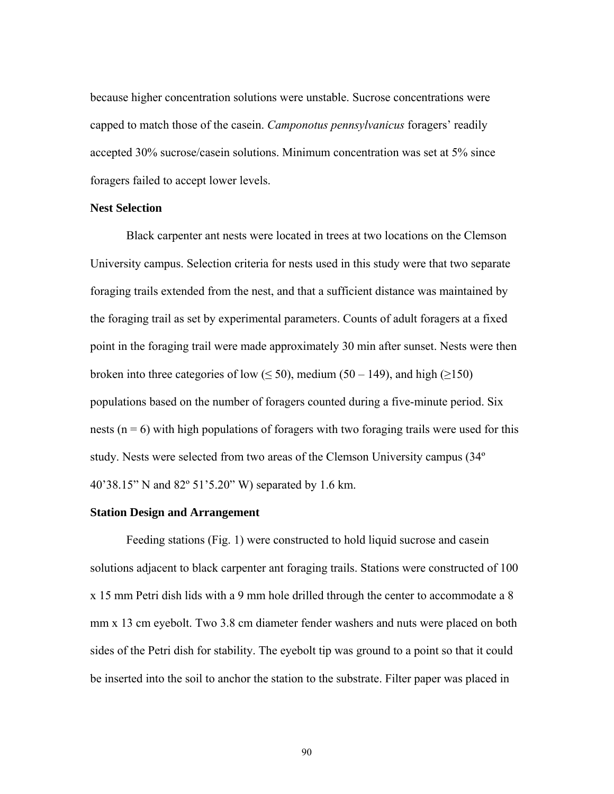because higher concentration solutions were unstable. Sucrose concentrations were capped to match those of the casein. *Camponotus pennsylvanicus* foragers' readily accepted 30% sucrose/casein solutions. Minimum concentration was set at 5% since foragers failed to accept lower levels.

#### **Nest Selection**

Black carpenter ant nests were located in trees at two locations on the Clemson University campus. Selection criteria for nests used in this study were that two separate foraging trails extended from the nest, and that a sufficient distance was maintained by the foraging trail as set by experimental parameters. Counts of adult foragers at a fixed point in the foraging trail were made approximately 30 min after sunset. Nests were then broken into three categories of low ( $\leq 50$ ), medium (50 – 149), and high ( $\geq 150$ ) populations based on the number of foragers counted during a five-minute period. Six nests ( $n = 6$ ) with high populations of foragers with two foraging trails were used for this study. Nests were selected from two areas of the Clemson University campus (34º 40'38.15" N and 82º 51'5.20" W) separated by 1.6 km.

# **Station Design and Arrangement**

Feeding stations (Fig. 1) were constructed to hold liquid sucrose and casein solutions adjacent to black carpenter ant foraging trails. Stations were constructed of 100 x 15 mm Petri dish lids with a 9 mm hole drilled through the center to accommodate a 8 mm x 13 cm eyebolt. Two 3.8 cm diameter fender washers and nuts were placed on both sides of the Petri dish for stability. The eyebolt tip was ground to a point so that it could be inserted into the soil to anchor the station to the substrate. Filter paper was placed in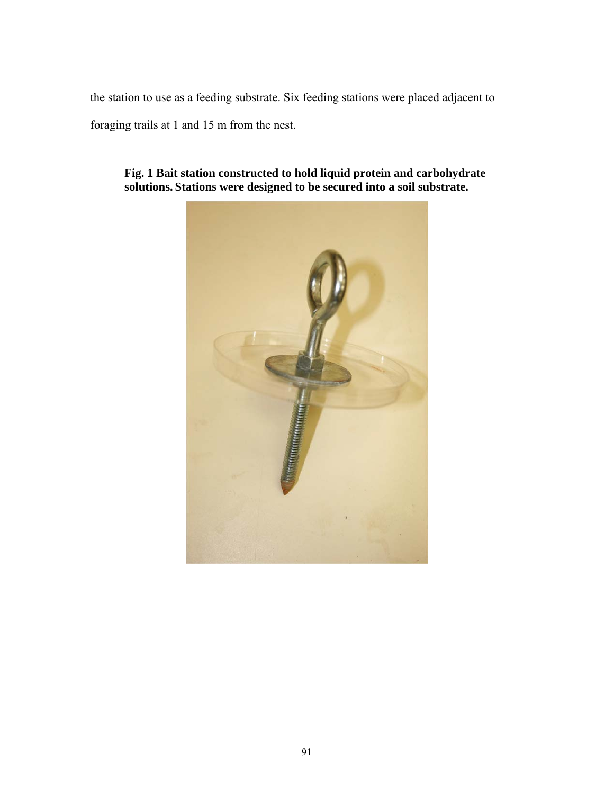the station to use as a feeding substrate. Six feeding stations were placed adjacent to

foraging trails at 1 and 15 m from the nest.



**Fig. 1 Bait station constructed to hold liquid protein and carbohydrate solutions. Stations were designed to be secured into a soil substrate.**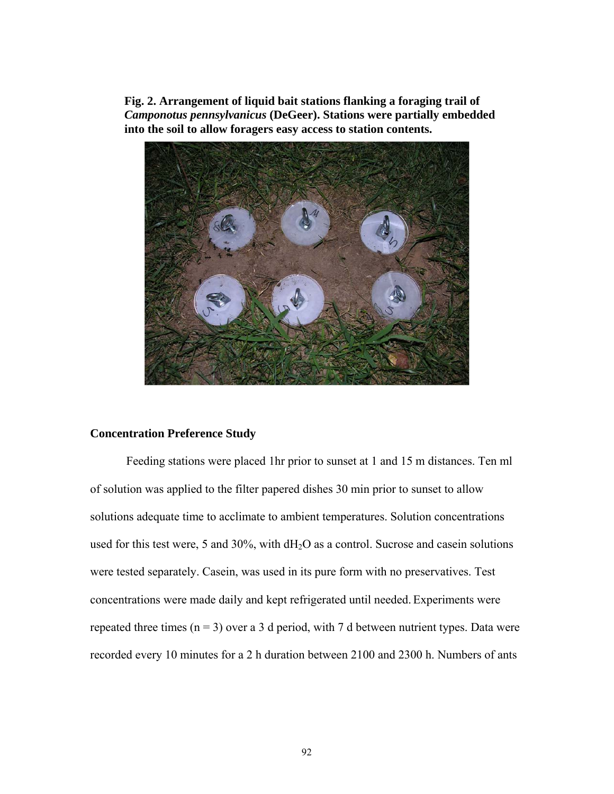**Fig. 2. Arrangement of liquid bait stations flanking a foraging trail of**  *Camponotus pennsylvanicus* **(DeGeer). Stations were partially embedded into the soil to allow foragers easy access to station contents.** 



# **Concentration Preference Study**

Feeding stations were placed 1hr prior to sunset at 1 and 15 m distances. Ten ml of solution was applied to the filter papered dishes 30 min prior to sunset to allow solutions adequate time to acclimate to ambient temperatures. Solution concentrations used for this test were, 5 and 30%, with  $dH_2O$  as a control. Sucrose and casein solutions were tested separately. Casein, was used in its pure form with no preservatives. Test concentrations were made daily and kept refrigerated until needed. Experiments were repeated three times  $(n = 3)$  over a 3 d period, with 7 d between nutrient types. Data were recorded every 10 minutes for a 2 h duration between 2100 and 2300 h. Numbers of ants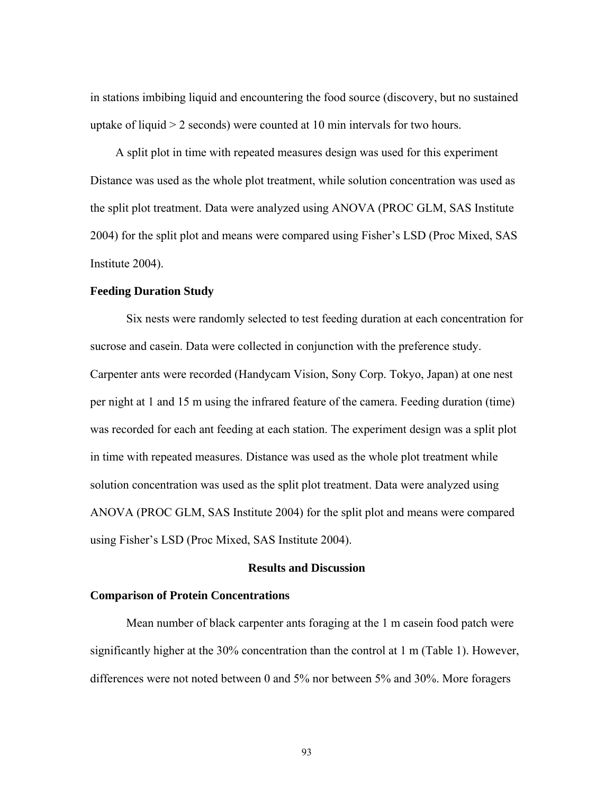in stations imbibing liquid and encountering the food source (discovery, but no sustained uptake of liquid > 2 seconds) were counted at 10 min intervals for two hours.

A split plot in time with repeated measures design was used for this experiment Distance was used as the whole plot treatment, while solution concentration was used as the split plot treatment. Data were analyzed using ANOVA (PROC GLM, SAS Institute 2004) for the split plot and means were compared using Fisher's LSD (Proc Mixed, SAS Institute 2004).

#### **Feeding Duration Study**

Six nests were randomly selected to test feeding duration at each concentration for sucrose and casein. Data were collected in conjunction with the preference study. Carpenter ants were recorded (Handycam Vision, Sony Corp. Tokyo, Japan) at one nest per night at 1 and 15 m using the infrared feature of the camera. Feeding duration (time) was recorded for each ant feeding at each station. The experiment design was a split plot in time with repeated measures. Distance was used as the whole plot treatment while solution concentration was used as the split plot treatment. Data were analyzed using ANOVA (PROC GLM, SAS Institute 2004) for the split plot and means were compared using Fisher's LSD (Proc Mixed, SAS Institute 2004).

## **Results and Discussion**

## **Comparison of Protein Concentrations**

 Mean number of black carpenter ants foraging at the 1 m casein food patch were significantly higher at the 30% concentration than the control at 1 m (Table 1). However, differences were not noted between 0 and 5% nor between 5% and 30%. More foragers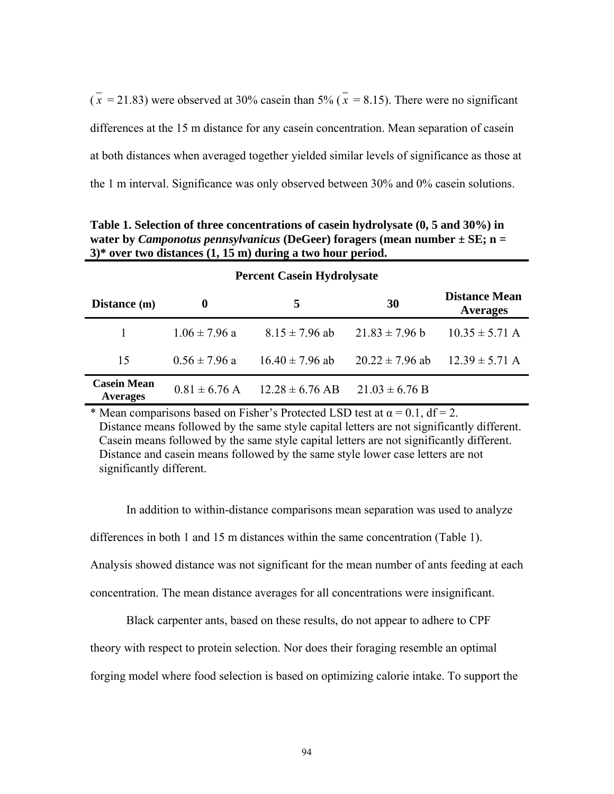$(\bar{x} = 21.83)$  were observed at 30% casein than 5% ( $\bar{x} = 8.15$ ). There were no significant differences at the 15 m distance for any casein concentration. Mean separation of casein at both distances when averaged together yielded similar levels of significance as those at the 1 m interval. Significance was only observed between 30% and 0% casein solutions.

**Table 1. Selection of three concentrations of casein hydrolysate (0, 5 and 30%) in water by** *Camponotus pennsylvanicus* **(DeGeer) foragers (mean number ± SE; n = 3)\* over two distances (1, 15 m) during a two hour period.** 

| <b>Percent Casein Hydrolysate</b>     |                   |                     |                     |                                         |  |  |
|---------------------------------------|-------------------|---------------------|---------------------|-----------------------------------------|--|--|
| Distance (m)                          | 0                 | 5.                  | 30                  | <b>Distance Mean</b><br><b>Averages</b> |  |  |
|                                       | $1.06 \pm 7.96$ a | $8.15 \pm 7.96$ ab  | $21.83 \pm 7.96$ b  | $10.35 \pm 5.71$ A                      |  |  |
| 15                                    | $0.56 \pm 7.96$ a | $16.40 \pm 7.96$ ab | $20.22 \pm 7.96$ ab | $12.39 \pm 5.71$ A                      |  |  |
| <b>Casein Mean</b><br><b>Averages</b> | $0.81 \pm 6.76$ A | $12.28 \pm 6.76$ AB | $21.03 \pm 6.76$ B  |                                         |  |  |

\* Mean comparisons based on Fisher's Protected LSD test at  $\alpha = 0.1$ , df = 2. Distance means followed by the same style capital letters are not significantly different. Casein means followed by the same style capital letters are not significantly different. Distance and casein means followed by the same style lower case letters are not significantly different.

In addition to within-distance comparisons mean separation was used to analyze differences in both 1 and 15 m distances within the same concentration (Table 1). Analysis showed distance was not significant for the mean number of ants feeding at each concentration. The mean distance averages for all concentrations were insignificant.

Black carpenter ants, based on these results, do not appear to adhere to CPF

theory with respect to protein selection. Nor does their foraging resemble an optimal

forging model where food selection is based on optimizing calorie intake. To support the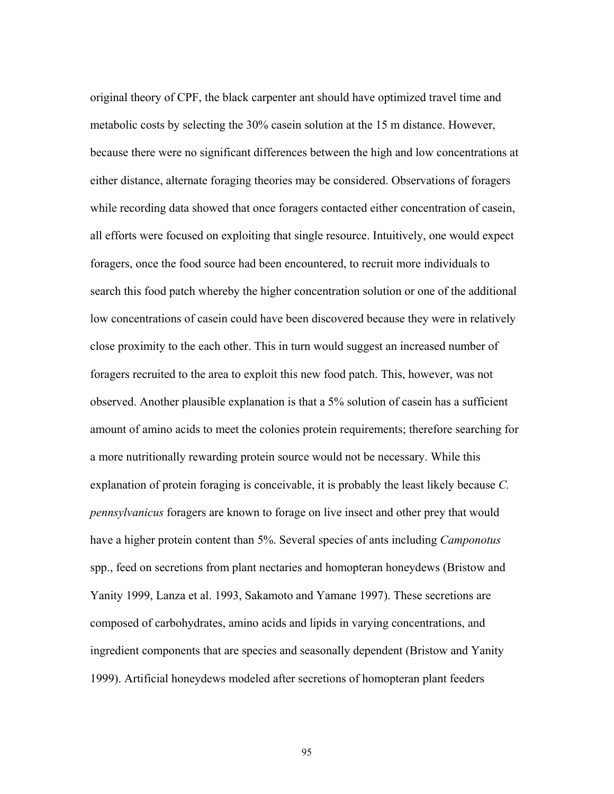original theory of CPF, the black carpenter ant should have optimized travel time and metabolic costs by selecting the 30% casein solution at the 15 m distance. However, because there were no significant differences between the high and low concentrations at either distance, alternate foraging theories may be considered. Observations of foragers while recording data showed that once foragers contacted either concentration of casein, all efforts were focused on exploiting that single resource. Intuitively, one would expect foragers, once the food source had been encountered, to recruit more individuals to search this food patch whereby the higher concentration solution or one of the additional low concentrations of casein could have been discovered because they were in relatively close proximity to the each other. This in turn would suggest an increased number of foragers recruited to the area to exploit this new food patch. This, however, was not observed. Another plausible explanation is that a 5% solution of casein has a sufficient amount of amino acids to meet the colonies protein requirements; therefore searching for a more nutritionally rewarding protein source would not be necessary. While this explanation of protein foraging is conceivable, it is probably the least likely because *C. pennsylvanicus* foragers are known to forage on live insect and other prey that would have a higher protein content than 5%. Several species of ants including *Camponotus*  spp., feed on secretions from plant nectaries and homopteran honeydews (Bristow and Yanity 1999, Lanza et al. 1993, Sakamoto and Yamane 1997). These secretions are composed of carbohydrates, amino acids and lipids in varying concentrations, and ingredient components that are species and seasonally dependent (Bristow and Yanity 1999). Artificial honeydews modeled after secretions of homopteran plant feeders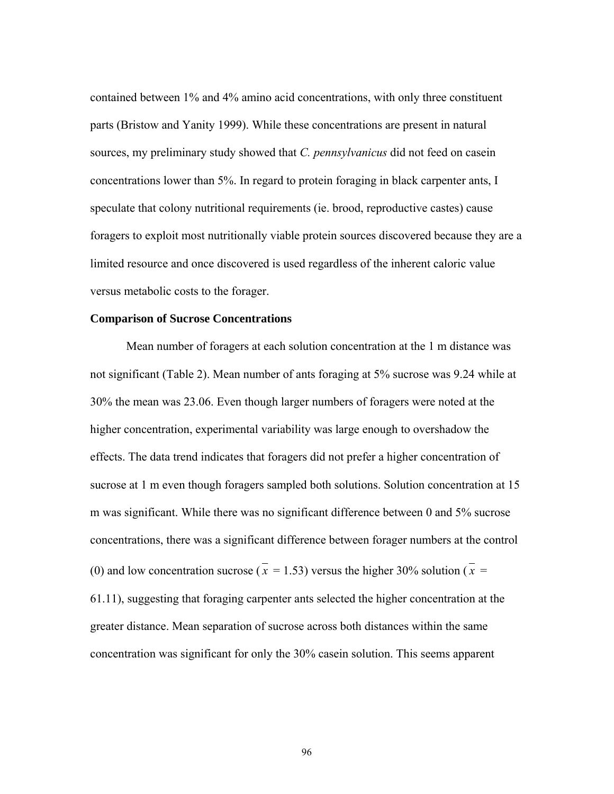contained between 1% and 4% amino acid concentrations, with only three constituent parts (Bristow and Yanity 1999). While these concentrations are present in natural sources, my preliminary study showed that *C. pennsylvanicus* did not feed on casein concentrations lower than 5%. In regard to protein foraging in black carpenter ants, I speculate that colony nutritional requirements (ie. brood, reproductive castes) cause foragers to exploit most nutritionally viable protein sources discovered because they are a limited resource and once discovered is used regardless of the inherent caloric value versus metabolic costs to the forager.

#### **Comparison of Sucrose Concentrations**

Mean number of foragers at each solution concentration at the 1 m distance was not significant (Table 2). Mean number of ants foraging at 5% sucrose was 9.24 while at 30% the mean was 23.06. Even though larger numbers of foragers were noted at the higher concentration, experimental variability was large enough to overshadow the effects. The data trend indicates that foragers did not prefer a higher concentration of sucrose at 1 m even though foragers sampled both solutions. Solution concentration at 15 m was significant. While there was no significant difference between 0 and 5% sucrose concentrations, there was a significant difference between forager numbers at the control (0) and low concentration sucrose ( $\overline{x}$  = 1.53) versus the higher 30% solution ( $\overline{x}$  = 61.11), suggesting that foraging carpenter ants selected the higher concentration at the greater distance. Mean separation of sucrose across both distances within the same concentration was significant for only the 30% casein solution. This seems apparent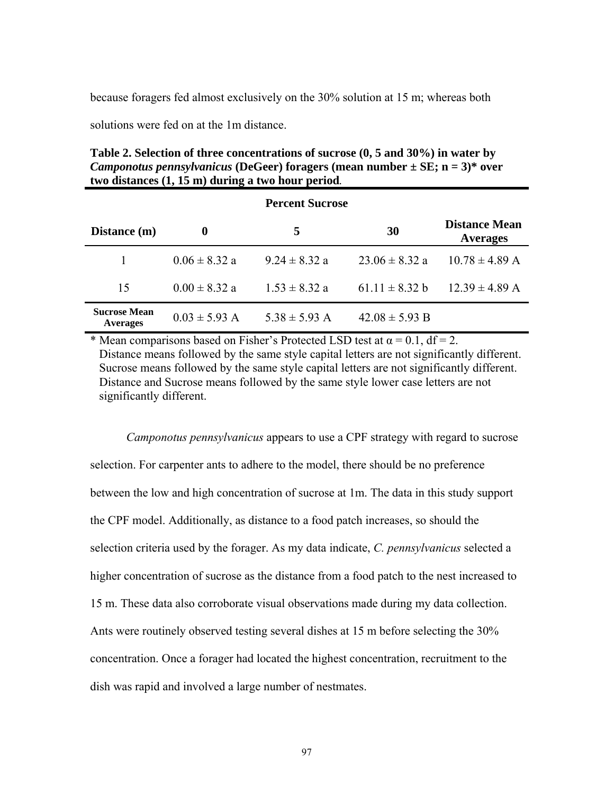because foragers fed almost exclusively on the 30% solution at 15 m; whereas both

solutions were fed on at the 1m distance.

**Table 2. Selection of three concentrations of sucrose (0, 5 and 30%) in water by**  *Camponotus pennsylvanicus* **(DeGeer) foragers (mean number ± SE; n = 3)\* over two distances (1, 15 m) during a two hour period.**

| <b>Percent Sucrose</b>                 |                   |                   |                    |                                         |  |
|----------------------------------------|-------------------|-------------------|--------------------|-----------------------------------------|--|
| Distance (m)                           | 0                 | 5                 | 30                 | <b>Distance Mean</b><br><b>Averages</b> |  |
|                                        | $0.06 \pm 8.32$ a | $924 \pm 832a$    | $23.06 \pm 8.32$ a | $10.78 \pm 4.89$ A                      |  |
| 15                                     | $0.00 \pm 8.32$ a | $1.53 \pm 8.32$ a | $61.11 \pm 8.32 b$ | $12.39 \pm 4.89$ A                      |  |
| <b>Sucrose Mean</b><br><b>Averages</b> | $0.03 \pm 5.93$ A | $5.38 \pm 5.93$ A | $42.08 \pm 5.93$ B |                                         |  |

\* Mean comparisons based on Fisher's Protected LSD test at  $\alpha = 0.1$ , df = 2. Distance means followed by the same style capital letters are not significantly different. Sucrose means followed by the same style capital letters are not significantly different. Distance and Sucrose means followed by the same style lower case letters are not significantly different.

*Camponotus pennsylvanicus* appears to use a CPF strategy with regard to sucrose selection. For carpenter ants to adhere to the model, there should be no preference between the low and high concentration of sucrose at 1m. The data in this study support the CPF model. Additionally, as distance to a food patch increases, so should the selection criteria used by the forager. As my data indicate, *C. pennsylvanicus* selected a higher concentration of sucrose as the distance from a food patch to the nest increased to 15 m. These data also corroborate visual observations made during my data collection. Ants were routinely observed testing several dishes at 15 m before selecting the 30% concentration. Once a forager had located the highest concentration, recruitment to the dish was rapid and involved a large number of nestmates.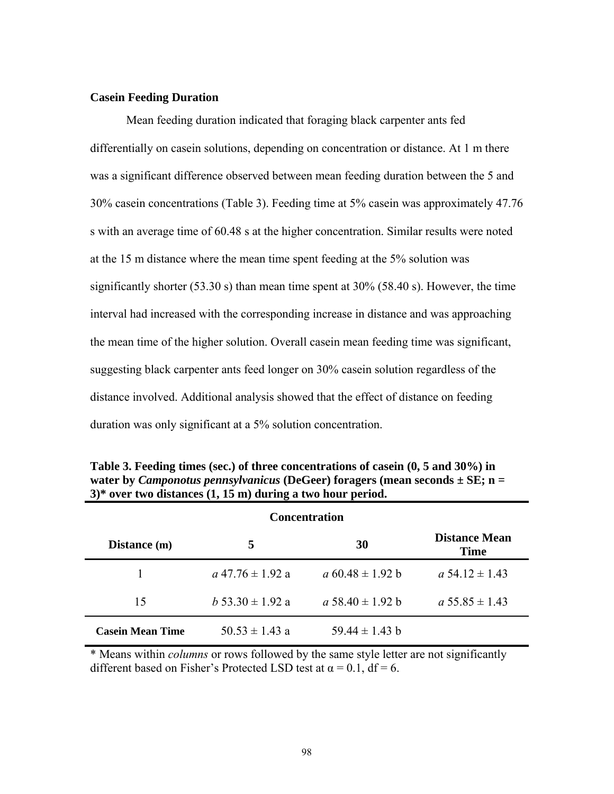## **Casein Feeding Duration**

Mean feeding duration indicated that foraging black carpenter ants fed differentially on casein solutions, depending on concentration or distance. At 1 m there was a significant difference observed between mean feeding duration between the 5 and 30% casein concentrations (Table 3). Feeding time at 5% casein was approximately 47.76 s with an average time of 60.48 s at the higher concentration. Similar results were noted at the 15 m distance where the mean time spent feeding at the 5% solution was significantly shorter (53.30 s) than mean time spent at 30% (58.40 s). However, the time interval had increased with the corresponding increase in distance and was approaching the mean time of the higher solution. Overall casein mean feeding time was significant, suggesting black carpenter ants feed longer on 30% casein solution regardless of the distance involved. Additional analysis showed that the effect of distance on feeding duration was only significant at a 5% solution concentration.

| <b>Concentration</b>    |                       |                       |                              |  |  |
|-------------------------|-----------------------|-----------------------|------------------------------|--|--|
| Distance (m)            | 5                     | 30                    | <b>Distance Mean</b><br>Time |  |  |
|                         | $a\,47.76 \pm 1.92$ a | $a\,60.48 \pm 1.92 b$ | $a\,54.12 \pm 1.43$          |  |  |
| 15                      | $h 53.30 \pm 1.92 a$  | a 58.40 $\pm$ 1.92 b  | $a.55.85 \pm 1.43$           |  |  |
| <b>Casein Mean Time</b> | $50.53 \pm 1.43$ a    | $5944 \pm 143$ b      |                              |  |  |

**Table 3. Feeding times (sec.) of three concentrations of casein (0, 5 and 30%) in water by** *Camponotus pennsylvanicus* **(DeGeer) foragers (mean seconds ± SE; n = 3)\* over two distances (1, 15 m) during a two hour period.** 

\* Means within *columns* or rows followed by the same style letter are not significantly different based on Fisher's Protected LSD test at  $\alpha = 0.1$ , df = 6.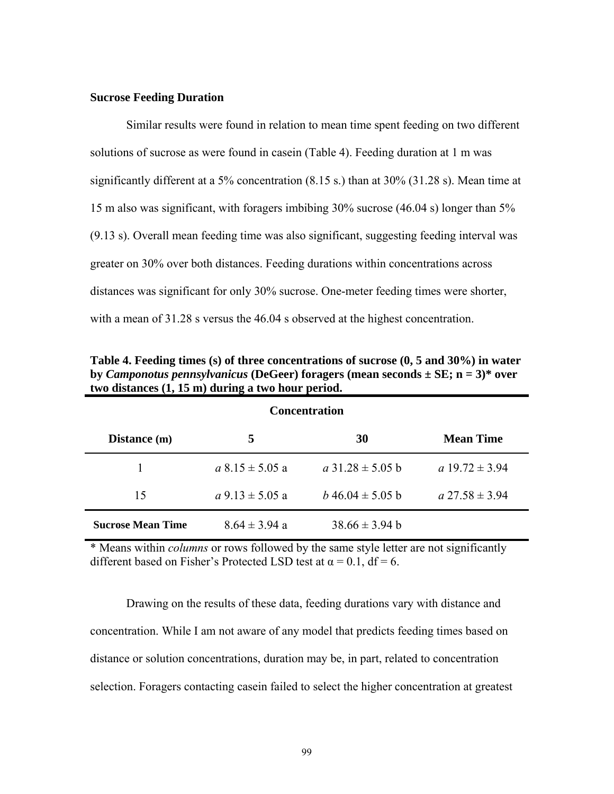#### **Sucrose Feeding Duration**

 Similar results were found in relation to mean time spent feeding on two different solutions of sucrose as were found in casein (Table 4). Feeding duration at 1 m was significantly different at a 5% concentration (8.15 s.) than at 30% (31.28 s). Mean time at 15 m also was significant, with foragers imbibing 30% sucrose (46.04 s) longer than 5% (9.13 s). Overall mean feeding time was also significant, suggesting feeding interval was greater on 30% over both distances. Feeding durations within concentrations across distances was significant for only 30% sucrose. One-meter feeding times were shorter, with a mean of 31.28 s versus the 46.04 s observed at the highest concentration.

| <b>Concentration</b>     |                       |                        |                     |  |  |  |
|--------------------------|-----------------------|------------------------|---------------------|--|--|--|
| Distance (m)             | 5                     | 30                     | <b>Mean Time</b>    |  |  |  |
|                          | $a 8.15 \pm 5.05 a$   | $a$ 31.28 $\pm$ 5.05 b | a $19.72 \pm 3.94$  |  |  |  |
| 15                       | $a$ 9.13 $\pm$ 5.05 a | $b\,46.04 \pm 5.05 b$  | $a\,27.58 \pm 3.94$ |  |  |  |
| <b>Sucrose Mean Time</b> | $8.64 \pm 3.94$ a     | $38.66 \pm 3.94$ b     |                     |  |  |  |

**Table 4. Feeding times (s) of three concentrations of sucrose (0, 5 and 30%) in water by** *Camponotus pennsylvanicus* **(DeGeer) foragers (mean seconds ± SE; n = 3)\* over two distances (1, 15 m) during a two hour period.** 

\* Means within *columns* or rows followed by the same style letter are not significantly different based on Fisher's Protected LSD test at  $\alpha = 0.1$ , df = 6.

Drawing on the results of these data, feeding durations vary with distance and concentration. While I am not aware of any model that predicts feeding times based on distance or solution concentrations, duration may be, in part, related to concentration selection. Foragers contacting casein failed to select the higher concentration at greatest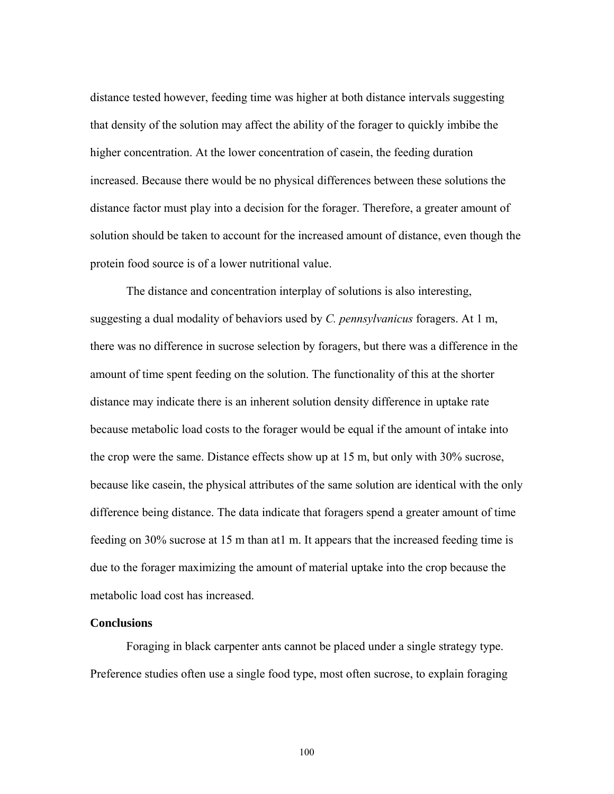distance tested however, feeding time was higher at both distance intervals suggesting that density of the solution may affect the ability of the forager to quickly imbibe the higher concentration. At the lower concentration of casein, the feeding duration increased. Because there would be no physical differences between these solutions the distance factor must play into a decision for the forager. Therefore, a greater amount of solution should be taken to account for the increased amount of distance, even though the protein food source is of a lower nutritional value.

 The distance and concentration interplay of solutions is also interesting, suggesting a dual modality of behaviors used by *C. pennsylvanicus* foragers. At 1 m, there was no difference in sucrose selection by foragers, but there was a difference in the amount of time spent feeding on the solution. The functionality of this at the shorter distance may indicate there is an inherent solution density difference in uptake rate because metabolic load costs to the forager would be equal if the amount of intake into the crop were the same. Distance effects show up at 15 m, but only with 30% sucrose, because like casein, the physical attributes of the same solution are identical with the only difference being distance. The data indicate that foragers spend a greater amount of time feeding on 30% sucrose at 15 m than at1 m. It appears that the increased feeding time is due to the forager maximizing the amount of material uptake into the crop because the metabolic load cost has increased.

# **Conclusions**

 Foraging in black carpenter ants cannot be placed under a single strategy type. Preference studies often use a single food type, most often sucrose, to explain foraging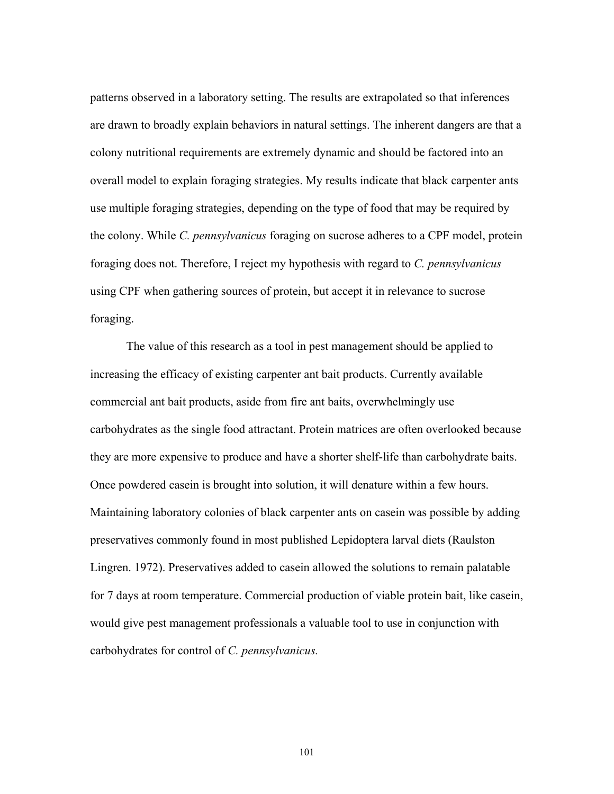patterns observed in a laboratory setting. The results are extrapolated so that inferences are drawn to broadly explain behaviors in natural settings. The inherent dangers are that a colony nutritional requirements are extremely dynamic and should be factored into an overall model to explain foraging strategies. My results indicate that black carpenter ants use multiple foraging strategies, depending on the type of food that may be required by the colony. While *C. pennsylvanicus* foraging on sucrose adheres to a CPF model, protein foraging does not. Therefore, I reject my hypothesis with regard to *C. pennsylvanicus*  using CPF when gathering sources of protein, but accept it in relevance to sucrose foraging.

 The value of this research as a tool in pest management should be applied to increasing the efficacy of existing carpenter ant bait products. Currently available commercial ant bait products, aside from fire ant baits, overwhelmingly use carbohydrates as the single food attractant. Protein matrices are often overlooked because they are more expensive to produce and have a shorter shelf-life than carbohydrate baits. Once powdered casein is brought into solution, it will denature within a few hours. Maintaining laboratory colonies of black carpenter ants on casein was possible by adding preservatives commonly found in most published Lepidoptera larval diets (Raulston Lingren. 1972). Preservatives added to casein allowed the solutions to remain palatable for 7 days at room temperature. Commercial production of viable protein bait, like casein, would give pest management professionals a valuable tool to use in conjunction with carbohydrates for control of *C. pennsylvanicus.*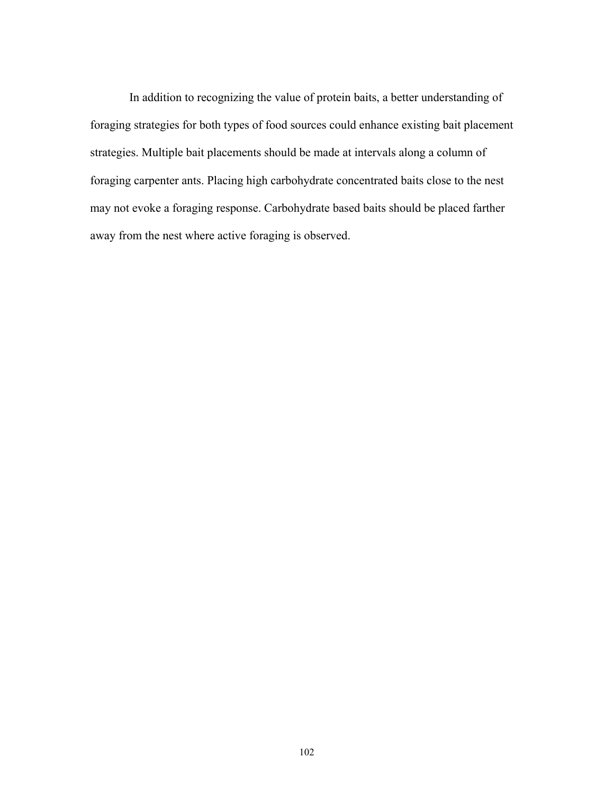In addition to recognizing the value of protein baits, a better understanding of foraging strategies for both types of food sources could enhance existing bait placement strategies. Multiple bait placements should be made at intervals along a column of foraging carpenter ants. Placing high carbohydrate concentrated baits close to the nest may not evoke a foraging response. Carbohydrate based baits should be placed farther away from the nest where active foraging is observed.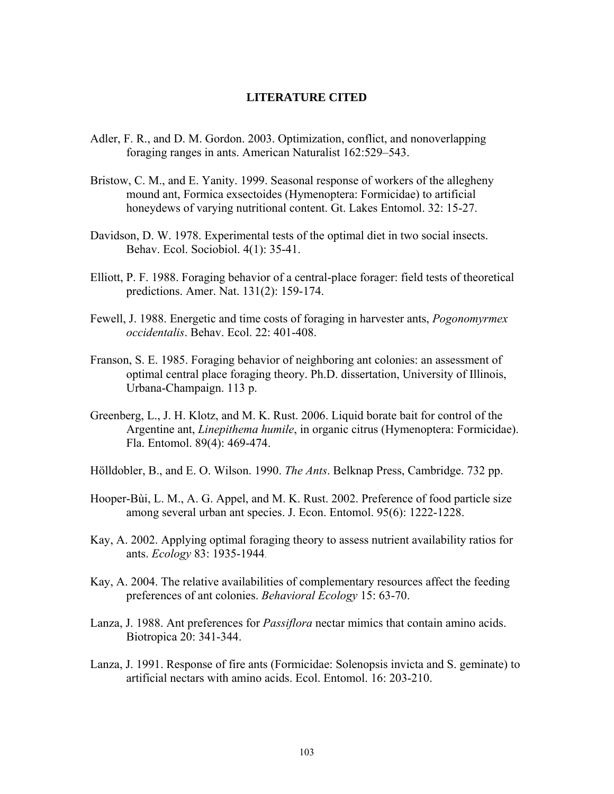## **LITERATURE CITED**

- Adler, F. R., and D. M. Gordon. 2003. Optimization, conflict, and nonoverlapping foraging ranges in ants. American Naturalist 162:529–543.
- Bristow, C. M., and E. Yanity. 1999. Seasonal response of workers of the allegheny mound ant, Formica exsectoides (Hymenoptera: Formicidae) to artificial honeydews of varying nutritional content. Gt. Lakes Entomol. 32: 15-27.
- Davidson, D. W. 1978. Experimental tests of the optimal diet in two social insects. Behav. Ecol. Sociobiol. 4(1): 35-41.
- Elliott, P. F. 1988. Foraging behavior of a central-place forager: field tests of theoretical predictions. Amer. Nat. 131(2): 159-174.
- Fewell, J. 1988. Energetic and time costs of foraging in harvester ants, *Pogonomyrmex occidentalis*. Behav. Ecol. 22: 401-408.
- Franson, S. E. 1985. Foraging behavior of neighboring ant colonies: an assessment of optimal central place foraging theory. Ph.D. dissertation, University of Illinois, Urbana-Champaign. 113 p.
- Greenberg, L., J. H. Klotz, and M. K. Rust. 2006. Liquid borate bait for control of the Argentine ant, *Linepithema humile*, in organic citrus (Hymenoptera: Formicidae). Fla. Entomol. 89(4): 469-474.
- Hölldobler, B., and E. O. Wilson. 1990. *The Ants*. Belknap Press, Cambridge. 732 pp.
- Hooper-Bùi, L. M., A. G. Appel, and M. K. Rust. 2002. Preference of food particle size among several urban ant species. J. Econ. Entomol. 95(6): 1222-1228.
- Kay, A. 2002. Applying optimal foraging theory to assess nutrient availability ratios for ants. *Ecology* 83: 1935-1944.
- Kay, A. 2004. The relative availabilities of complementary resources affect the feeding preferences of ant colonies. *Behavioral Ecology* 15: 63-70.
- Lanza, J. 1988. Ant preferences for *Passiflora* nectar mimics that contain amino acids. Biotropica 20: 341-344.
- Lanza, J. 1991. Response of fire ants (Formicidae: Solenopsis invicta and S. geminate) to artificial nectars with amino acids. Ecol. Entomol. 16: 203-210.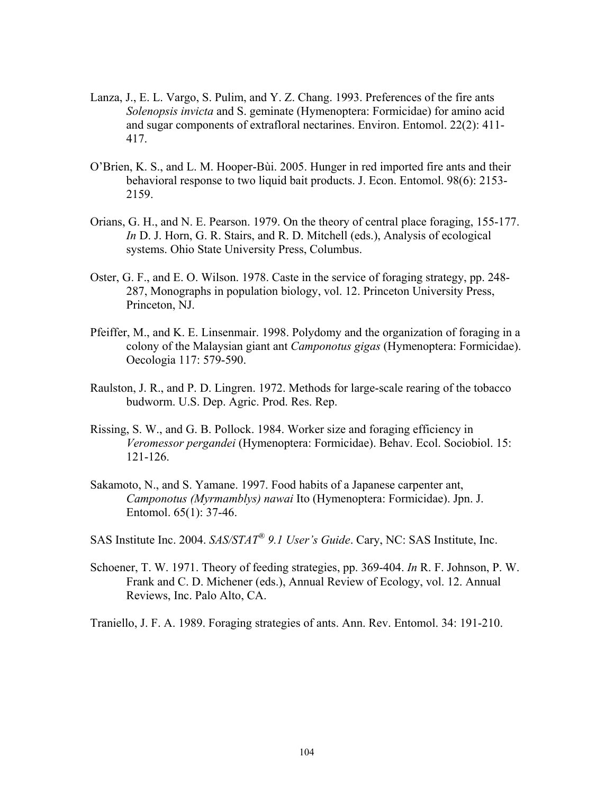- Lanza, J., E. L. Vargo, S. Pulim, and Y. Z. Chang. 1993. Preferences of the fire ants *Solenopsis invicta* and S. geminate (Hymenoptera: Formicidae) for amino acid and sugar components of extrafloral nectarines. Environ. Entomol. 22(2): 411- 417.
- O'Brien, K. S., and L. M. Hooper-Bùi. 2005. Hunger in red imported fire ants and their behavioral response to two liquid bait products. J. Econ. Entomol. 98(6): 2153- 2159.
- Orians, G. H., and N. E. Pearson. 1979. On the theory of central place foraging, 155-177. *In* D. J. Horn, G. R. Stairs, and R. D. Mitchell (eds.), Analysis of ecological systems. Ohio State University Press, Columbus.
- Oster, G. F., and E. O. Wilson. 1978. Caste in the service of foraging strategy, pp. 248- 287, Monographs in population biology, vol. 12. Princeton University Press, Princeton, NJ.
- Pfeiffer, M., and K. E. Linsenmair. 1998. Polydomy and the organization of foraging in a colony of the Malaysian giant ant *Camponotus gigas* (Hymenoptera: Formicidae). Oecologia 117: 579-590.
- Raulston, J. R., and P. D. Lingren. 1972. Methods for large-scale rearing of the tobacco budworm. U.S. Dep. Agric. Prod. Res. Rep.
- Rissing, S. W., and G. B. Pollock. 1984. Worker size and foraging efficiency in *Veromessor pergandei* (Hymenoptera: Formicidae). Behav. Ecol. Sociobiol. 15: 121-126.
- Sakamoto, N., and S. Yamane. 1997. Food habits of a Japanese carpenter ant, *Camponotus (Myrmamblys) nawai* Ito (Hymenoptera: Formicidae). Jpn. J. Entomol. 65(1): 37-46.
- SAS Institute Inc. 2004. *SAS/STAT® 9.1 User's Guide*. Cary, NC: SAS Institute, Inc.
- Schoener, T. W. 1971. Theory of feeding strategies, pp. 369-404. *In* R. F. Johnson, P. W. Frank and C. D. Michener (eds.), Annual Review of Ecology, vol. 12. Annual Reviews, Inc. Palo Alto, CA.

Traniello, J. F. A. 1989. Foraging strategies of ants. Ann. Rev. Entomol. 34: 191-210.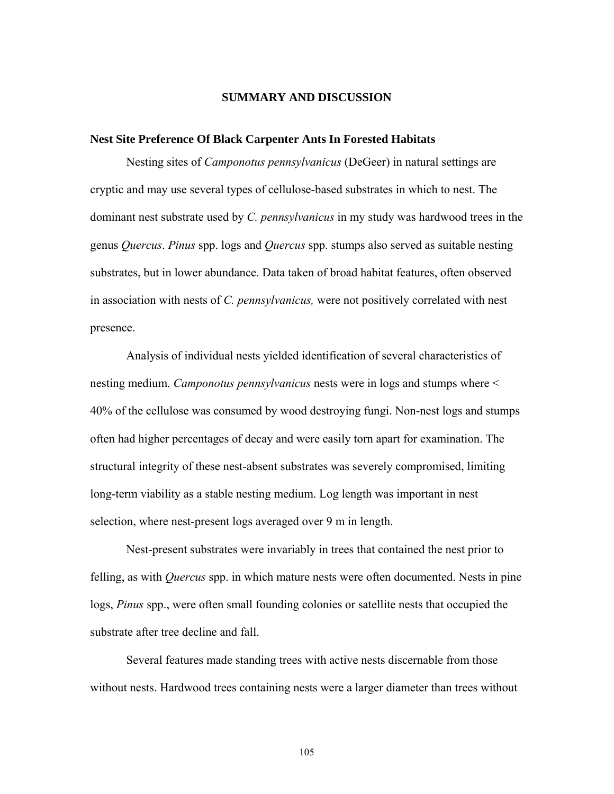#### **SUMMARY AND DISCUSSION**

#### **Nest Site Preference Of Black Carpenter Ants In Forested Habitats**

Nesting sites of *Camponotus pennsylvanicus* (DeGeer) in natural settings are cryptic and may use several types of cellulose-based substrates in which to nest. The dominant nest substrate used by *C. pennsylvanicus* in my study was hardwood trees in the genus *Quercus*. *Pinus* spp. logs and *Quercus* spp. stumps also served as suitable nesting substrates, but in lower abundance. Data taken of broad habitat features, often observed in association with nests of *C. pennsylvanicus,* were not positively correlated with nest presence.

Analysis of individual nests yielded identification of several characteristics of nesting medium. *Camponotus pennsylvanicus* nests were in logs and stumps where < 40% of the cellulose was consumed by wood destroying fungi. Non-nest logs and stumps often had higher percentages of decay and were easily torn apart for examination. The structural integrity of these nest-absent substrates was severely compromised, limiting long-term viability as a stable nesting medium. Log length was important in nest selection, where nest-present logs averaged over 9 m in length.

Nest-present substrates were invariably in trees that contained the nest prior to felling, as with *Quercus* spp. in which mature nests were often documented. Nests in pine logs, *Pinus* spp., were often small founding colonies or satellite nests that occupied the substrate after tree decline and fall.

Several features made standing trees with active nests discernable from those without nests. Hardwood trees containing nests were a larger diameter than trees without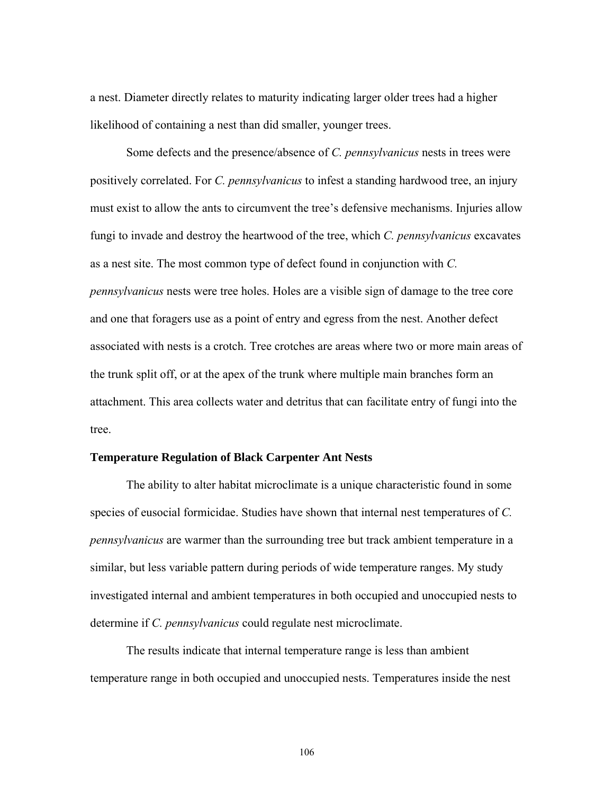a nest. Diameter directly relates to maturity indicating larger older trees had a higher likelihood of containing a nest than did smaller, younger trees.

Some defects and the presence/absence of *C. pennsylvanicus* nests in trees were positively correlated. For *C. pennsylvanicus* to infest a standing hardwood tree, an injury must exist to allow the ants to circumvent the tree's defensive mechanisms. Injuries allow fungi to invade and destroy the heartwood of the tree, which *C. pennsylvanicus* excavates as a nest site. The most common type of defect found in conjunction with *C. pennsylvanicus* nests were tree holes. Holes are a visible sign of damage to the tree core and one that foragers use as a point of entry and egress from the nest. Another defect associated with nests is a crotch. Tree crotches are areas where two or more main areas of the trunk split off, or at the apex of the trunk where multiple main branches form an attachment. This area collects water and detritus that can facilitate entry of fungi into the tree.

## **Temperature Regulation of Black Carpenter Ant Nests**

The ability to alter habitat microclimate is a unique characteristic found in some species of eusocial formicidae. Studies have shown that internal nest temperatures of *C. pennsylvanicus* are warmer than the surrounding tree but track ambient temperature in a similar, but less variable pattern during periods of wide temperature ranges. My study investigated internal and ambient temperatures in both occupied and unoccupied nests to determine if *C. pennsylvanicus* could regulate nest microclimate.

The results indicate that internal temperature range is less than ambient temperature range in both occupied and unoccupied nests. Temperatures inside the nest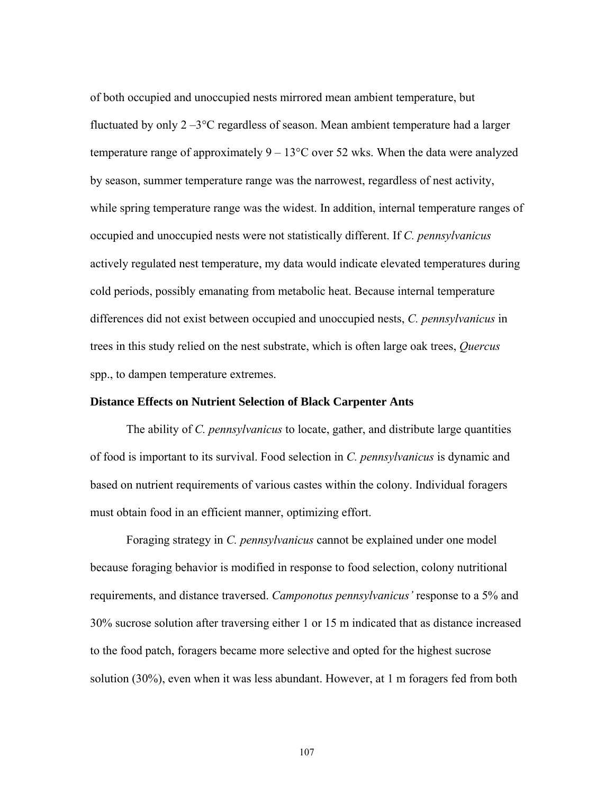of both occupied and unoccupied nests mirrored mean ambient temperature, but fluctuated by only 2 –3°C regardless of season. Mean ambient temperature had a larger temperature range of approximately  $9 - 13^{\circ}$ C over 52 wks. When the data were analyzed by season, summer temperature range was the narrowest, regardless of nest activity, while spring temperature range was the widest. In addition, internal temperature ranges of occupied and unoccupied nests were not statistically different. If *C. pennsylvanicus* actively regulated nest temperature, my data would indicate elevated temperatures during cold periods, possibly emanating from metabolic heat. Because internal temperature differences did not exist between occupied and unoccupied nests, *C. pennsylvanicus* in trees in this study relied on the nest substrate, which is often large oak trees, *Quercus* spp., to dampen temperature extremes.

#### **Distance Effects on Nutrient Selection of Black Carpenter Ants**

The ability of *C. pennsylvanicus* to locate, gather, and distribute large quantities of food is important to its survival. Food selection in *C. pennsylvanicus* is dynamic and based on nutrient requirements of various castes within the colony. Individual foragers must obtain food in an efficient manner, optimizing effort.

Foraging strategy in *C. pennsylvanicus* cannot be explained under one model because foraging behavior is modified in response to food selection, colony nutritional requirements, and distance traversed. *Camponotus pennsylvanicus'* response to a 5% and 30% sucrose solution after traversing either 1 or 15 m indicated that as distance increased to the food patch, foragers became more selective and opted for the highest sucrose solution (30%), even when it was less abundant. However, at 1 m foragers fed from both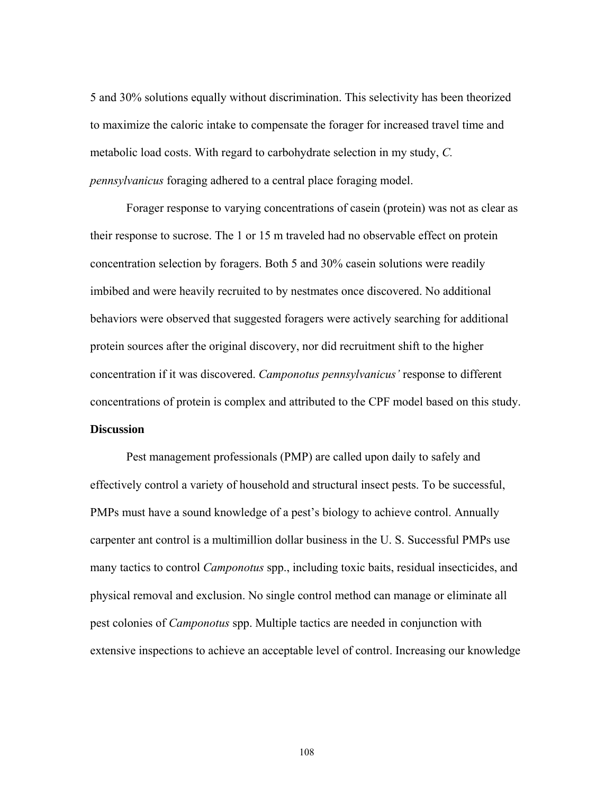5 and 30% solutions equally without discrimination. This selectivity has been theorized to maximize the caloric intake to compensate the forager for increased travel time and metabolic load costs. With regard to carbohydrate selection in my study, *C. pennsylvanicus* foraging adhered to a central place foraging model.

Forager response to varying concentrations of casein (protein) was not as clear as their response to sucrose. The 1 or 15 m traveled had no observable effect on protein concentration selection by foragers. Both 5 and 30% casein solutions were readily imbibed and were heavily recruited to by nestmates once discovered. No additional behaviors were observed that suggested foragers were actively searching for additional protein sources after the original discovery, nor did recruitment shift to the higher concentration if it was discovered. *Camponotus pennsylvanicus'* response to different concentrations of protein is complex and attributed to the CPF model based on this study. **Discussion** 

 Pest management professionals (PMP) are called upon daily to safely and effectively control a variety of household and structural insect pests. To be successful, PMPs must have a sound knowledge of a pest's biology to achieve control. Annually carpenter ant control is a multimillion dollar business in the U. S. Successful PMPs use many tactics to control *Camponotus* spp., including toxic baits, residual insecticides, and physical removal and exclusion. No single control method can manage or eliminate all pest colonies of *Camponotus* spp. Multiple tactics are needed in conjunction with extensive inspections to achieve an acceptable level of control. Increasing our knowledge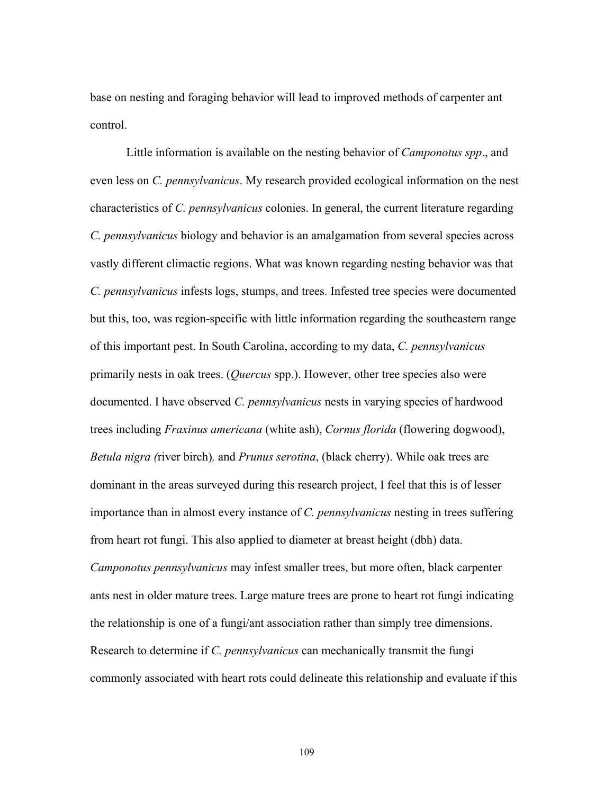base on nesting and foraging behavior will lead to improved methods of carpenter ant control.

 Little information is available on the nesting behavior of *Camponotus spp*., and even less on *C. pennsylvanicus*. My research provided ecological information on the nest characteristics of *C. pennsylvanicus* colonies. In general, the current literature regarding *C. pennsylvanicus* biology and behavior is an amalgamation from several species across vastly different climactic regions. What was known regarding nesting behavior was that *C. pennsylvanicus* infests logs, stumps, and trees. Infested tree species were documented but this, too, was region-specific with little information regarding the southeastern range of this important pest. In South Carolina, according to my data, *C. pennsylvanicus* primarily nests in oak trees. (*Quercus* spp.). However, other tree species also were documented. I have observed *C. pennsylvanicus* nests in varying species of hardwood trees including *Fraxinus americana* (white ash), *Cornus florida* (flowering dogwood), *Betula nigra (*river birch)*,* and *Prunus serotina*, (black cherry). While oak trees are dominant in the areas surveyed during this research project, I feel that this is of lesser importance than in almost every instance of *C. pennsylvanicus* nesting in trees suffering from heart rot fungi. This also applied to diameter at breast height (dbh) data. *Camponotus pennsylvanicus* may infest smaller trees, but more often, black carpenter ants nest in older mature trees. Large mature trees are prone to heart rot fungi indicating the relationship is one of a fungi/ant association rather than simply tree dimensions. Research to determine if *C. pennsylvanicus* can mechanically transmit the fungi commonly associated with heart rots could delineate this relationship and evaluate if this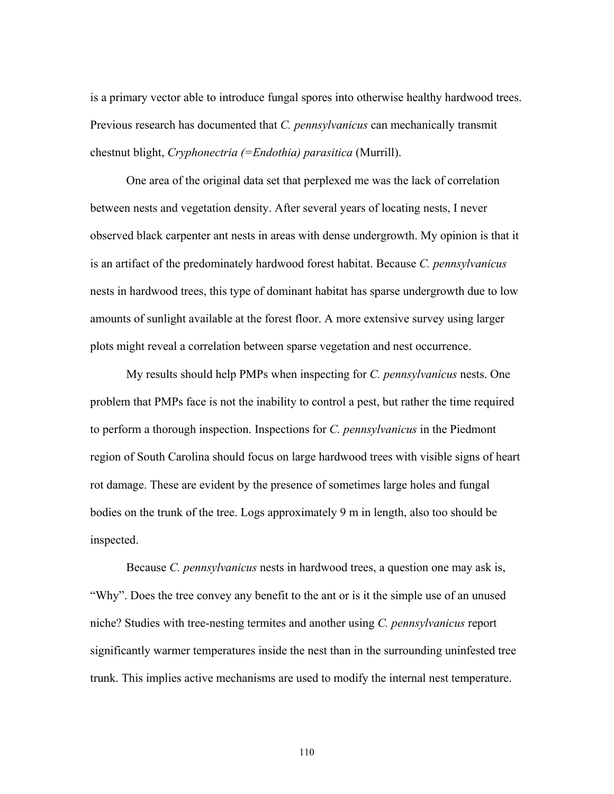is a primary vector able to introduce fungal spores into otherwise healthy hardwood trees. Previous research has documented that *C. pennsylvanicus* can mechanically transmit chestnut blight, *Cryphonectria (=Endothia) parasitica* (Murrill).

 One area of the original data set that perplexed me was the lack of correlation between nests and vegetation density. After several years of locating nests, I never observed black carpenter ant nests in areas with dense undergrowth. My opinion is that it is an artifact of the predominately hardwood forest habitat. Because *C. pennsylvanicus* nests in hardwood trees, this type of dominant habitat has sparse undergrowth due to low amounts of sunlight available at the forest floor. A more extensive survey using larger plots might reveal a correlation between sparse vegetation and nest occurrence.

My results should help PMPs when inspecting for *C. pennsylvanicus* nests. One problem that PMPs face is not the inability to control a pest, but rather the time required to perform a thorough inspection. Inspections for *C. pennsylvanicus* in the Piedmont region of South Carolina should focus on large hardwood trees with visible signs of heart rot damage. These are evident by the presence of sometimes large holes and fungal bodies on the trunk of the tree. Logs approximately 9 m in length, also too should be inspected.

 Because *C. pennsylvanicus* nests in hardwood trees, a question one may ask is, "Why". Does the tree convey any benefit to the ant or is it the simple use of an unused niche? Studies with tree-nesting termites and another using *C. pennsylvanicus* report significantly warmer temperatures inside the nest than in the surrounding uninfested tree trunk. This implies active mechanisms are used to modify the internal nest temperature.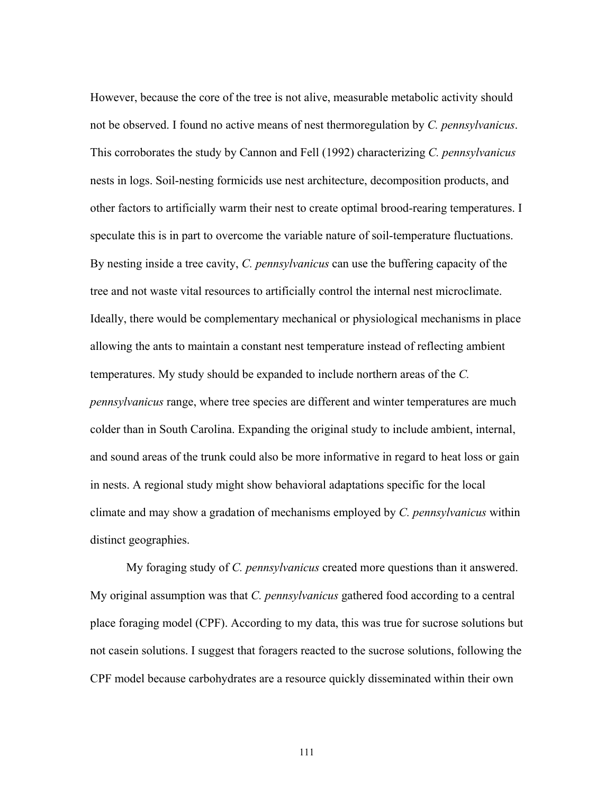However, because the core of the tree is not alive, measurable metabolic activity should not be observed. I found no active means of nest thermoregulation by *C. pennsylvanicus*. This corroborates the study by Cannon and Fell (1992) characterizing *C. pennsylvanicus* nests in logs. Soil-nesting formicids use nest architecture, decomposition products, and other factors to artificially warm their nest to create optimal brood-rearing temperatures. I speculate this is in part to overcome the variable nature of soil-temperature fluctuations. By nesting inside a tree cavity, *C. pennsylvanicus* can use the buffering capacity of the tree and not waste vital resources to artificially control the internal nest microclimate. Ideally, there would be complementary mechanical or physiological mechanisms in place allowing the ants to maintain a constant nest temperature instead of reflecting ambient temperatures. My study should be expanded to include northern areas of the *C. pennsylvanicus* range, where tree species are different and winter temperatures are much colder than in South Carolina. Expanding the original study to include ambient, internal, and sound areas of the trunk could also be more informative in regard to heat loss or gain in nests. A regional study might show behavioral adaptations specific for the local climate and may show a gradation of mechanisms employed by *C. pennsylvanicus* within distinct geographies.

My foraging study of *C. pennsylvanicus* created more questions than it answered. My original assumption was that *C. pennsylvanicus* gathered food according to a central place foraging model (CPF). According to my data, this was true for sucrose solutions but not casein solutions. I suggest that foragers reacted to the sucrose solutions, following the CPF model because carbohydrates are a resource quickly disseminated within their own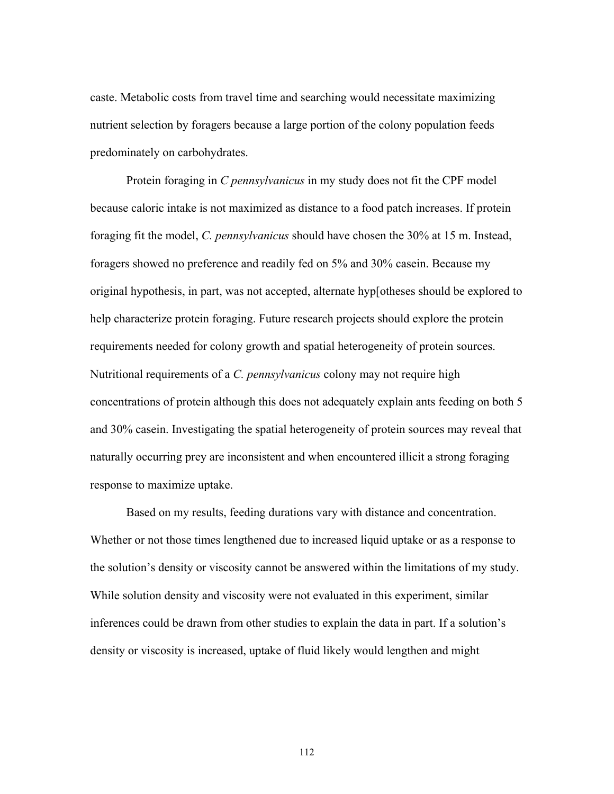caste. Metabolic costs from travel time and searching would necessitate maximizing nutrient selection by foragers because a large portion of the colony population feeds predominately on carbohydrates.

Protein foraging in *C pennsylvanicus* in my study does not fit the CPF model because caloric intake is not maximized as distance to a food patch increases. If protein foraging fit the model, *C. pennsylvanicus* should have chosen the 30% at 15 m. Instead, foragers showed no preference and readily fed on 5% and 30% casein. Because my original hypothesis, in part, was not accepted, alternate hyp[otheses should be explored to help characterize protein foraging. Future research projects should explore the protein requirements needed for colony growth and spatial heterogeneity of protein sources. Nutritional requirements of a *C. pennsylvanicus* colony may not require high concentrations of protein although this does not adequately explain ants feeding on both 5 and 30% casein. Investigating the spatial heterogeneity of protein sources may reveal that naturally occurring prey are inconsistent and when encountered illicit a strong foraging response to maximize uptake.

Based on my results, feeding durations vary with distance and concentration. Whether or not those times lengthened due to increased liquid uptake or as a response to the solution's density or viscosity cannot be answered within the limitations of my study. While solution density and viscosity were not evaluated in this experiment, similar inferences could be drawn from other studies to explain the data in part. If a solution's density or viscosity is increased, uptake of fluid likely would lengthen and might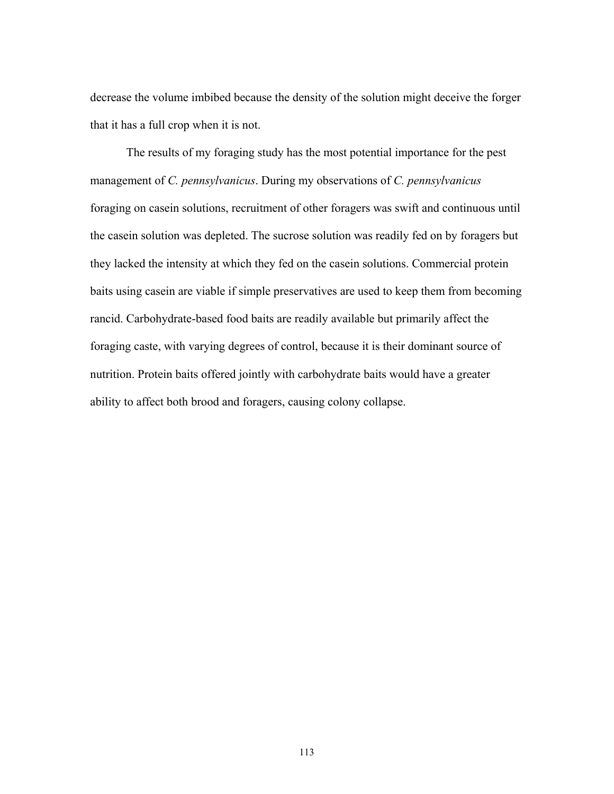decrease the volume imbibed because the density of the solution might deceive the forger that it has a full crop when it is not.

The results of my foraging study has the most potential importance for the pest management of *C. pennsylvanicus*. During my observations of *C. pennsylvanicus* foraging on casein solutions, recruitment of other foragers was swift and continuous until the casein solution was depleted. The sucrose solution was readily fed on by foragers but they lacked the intensity at which they fed on the casein solutions. Commercial protein baits using casein are viable if simple preservatives are used to keep them from becoming rancid. Carbohydrate-based food baits are readily available but primarily affect the foraging caste, with varying degrees of control, because it is their dominant source of nutrition. Protein baits offered jointly with carbohydrate baits would have a greater ability to affect both brood and foragers, causing colony collapse.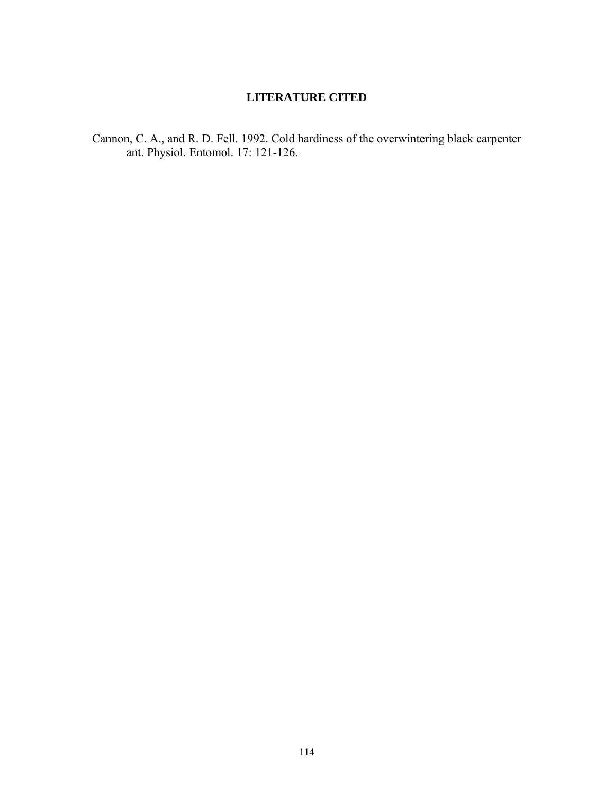# **LITERATURE CITED**

Cannon, C. A., and R. D. Fell. 1992. Cold hardiness of the overwintering black carpenter ant. Physiol. Entomol. 17: 121-126.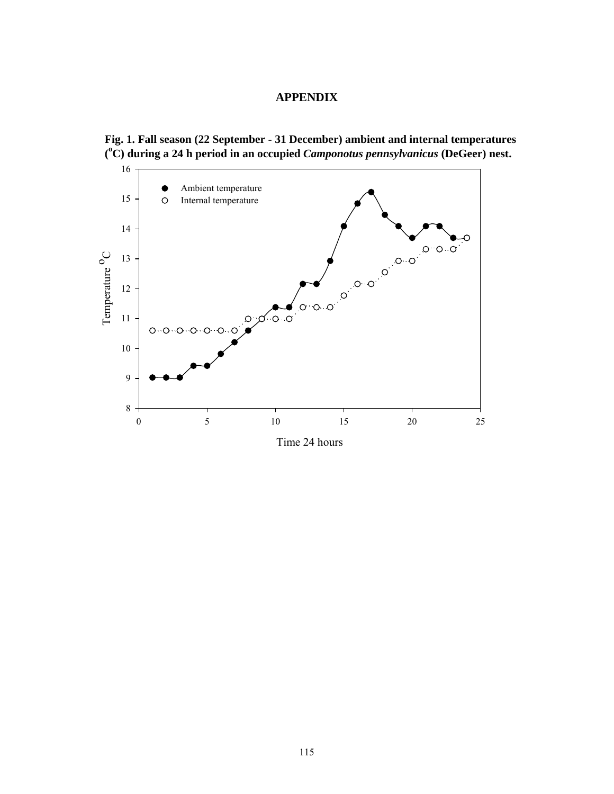# **APPENDIX**



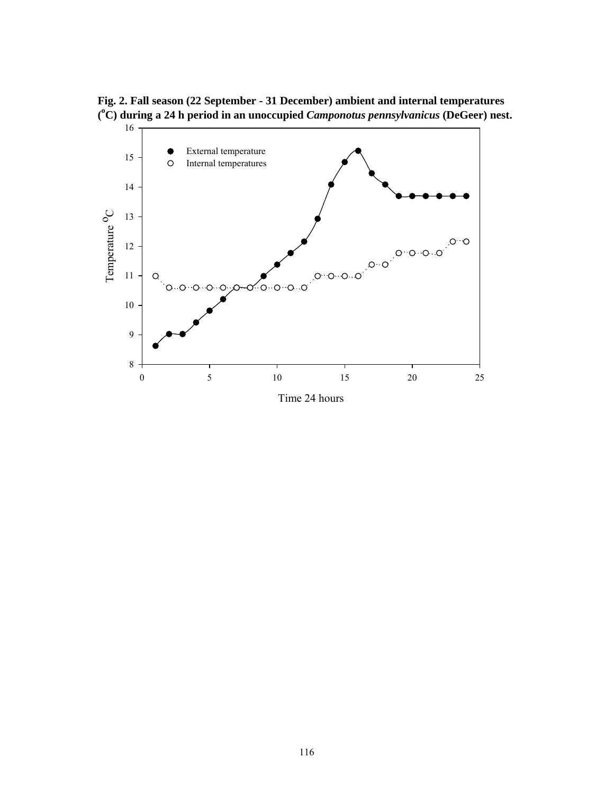**Fig. 2. Fall season (22 September - 31 December) ambient and internal temperatures ( o C) during a 24 h period in an unoccupied** *Camponotus pennsylvanicus* **(DeGeer) nest.** 

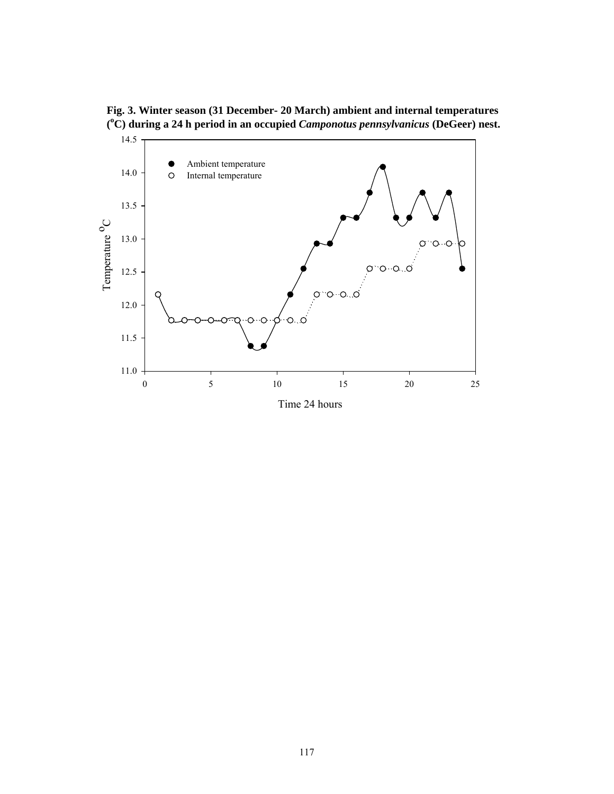**Fig. 3. Winter season (31 December- 20 March) ambient and internal temperatures ( o C) during a 24 h period in an occupied** *Camponotus pennsylvanicus* **(DeGeer) nest.** 

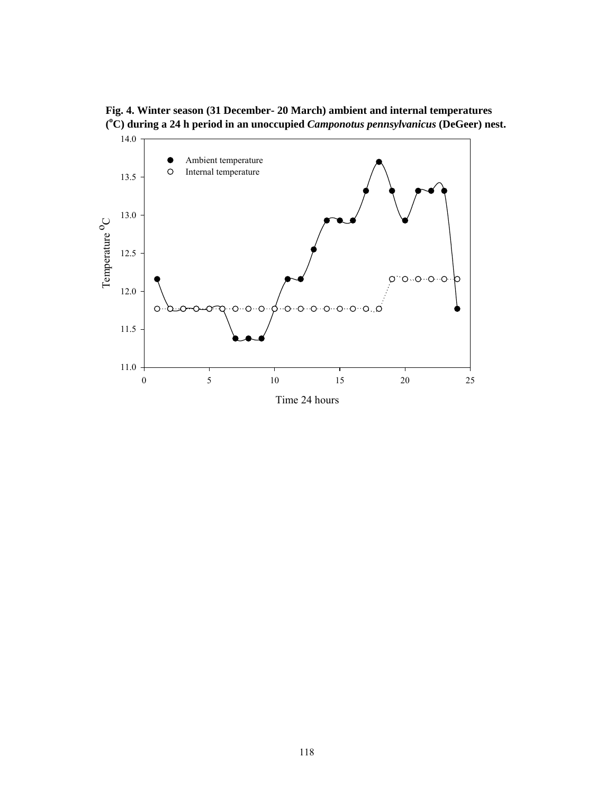**Fig. 4. Winter season (31 December- 20 March) ambient and internal temperatures ( o C) during a 24 h period in an unoccupied** *Camponotus pennsylvanicus* **(DeGeer) nest.** 

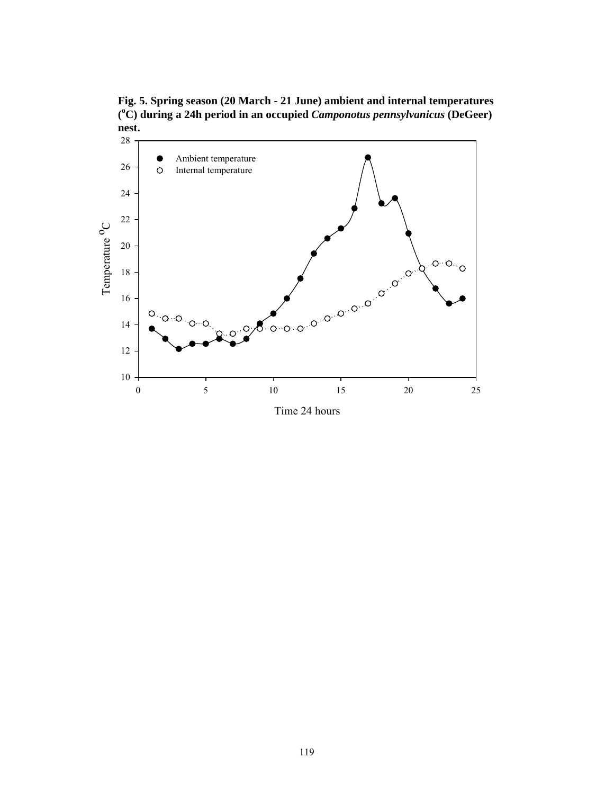**Fig. 5. Spring season (20 March - 21 June) ambient and internal temperatures ( o C) during a 24h period in an occupied** *Camponotus pennsylvanicus* **(DeGeer) nest.** 

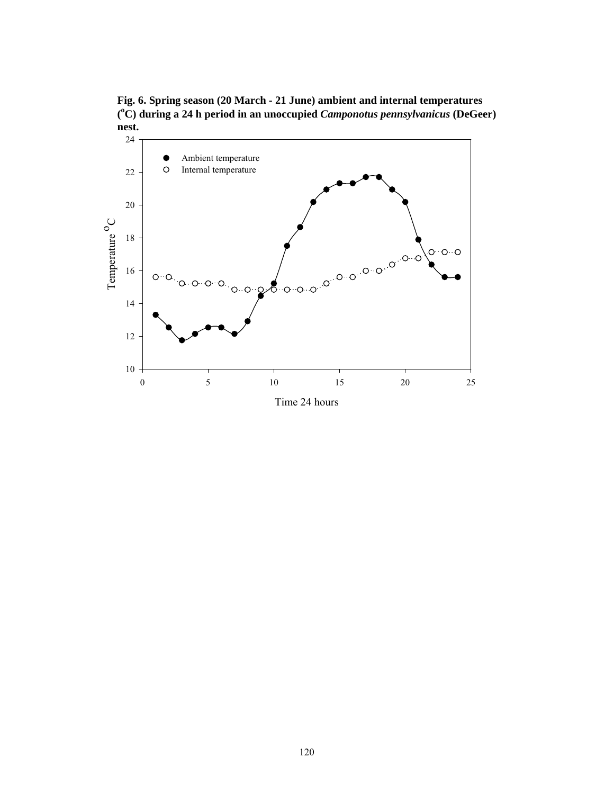**Fig. 6. Spring season (20 March - 21 June) ambient and internal temperatures ( o C) during a 24 h period in an unoccupied** *Camponotus pennsylvanicus* **(DeGeer) nest.** 

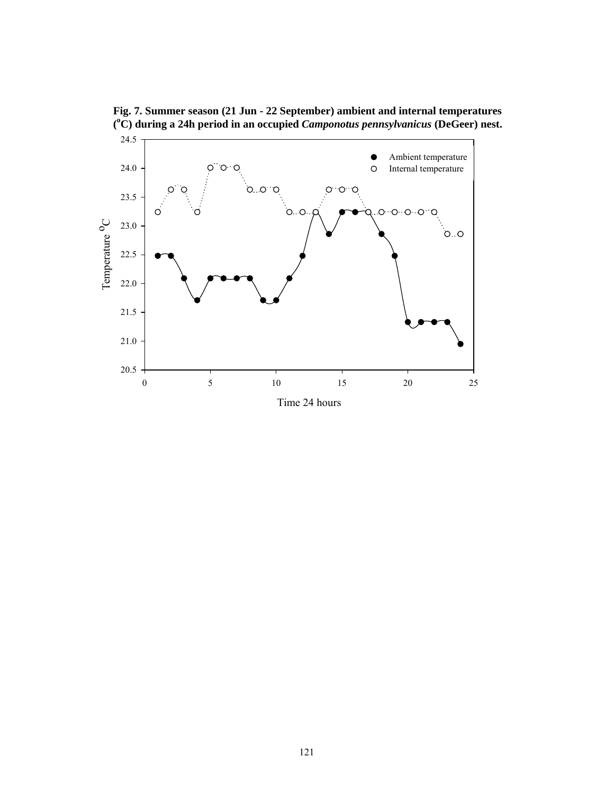

**Fig. 7. Summer season (21 Jun - 22 September) ambient and internal temperatures ( o C) during a 24h period in an occupied** *Camponotus pennsylvanicus* **(DeGeer) nest.**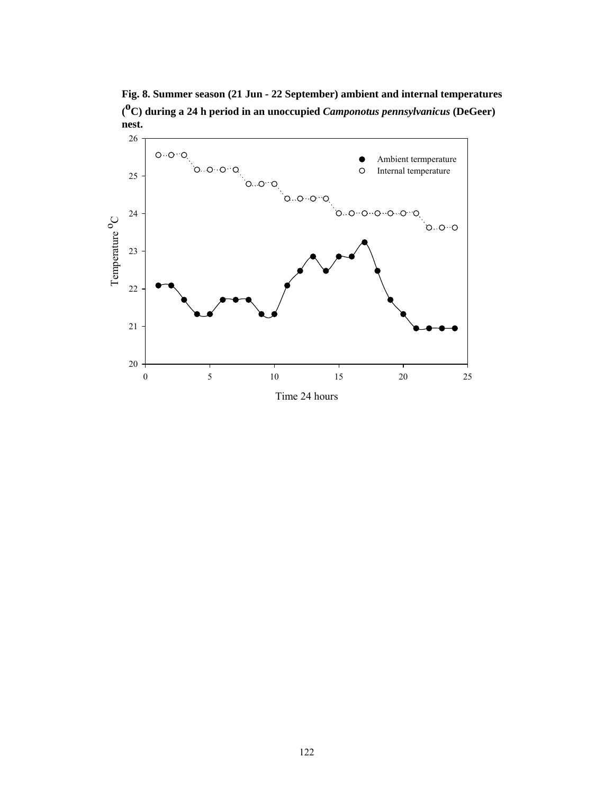**Fig. 8. Summer season (21 Jun - 22 September) ambient and internal temperatures ( oC) during a 24 h period in an unoccupied** *Camponotus pennsylvanicus* **(DeGeer) nest.** 

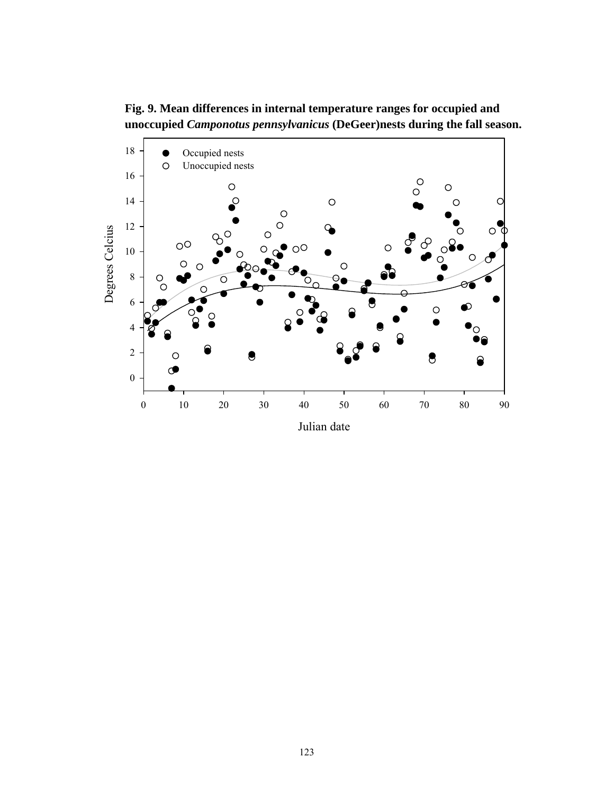**Fig. 9. Mean differences in internal temperature ranges for occupied and unoccupied** *Camponotus pennsylvanicus* **(DeGeer)nests during the fall season.**

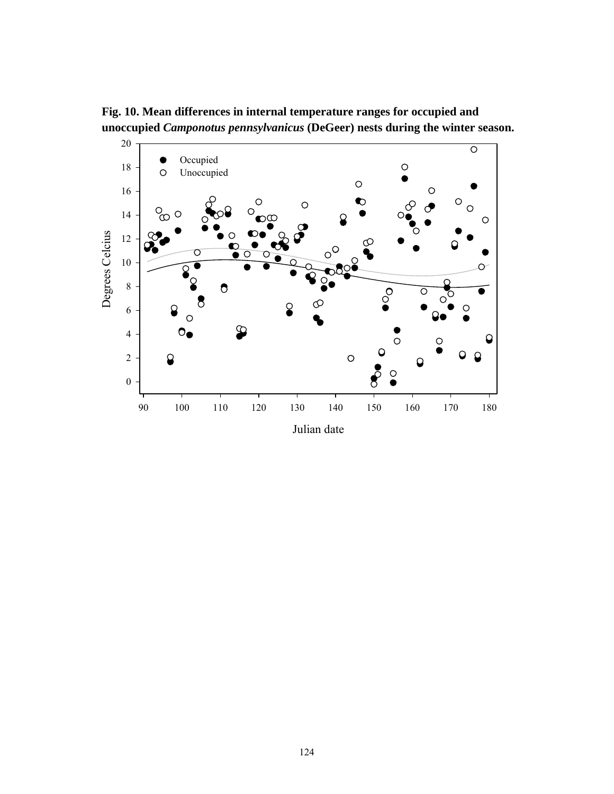

**Fig. 10. Mean differences in internal temperature ranges for occupied and unoccupied** *Camponotus pennsylvanicus* **(DeGeer) nests during the winter season.**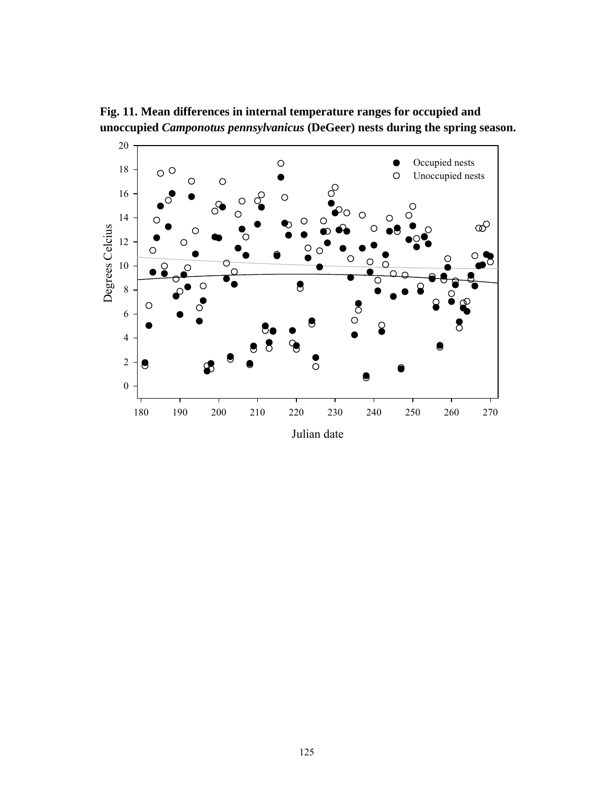

**Fig. 11. Mean differences in internal temperature ranges for occupied and unoccupied** *Camponotus pennsylvanicus* **(DeGeer) nests during the spring season.**

Julian date